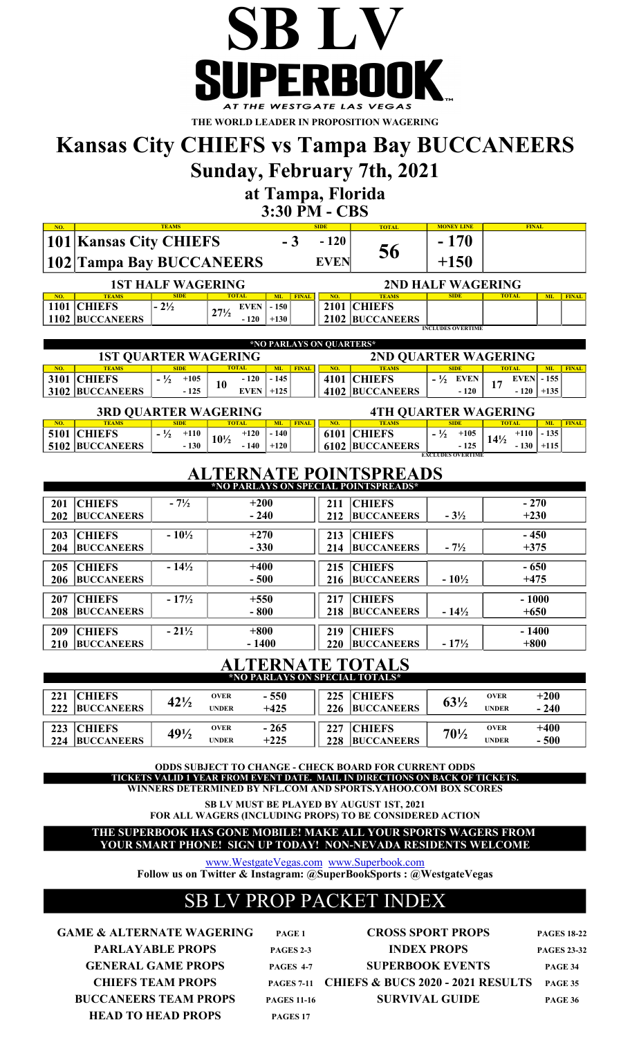

THE WORLD LEADER IN PROPOSITION WAGERING

## Kansas City CHIEFS vs Tampa Bay BUCCANEERS

Sunday, February 7th, 2021

at Tampa, Florida

3:30 PM - CBS

| NO. |                               | <b>TEAMS</b>             |                                |           |              | <b>SIDE</b> | <b>TOTAL</b>    | <b>MONEY LINE</b> | <b>FINAL</b> |           |              |
|-----|-------------------------------|--------------------------|--------------------------------|-----------|--------------|-------------|-----------------|-------------------|--------------|-----------|--------------|
|     | <b>101 Kansas City CHIEFS</b> |                          |                                | - 3       |              | $-120$      | 56              | $-170$            |              |           |              |
|     | 102 Tampa Bay BUCCANEERS      |                          |                                |           |              | <b>EVEN</b> |                 | $+150$            |              |           |              |
|     |                               | <b>1ST HALF WAGERING</b> |                                |           |              |             |                 | 2ND HALF WAGERING |              |           |              |
| NO. | <b>TEAMS</b>                  | <b>SIDE</b>              | <b>TOTAL</b>                   | <b>ML</b> | <b>FINAL</b> | NO.         | <b>TEAMS</b>    | <b>SIDE</b>       | <b>TOTAL</b> | <b>ML</b> | <b>FINAL</b> |
|     | 1101 CHIEFS                   | $-2\frac{1}{2}$          | <b>EVEN</b><br>$27\frac{1}{2}$ | $-150$    |              |             | 2101 CHIEFS     |                   |              |           |              |
|     | <b>1102 BUCCANEERS</b>        |                          | $-120$                         | $+130$    |              |             | 2102 BUCCANEERS |                   |              |           |              |
|     | <b>INCLUDES OVERTIME</b>      |                          |                                |           |              |             |                 |                   |              |           |              |

|                             | *NO PARLAYS ON OUARTERS* |                         |    |              |        |              |     |                      |             |        |              |                   |           |              |
|-----------------------------|--------------------------|-------------------------|----|--------------|--------|--------------|-----|----------------------|-------------|--------|--------------|-------------------|-----------|--------------|
| <b>1ST OUARTER WAGERING</b> |                          |                         |    |              |        |              |     | 2ND QUARTER WAGERING |             |        |              |                   |           |              |
| NO.                         | <b>TEAMS</b>             | <b>SIDE</b>             |    | <b>TOTAL</b> |        | <b>FINAL</b> | NO. | <b>TEAMS</b>         | <b>SIDE</b> |        | <b>TOTAL</b> |                   | <b>ML</b> | <b>FINAL</b> |
|                             | 3101 CHIEFS              | $\frac{1}{2}$<br>$+105$ | 10 | $-120$       | $-145$ |              |     | 4101 CHIEFS          |             | EVEN   |              | <b>EVEN</b> - 155 |           |              |
|                             | <b>3102 BUCCANEERS</b>   | $-125$                  |    | EVEN         | $+125$ |              |     | 4102 BUCCANEERS      |             | $-120$ |              | $-120$            | $+135'$   |              |

| <b>3RD QUARTER WAGERING</b> |                        |                         |                 |                  |              |     | <b>4TH OUARTER WAGERING</b> |    |                          |                 |        |        |              |
|-----------------------------|------------------------|-------------------------|-----------------|------------------|--------------|-----|-----------------------------|----|--------------------------|-----------------|--------|--------|--------------|
| NO.                         | <b>TEAMS</b>           | SIDE                    | <b>TOTAL</b>    | <b>MI</b>        | <b>FINAL</b> | NO. | <b>EAMS</b>                 |    | <b>SIDE</b>              | <b>TOTAL</b>    |        | МĪ     | <b>EINAL</b> |
|                             | 5101 CHIEFS            | $\frac{1}{2}$<br>$+110$ | $10\frac{1}{2}$ | $-140$<br>$+120$ |              |     | <b>6101 CHIEFS</b>          | 72 | $+105$                   | $14\frac{1}{2}$ | $+110$ | $-135$ |              |
|                             | <b>5102 BUCCANEERS</b> | $-130$                  |                 | $+120$<br>140    |              |     | <b>6102 BUCCANEERS</b>      |    | $-125$                   |                 |        |        |              |
|                             |                        |                         |                 |                  |              |     |                             |    | <b>EXCLUDES OVERTIME</b> |                 |        |        |              |

### ALTERNATE POINTSPREADS

| *NO PARLAYS ON SPECIAL POINTSPREADS*                                                                                                  |                            |                                                                                                                  |  |  |  |  |  |  |  |  |  |
|---------------------------------------------------------------------------------------------------------------------------------------|----------------------------|------------------------------------------------------------------------------------------------------------------|--|--|--|--|--|--|--|--|--|
| <b>CHIEFS</b><br>$-270$<br>211                                                                                                        | $+200$                     | $-7\frac{1}{2}$<br><b>CHIEFS</b><br>201                                                                          |  |  |  |  |  |  |  |  |  |
| $+230$<br>$-3\frac{1}{2}$<br><b>BUCCANEERS</b><br>212                                                                                 | $-240$                     | <b>BUCCANEERS</b><br>202                                                                                         |  |  |  |  |  |  |  |  |  |
| <b>CHIEFS</b><br>$-450$<br>213                                                                                                        | $+270$                     | $-10\frac{1}{2}$<br><b>CHIEFS</b><br>203                                                                         |  |  |  |  |  |  |  |  |  |
| $+375$<br>$-7\frac{1}{2}$<br><b>BUCCANEERS</b><br>214                                                                                 | $-330$                     | <b>BUCCANEERS</b><br>204                                                                                         |  |  |  |  |  |  |  |  |  |
|                                                                                                                                       |                            |                                                                                                                  |  |  |  |  |  |  |  |  |  |
|                                                                                                                                       |                            |                                                                                                                  |  |  |  |  |  |  |  |  |  |
|                                                                                                                                       |                            |                                                                                                                  |  |  |  |  |  |  |  |  |  |
| $-1000$<br><b>CHIEFS</b><br>217                                                                                                       | $+550$                     | $-17\frac{1}{2}$<br><b>CHIEFS</b><br>207                                                                         |  |  |  |  |  |  |  |  |  |
| $+650$<br>$-14\frac{1}{2}$<br><b>BUCCANEERS</b><br>218                                                                                | $-800$                     | <b>BUCCANEERS</b><br>208                                                                                         |  |  |  |  |  |  |  |  |  |
|                                                                                                                                       |                            |                                                                                                                  |  |  |  |  |  |  |  |  |  |
| 220<br>$-17\frac{1}{2}$<br><b>BUCCANEERS</b>                                                                                          | $-1400$                    | 210<br><b>BUCCANEERS</b>                                                                                         |  |  |  |  |  |  |  |  |  |
| <b>CHIEFS</b><br>$-650$<br>215<br>$-10\frac{1}{2}$<br>$+475$<br><b>BUCCANEERS</b><br>216<br><b>CHIEFS</b><br>$-1400$<br>219<br>$+800$ | $+400$<br>$-500$<br>$+800$ | $-14\frac{1}{2}$<br><b>CHIEFS</b><br>205<br><b>BUCCANEERS</b><br>206<br>$-21\frac{1}{2}$<br><b>CHIEFS</b><br>209 |  |  |  |  |  |  |  |  |  |

## ALTERNATE TOTALS \*NO PARLAYS ON SPECIAL TOTALS\*

| 221 | <b>CHIEFS</b>     |                                | <b>OVER</b>  | $-550$ | 225 | <b>CHIEFS</b>     |                 | <b>OVER</b>  | $+200$ |
|-----|-------------------|--------------------------------|--------------|--------|-----|-------------------|-----------------|--------------|--------|
| 222 | <b>BUCCANEERS</b> | $42\%$                         | <b>UNDER</b> | $+425$ | 226 | <b>BUCCANEERS</b> | $63\frac{1}{2}$ | <b>UNDER</b> | $-240$ |
|     |                   |                                |              |        |     |                   |                 |              |        |
| 223 | <b>CHIEFS</b>     |                                | <b>OVER</b>  | - 265  | 227 | <b>CHIEFS</b>     |                 | <b>OVER</b>  | $+400$ |
| 224 | <b>BUCCANEERS</b> | 49 <sup>1</sup> / <sub>2</sub> | <b>UNDER</b> | $+225$ | 228 | <b>BUCCANEERS</b> | $70\frac{1}{2}$ | <b>UNDER</b> | - 500  |

ODDS SUBJECT TO CHANGE - CHECK BOARD FOR CURRENT ODDS TICKETS VALID 1 YEAR FROM EVENT DATE. MAIL IN DIRECTIONS ON BACK OF TICKETS.

WINNERS DETERMINED BY NFL.COM AND SPORTS.YAHOO.COM BOX SCORES

SB LV MUST BE PLAYED BY AUGUST 1ST, 2021

FOR ALL WAGERS (INCLUDING PROPS) TO BE CONSIDERED ACTION

YOUR SMART PHONE! SIGN UP TODAY! NON-NEVADA RESIDENTS WELCOME THE SUPERBOOK HAS GONE MOBILE! MAKE ALL YOUR SPORTS WAGERS FROM

www.WestgateVegas.com www.Superbook.com

Follow us on Twitter & Instagram: @SuperBookSports : @WestgateVegas

### SB LV PROP PACKET INDEX

BUCCANEERS TEAM PROPS HEAD TO HEAD PROPS GAME & ALTERNATE WAGERING PARLAYABLE PROPS **GENERAL GAME PROPS CHIEFS TEAM PROPS** 

| PAGE 1             |
|--------------------|
| <b>PAGES 2-3</b>   |
| PAGES 4-7          |
| <b>PAGES 7-11</b>  |
| <b>PAGES 11-16</b> |
| PAGES 17           |

CROSS SPORT PROPS INDEX PROPS SUPERBOOK EVENTS CHIEFS & BUCS 2020 - 2021 RESULTS SURVIVAL GUIDE PAGE 34 PAGE 35 PAGE 36 PAGES 18-22 PAGES 23-32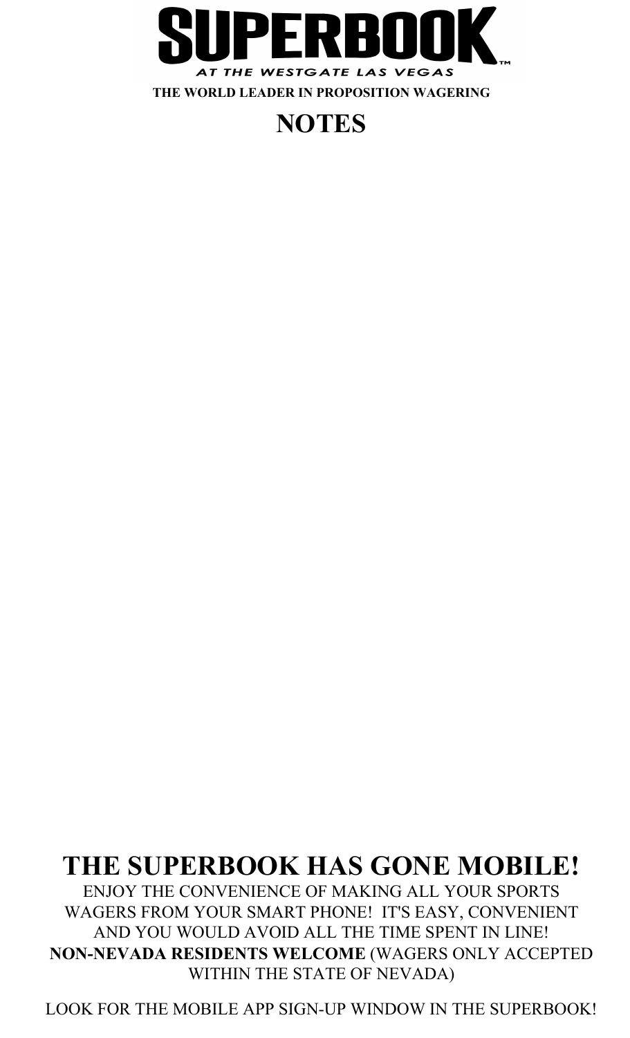

## **NOTES**

## THE SUPERBOOK HAS GONE MOBILE!

WAGERS FROM YOUR SMART PHONE! IT'S EASY, CONVENIENT AND YOU WOULD AVOID ALL THE TIME SPENT IN LINE! NON-NEVADA RESIDENTS WELCOME (WAGERS ONLY ACCEPTED WITHIN THE STATE OF NEVADA) ENJOY THE CONVENIENCE OF MAKING ALL YOUR SPORTS

LOOK FOR THE MOBILE APP SIGN-UP WINDOW IN THE SUPERBOOK!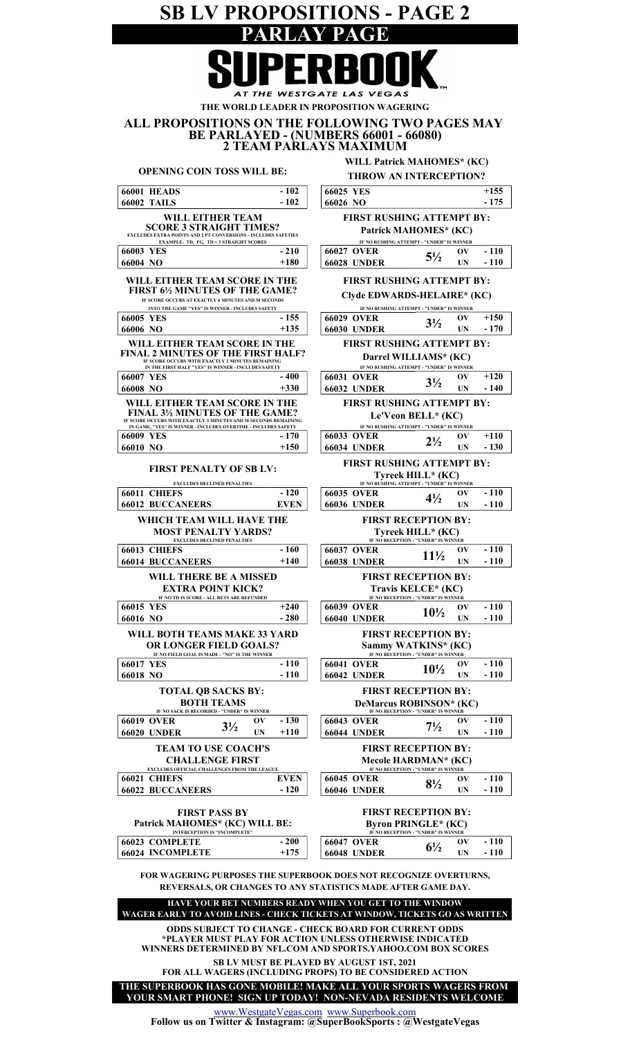SB LV PROPOSITIONS - PAGE 2 PARLAY PAGE THE WESTGATE LAS VEGA THE WORLD LEADER IN PROPOSITION WAGERING ALL PROPOSITIONS ON THE FOLLOWING TWO PAGES MAY BE PARLAYED - (NUMBERS 66001 - 66080) 2 TEAM PARLAYS MAXIMUM WILL Patrick MAHOMES\* (KC) OPENING COIN TOSS WILL BE: THROW AN INTERCEPTION?  $-102$  $+155$ 66001 HEADS - 102 66025 YES - 175 66002 TAILS 66026 NO - 102 WILL EITHER TEAM FIRST RUSHING ATTEMPT BY: SCORE 3 STRAIGHT TIMES? EXCLUDES EXTRA POINTS AND 2 PT CONVERSIONS - INCLUDES SAFETIES EXAMPLE: TD, FG, TD = 3 STRAIGHT SCORES Patrick MAHOMES\* (KC) IF NO RUSHING ATTEMPT - "UNDER" IS WINNER 66003 YES -210 | 66027 OVER  $\sim$  51/ OV - 210 - 110  $5\frac{1}{2}$   $\frac{0 \text{V}}{\text{UN}}$  - 110 66004 NO  $+180$   $+6028$  UNDER  $5/2$  UN +180 WILL EITHER TEAM SCORE IN THE FIRST RUSHING ATTEMPT BY: FIRST 6½ MINUTES OF THE GAME? Clyde EDWARDS-HELAIRE\* (KC) IF SCORE OCCURS AT EXACTLY 6 MINUTES AND 30 SECOND INTO THE GAME "YES" IS WINNER - INCLUDES SAFETY IF NO RUSHING ATTEMPT - "UNDER" IS WINNER  $+150$  $-155$ 66005 YES -155 | 66029 OVER 21/ OV  $3<sup>1</sup>/<sub>2</sub>$ 66006 NO  $+135$  66030 UNDER  $5/2$  UN +135 - 170 WILL EITHER TEAM SCORE IN THE FIRST RUSHING ATTEMPT BY: FINAL 2 MINUTES OF THE FIRST HALF? Darrel WILLIAMS\* (KC) IF SCORE OCCURS WITH EXACTLY 2 MINUTES REMAINING IF NO RUSHING ATTEMPT - "UNDER" IS WINNER IN THE FIRST HALF "YES" IS WINNER - INCLUDES SAFETY 66007 YES -400 66031 OVER 21/ OV  $-400$  $3\frac{1}{2}$   $\frac{0V}{100}$   $+120$ 66008 NO  $+330$   $66032$  UNDER  $5/2$  UN +330 - 140 FIRST RUSHING ATTEMPT BY: WILL EITHER TEAM SCORE IN THE FINAL 3½ MINUTES OF THE GAME? IF SCORE OCCURS WITH EXACTLY 3 MINUTES AND 30 SECONDS REMAINING Le'Veon BELL\* (KC) IN GAME, "YES" IS WINNER - INCLUDES OVERTIME - INCLUDES SAFETY IF NO RUSHING ATTEMPT - "UNDER" IS WINNER 66009 YES - 170 66033 OVER 21/ OV  $-170$  $+110$  $2\frac{1}{2}$   $\frac{0 \text{V}}{\text{UN}}$  -130 66010 NO  $+150$  66034 UNDER  $-2/2$  UN  $+150$ FIRST RUSHING ATTEMPT BY: FIRST PENALTY OF SB LV: Tyreek HILL\* (KC) EXCLUDES DECLINED PENALTIES USHING ATTEMPT - "UNDER" IS W  $-120$ 66011 CHIEFS - 120 66035 OVER 01/0 OV  $-110$  $4\frac{1}{2}$ 66012 BUCCANEERS EVEN 66036 UNDER  $\frac{472}{20}$  UN EVEN - 110 WHICH TEAM WILL HAVE THE FIRST RECEPTION BY: MOST PENALTY YARDS? **Tyreek HILL\* (KC)**<br>if no reception - "under" is winner EXCLUDES DECLINED PENALTIES 66013 CHIEFS - 160 66037 OVER 111/ OV - 160  $-110$ 11½ 66014 BUCCANEERS  $+140$  66038 UNDER  $11^{12}$  UN  $+140$ - 110 FIRST RECEPTION BY: WILL THERE BE A MISSED EXTRA POINT KICK? Travis KELCE\* (KC) IF NO TD IS SCORE - ALL BETS ARE REF **IF NO RECEPTION - "UNDER" IS W** 66015 YES 66039 OVER OV  $+240$  $\frac{6V}{10^{1/2}} \frac{6V}{4V} - \frac{110}{110}$ - 280 - 110 66016 NO  $-280$   $-66040$  UNDER  $10^{72}$  UN WILL BOTH TEAMS MAKE 33 YARD FIRST RECEPTION BY: OR LONGER FIELD GOALS? Sammy WATKINS\* (KC) IF NO FIELD GOAL IS MADE - "NO" IS THE WINNER IF NO RECEPTION - "UNDER" IS WINNER 66017 YES - 110 66041 OVER 101/ OV  $10\frac{1}{2}$   $\frac{0V}{10V}$   $-110$ - 110  $66018$  NO  $-110$   $66042$  UNDER  $10^{12}$  UN - 110 - 110 TOTAL QB SACKS BY: FIRST RECEPTION BY: BOTH TEAMS DeMarcus ROBINSON\* (KC) **RECEPTION - "UNDER" IS WINNER** IF NO SACK IS RECORDED - "UNDER" IS 66019 OVER  $\sim$  21/0 V  $-130$  66043 OVER  $\sim$  0V  $-130$ - 110  $3\frac{1}{2}$  $7\frac{1}{2}$ 66020 UNDER  $\frac{372}{10}$  UN +110 66044 UNDER  $\frac{172}{10}$  UN +110 - 110TEAM TO USE COACH'S FIRST RECEPTION BY: CHALLENGE FIRST Mecole HARDMAN\* (KC) EXCLUDES OFFICIAL CHALLENGES FROM THE LEAGUE IF NO RECEPTION - "UNDER" IS WINNER 66021 CHIEFS EVEN 66045 OVER 66022 BUCCANEERS -120 66046 UNDER 8<sup>1</sup>/<sub>2</sub> OV EVEN  $8\frac{1}{2}$  ov  $-110$ - 120  $-110$ 66022 BUCCANEERS - 120 | 66046 UNDER FIRST RECEPTION BY: FIRST PASS BY Patrick MAHOMES\* (KC) WILL BE: Byron PRINGLE\* (KC) INTERCEPTION IS "INCOMPLETE" **NO RECEPTION - "UNDER" IS W** 66023 COMPLETE  $-200 = 66047 \text{ OVER}$   $6\frac{1}{2} = 6\frac{1}{2}$ - 200  $\frac{6V}{10}$  - 110  $+175$ - 110 66024 INCOMPLETE  $+175$  66048 UNDER  $-$  UN

FOR WAGERING PURPOSES THE SUPERBOOK DOES NOT RECOGNIZE OVERTURNS, REVERSALS, OR CHANGES TO ANY STATISTICS MADE AFTER GAME DAY.

WAGER EARLY TO AVOID LINES - CHECK TICKETS AT WINDOW, TICKETS GO AS WRITTEN HAVE YOUR BET NUMBERS READY WHEN YOU GET TO THE WINDOW

ODDS SUBJECT TO CHANGE - CHECK BOARD FOR CURRENT ODDS \*PLAYER MUST PLAY FOR ACTION UNLESS OTHERWISE INDICATED WINNERS DETERMINED BY NFL.COM AND SPORTS.YAHOO.COM BOX SCORES SB LV MUST BE PLAYED BY AUGUST 1ST, 2021

FOR ALL WAGERS (INCLUDING PROPS) TO BE CONSIDERED ACTION

THE SUPERBOOK HAS GONE MOBILE! MAKE ALL YOUR SPORTS WAGERS FROM YOUR SMART PHONE! SIGN UP TODAY! NON-NEVADA RESIDENTS WELCOME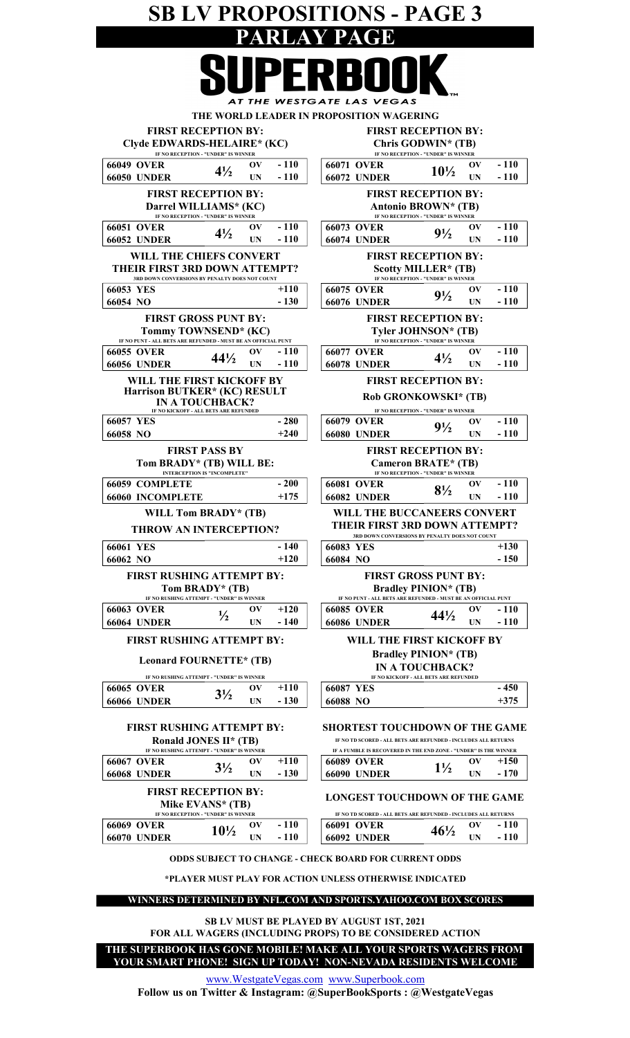## SB LV PROPOSITIONS - PAGE 3 PARLAY PAGE **QIIDENNAAV**

|                                                                                                   | AT THE WESTGATE LAS VEGAS                                                                        |
|---------------------------------------------------------------------------------------------------|--------------------------------------------------------------------------------------------------|
|                                                                                                   | THE WORLD LEADER IN PROPOSITION WAGERING                                                         |
| <b>FIRST RECEPTION BY:</b>                                                                        | <b>FIRST RECEPTION BY:</b>                                                                       |
| Clyde EDWARDS-HELAIRE* (KC)<br>IF NO RECEPTION - "UNDER" IS WINNER                                | Chris GODWIN* (TB)<br>IF NO RECEPTION - "UNDER" IS WINNER                                        |
| <b>66049 OVER</b><br>- 110<br>OV                                                                  | <b>66071 OVER</b><br>- 110<br>OV                                                                 |
| $4\frac{1}{2}$<br>- 110<br><b>66050 UNDER</b><br>UN                                               | $10\frac{1}{2}$<br><b>66072 UNDER</b><br>- 110<br>UN                                             |
| <b>FIRST RECEPTION BY:</b><br>Darrel WILLIAMS* (KC)                                               | <b>FIRST RECEPTION BY:</b><br>Antonio BROWN* (TB)                                                |
| IF NO RECEPTION - "UNDER" IS WINNER<br>$-110$<br><b>66051 OVER</b><br>OV                          | IF NO RECEPTION - "UNDER" IS WINNER<br>$-110$<br><b>66073 OVER</b><br>OV                         |
| $4\frac{1}{2}$<br>- 110<br><b>66052 UNDER</b><br>UN                                               | $9\frac{1}{2}$<br><b>66074 UNDER</b><br>- 110<br>UN                                              |
| WILL THE CHIEFS CONVERT                                                                           | <b>FIRST RECEPTION BY:</b>                                                                       |
| <b>THEIR FIRST 3RD DOWN ATTEMPT?</b>                                                              | Scotty MILLER* (TB)                                                                              |
| 3RD DOWN CONVERSIONS BY PENALTY DOES NOT COUNT                                                    | IF NO RECEPTION - "UNDER" IS WINNER                                                              |
| $+110$<br>66053 YES                                                                               | $-110$<br><b>66075 OVER</b><br>OV<br>$9\frac{1}{2}$                                              |
| - 130<br>66054 NO                                                                                 | <b>66076 UNDER</b><br>- 110<br>UN                                                                |
| <b>FIRST GROSS PUNT BY:</b>                                                                       | <b>FIRST RECEPTION BY:</b>                                                                       |
| Tommy TOWNSEND* (KC)                                                                              | Tyler JOHNSON* (TB)                                                                              |
| IF NO PUNT - ALL BETS ARE REFUNDED - MUST BE AN OFFICIAL PUNT<br><b>66055 OVER</b><br>- 110<br>OV | IF NO RECEPTION - "UNDER" IS WINNER<br>$-110$<br><b>66077 OVER</b><br>OV                         |
| $44\frac{1}{2}$<br><b>66056 UNDER</b><br>- 110<br>UN                                              | $4\frac{1}{2}$<br><b>66078 UNDER</b><br>- 110<br>UN                                              |
| WILL THE FIRST KICKOFF BY                                                                         | <b>FIRST RECEPTION BY:</b>                                                                       |
| Harrison BUTKER* (KC) RESULT                                                                      |                                                                                                  |
| <b>IN A TOUCHBACK?</b>                                                                            | Rob GRONKOWSKI* (TB)                                                                             |
| IF NO KICKOFF - ALL BETS ARE REFUNDED<br><b>66057 YES</b><br>- 280                                | IF NO RECEPTION - "UNDER" IS WINNER<br><b>66079 OVER</b><br>- 110<br>OV                          |
| 66058 NO<br>$+240$                                                                                | $9\frac{1}{2}$<br><b>66080 UNDER</b><br>- 110<br>UN                                              |
|                                                                                                   |                                                                                                  |
| <b>FIRST PASS BY</b><br>Tom BRADY* (TB) WILL BE:                                                  | <b>FIRST RECEPTION BY:</b><br>Cameron BRATE* (TB)                                                |
| <b>INTERCEPTION IS "INCOMPLETE"</b>                                                               | IF NO RECEPTION - "UNDER" IS WINNER                                                              |
| <b>66059 COMPLETE</b><br>$-200$                                                                   | $-110$<br><b>66081 OVER</b><br>$\mathbf{O} \mathbf{V}$<br>$8\frac{1}{2}$                         |
| $+175$<br><b>66060 INCOMPLETE</b>                                                                 | - 110<br><b>66082 UNDER</b><br>UN                                                                |
| WILL Tom BRADY* (TB)                                                                              | <b>WILL THE BUCCANEERS CONVERT</b>                                                               |
|                                                                                                   |                                                                                                  |
| <b>THROW AN INTERCEPTION?</b>                                                                     | <b>THEIR FIRST 3RD DOWN ATTEMPT?</b>                                                             |
|                                                                                                   | <b>3RD DOWN CONVERSIONS BY PENALTY DOES NOT COUNT</b>                                            |
| <b>66061 YES</b><br>- 140                                                                         | $+130$<br><b>66083 YES</b>                                                                       |
| 66062 NO<br>$+120$                                                                                | 66084 NO<br>- 150                                                                                |
| <b>FIRST RUSHING ATTEMPT BY:</b>                                                                  | <b>FIRST GROSS PUNT BY:</b>                                                                      |
| Tom BRADY* (TB)<br>IF NO RUSHING ATTEMPT - "UNDER" IS WINNER                                      | <b>Bradley PINION* (TB)</b><br>IF NO PUNT - ALL BETS ARE REFUNDED - MUST BE AN OFFICIAL PUNT     |
| <b>66063 OVER</b><br>$+120$<br>OV                                                                 | <b>66085 OVER</b><br>- 110<br>$\mathbf{O}(\mathbf{V})$                                           |
| $\frac{1}{2}$<br><b>66064 UNDER</b><br><b>UN</b><br>- 140                                         | $44\frac{1}{2}$<br>- 110<br><b>66086 UNDER</b><br>UN                                             |
| <b>FIRST RUSHING ATTEMPT BY:</b>                                                                  | WILL THE FIRST KICKOFF BY                                                                        |
|                                                                                                   | <b>Bradley PINION* (TB)</b>                                                                      |
| Leonard FOURNETTE* (TB)                                                                           | <b>IN A TOUCHBACK?</b>                                                                           |
| IF NO RUSHING ATTEMPT - "UNDER" IS WINNER                                                         | IF NO KICKOFF - ALL BETS ARE REFUNDED                                                            |
| $+110$<br><b>66065 OVER</b><br>OV<br>$3\frac{1}{2}$                                               | <b>66087 YES</b><br>$-450$                                                                       |
| <b>66066 UNDER</b><br>- 130<br>UN                                                                 | 66088 NO<br>$+375$                                                                               |
|                                                                                                   |                                                                                                  |
| <b>FIRST RUSHING ATTEMPT BY:</b>                                                                  | SHORTEST TOUCHDOWN OF THE GAME<br>IF NO TD SCORED - ALL BETS ARE REFUNDED - INCLUDES ALL RETURNS |
| Ronald JONES II* (TB)<br>IF NO RUSHING ATTEMPT - "UNDER" IS WINNER                                | IF A FUMBLE IS RECOVERED IN THE END ZONE - "UNDER" IS THE WINNER                                 |
| <b>66067 OVER</b><br>$+110$<br>$\mathbf{O}(\mathbf{V})$                                           | <b>66089 OVER</b><br>$+150$<br>OV                                                                |
| $3\frac{1}{2}$<br><b>66068 UNDER</b><br>$-130$<br>UN                                              | $1\frac{1}{2}$<br><b>66090 UNDER</b><br>$-170$<br>UN                                             |
| <b>FIRST RECEPTION BY:</b>                                                                        |                                                                                                  |
| Mike EVANS* (TB)                                                                                  | <b>LONGEST TOUCHDOWN OF THE GAME</b>                                                             |
| IF NO RECEPTION - "UNDER" IS WINNER<br>OV                                                         | IF NO TD SCORED - ALL BETS ARE REFUNDED - INCLUDES ALL RETURNS<br>- 110<br>OV                    |
| <b>66069 OVER</b><br>$-110$<br>$10\frac{1}{2}$<br>- 110<br>UN                                     | <b>66091 OVER</b><br>$46\frac{1}{2}$<br>- 110<br>UN                                              |
| <b>66070 UNDER</b>                                                                                | <b>66092 UNDER</b>                                                                               |
|                                                                                                   | <b>ODDS SUBJECT TO CHANGE - CHECK BOARD FOR CURRENT ODDS</b>                                     |
|                                                                                                   | *PLAYER MUST PLAY FOR ACTION UNLESS OTHERWISE INDICATED                                          |
|                                                                                                   |                                                                                                  |
|                                                                                                   | WINNERS DETERMINED BY NFL.COM AND SPORTS.YAHOO.COM BOX SCORES                                    |
|                                                                                                   | <b>SB LV MUST BE PLAYED BY AUGUST 1ST, 2021</b>                                                  |

YOUR SMART PHONE! SIGN UP TODAY! NON-NEVADA RESIDENTS WELCOME THE SUPERBOOK HAS GONE MOBILE! MAKE ALL YOUR SPORTS WAGERS FROM

www.WestgateVegas.com www.Superbook.com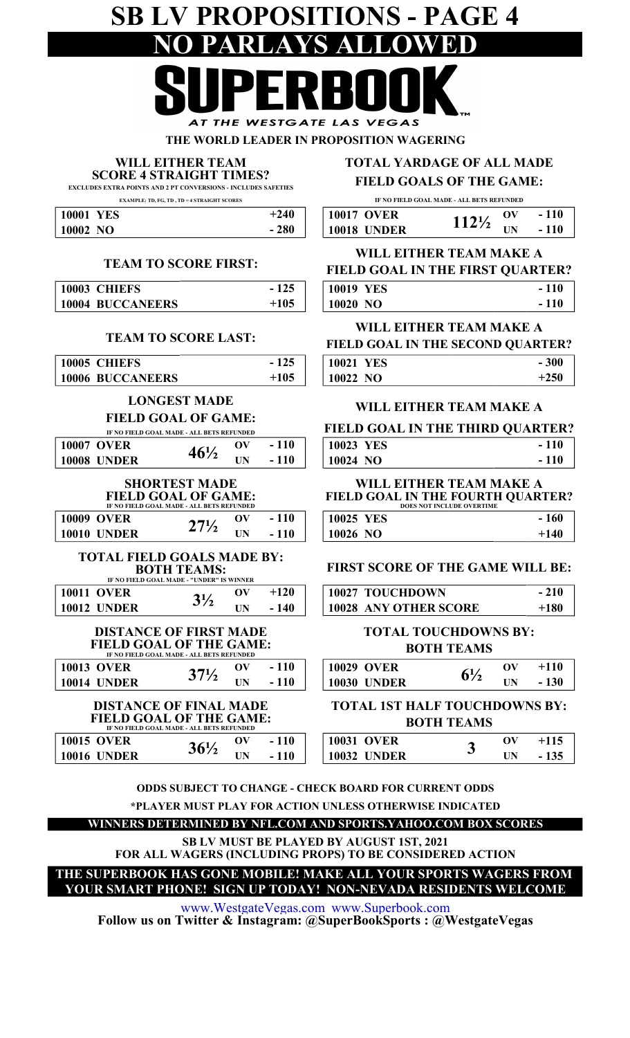## SB LV PROPOSITIONS - PAGE 4 NO PARLAYS ALLOWED AT THE WESTGATE LAS VEGAS

THE WORLD LEADER IN PROPOSITION WAGERING

#### WILL EITHER TEAM

EXCLUDES EXTRA POINTS AND 2 PT CONVERSIONS - INCLUDES SAFETIES SCORE 4 STRAIGHT TIMES?

EXAMPLE: TD, FG, TD , TD = 4 STRAIGHT SCORES

| 10001<br><b>YES</b> | $+240$ | <b>10017 OVER</b>  | 1131             | OV |
|---------------------|--------|--------------------|------------------|----|
| 10002 NO            | $-280$ | <b>10018 UNDER</b> | $112\frac{1}{2}$ | UN |

#### TEAM TO SCORE FIRST:

| 10003 CHIEFS            | - 125  | <b>10019 YES</b> |
|-------------------------|--------|------------------|
| <b>10004 BUCCANEERS</b> | $+105$ | 10020 NO         |

#### TEAM TO SCORE LAST:

|                                                                 |                                                                                                 |                          |        | FIELD GOAL IN THE SECT                                                                   |
|-----------------------------------------------------------------|-------------------------------------------------------------------------------------------------|--------------------------|--------|------------------------------------------------------------------------------------------|
| 10005 CHIEFS                                                    |                                                                                                 |                          | $-125$ | <b>10021 YES</b>                                                                         |
| <b>10006 BUCCANEERS</b>                                         |                                                                                                 |                          | $+105$ | 10022 NO                                                                                 |
|                                                                 | <b>LONGEST MADE</b><br><b>FIELD GOAL OF GAME:</b><br>IF NO FIELD GOAL MADE - ALL BETS REFUNDED  |                          |        | <b>WILL EITHER TEAN</b><br><b>FIELD GOAL IN THE THI</b>                                  |
| <b>10007 OVER</b>                                               |                                                                                                 | $\mathbf{O}(\mathbf{V})$ | $-110$ | <b>10023 YES</b>                                                                         |
| <b>10008 UNDER</b>                                              | $46\frac{1}{2}$                                                                                 | UN                       | $-110$ | 10024 NO                                                                                 |
|                                                                 | <b>SHORTEST MADE</b><br><b>FIELD GOAL OF GAME:</b><br>IF NO FIELD GOAL MADE - ALL BETS REFUNDED |                          |        | <b>WILL EITHER TEAN</b><br><b>FIELD GOAL IN THE FOUL</b><br><b>DOES NOT INCLUDE OVER</b> |
| <b>10009 OVER</b>                                               | $27\frac{1}{2}$                                                                                 | $\mathbf{O}(\mathbf{V})$ | $-110$ | 10025 YES                                                                                |
| <b>10010 UNDER</b>                                              |                                                                                                 | UN                       | $-110$ | 10026 NO                                                                                 |
| <b>TOTAL FIELD GOALS MADE BY:</b>                               | <b>BOTH TEAMS:</b><br>IF NO FIELD GOAL MADE - "UNDER" IS WINNER                                 |                          |        | <b>FIRST SCORE OF THE G.</b>                                                             |
| <b>10011 OVER</b>                                               | $3\frac{1}{2}$                                                                                  | $\mathbf{O}(\mathbf{V})$ | $+120$ | 10027 TOUCHDOWN                                                                          |
| <b>10012 UNDER</b>                                              |                                                                                                 | UN                       | $-140$ | <b>10028 ANY OTHER SCORE</b>                                                             |
| <b>DISTANCE OF FIRST MADE</b><br><b>FIELD GOAL OF THE GAME:</b> | IF NO FIELD GOAL MADE - ALL BETS REFUNDED                                                       |                          |        | <b>TOTAL TOUCHDO</b><br><b>BOTH TEAN</b>                                                 |
| $10012$ $\alpha$ $\overline{\phantom{1}}$                       |                                                                                                 | $\mathbf{N}$             | 11A    | $10020.$ $\alpha$ $\overline{\text{N}}$ $\overline{\text{N}}$                            |

| <b>10013 OVER</b> | $\bf 271$ | OV        | $-110$ | <b>10029 OVER</b>     | $6\frac{1}{2}$ | ЭV |
|-------------------|-----------|-----------|--------|-----------------------|----------------|----|
| 10014 UNDER       |           | <b>UN</b> | $-110$ | <b>UNDER</b><br>10030 |                | ΠN |
|                   |           |           |        |                       |                |    |

| <b>DISTANCE OF FINAL MADE</b>  |                                           |  | <b>TOTAL 1ST HALF TOUCHDOV</b> |                    |  |    |  |
|--------------------------------|-------------------------------------------|--|--------------------------------|--------------------|--|----|--|
| <b>FIELD GOAL OF THE GAME:</b> | IF NO FIELD GOAL MADE - ALL BETS REFUNDED |  | <b>BOTH TEAMS</b>              |                    |  |    |  |
| <b>10015 OVER</b>              | $36\frac{1}{2}$                           |  | $-110$                         | <b>10031 OVER</b>  |  | OV |  |
| <b>10016 UNDER</b>             |                                           |  | $-110$                         | <b>10032 UNDER</b> |  | ιW |  |

#### TOTAL YARDAGE OF ALL MADE

#### FIELD GOALS OF THE GAME:

IF NO FIELD GOAL MADE - ALL BETS REFUNDED

| <b>10017 OVER</b>  | $\mathbf{O}(\mathbf{V})$ | $-110$ |
|--------------------|--------------------------|--------|
| <b>10018 UNDER</b> |                          | 110    |

#### VAL IN THE FIDET OIL DTED? WILL EITHER TEAM MAKE A

| FIELD GOAL IN THE FIRST OVARTER. |        |
|----------------------------------|--------|
| <b>10019 YES</b>                 | $-110$ |
|                                  |        |

#### 10020 NO - 110

#### WILL EITHER TEAM MAKE A

| FIELD GOAL IN THE SECOND QUARTER? |        |
|-----------------------------------|--------|
| 10021 YES                         | $-300$ |
| 10022 NO                          | $+250$ |

#### WILL EITHER TEAM MAKE A

| <b>FIELD GOAL IN THE THIRD QUARTER?</b> |        |
|-----------------------------------------|--------|
| 10023 YES                               | $-110$ |
| $10024$ NO                              | $-110$ |

#### FIELD GOAL IN THE FOURTH QUARTER? WILL EITHER TEAM MAKE A DOES NOT INCLUDE OVERTIME

| 10025 YES | $-160$ |
|-----------|--------|
| 10026 NO  | $+140$ |

#### FIRST SCORE OF THE GAME WILL BE:

| 10027 TOUCHDOWN              | $-210$ |
|------------------------------|--------|
| <b>10028 ANY OTHER SCORE</b> | $+180$ |

#### TOTAL TOUCHDOWNS BY: BOTH TEAMS

|                    | IF NO FIELD GOAL MADE - ALL BETS REFUNDED |     |     |                       |     |     |
|--------------------|-------------------------------------------|-----|-----|-----------------------|-----|-----|
| <b>10013 OVER</b>  |                                           |     | 110 | <b>10029 OVER</b>     |     |     |
| <b>10014 UNDER</b> |                                           | TIN |     | <b>UNDER</b><br>10030 | TIN | 130 |

#### BOTH TEAMS TOTAL 1ST HALF TOUCHDOWNS BY:

|                 | л  |     | 10031 OVER            |   | л  |  |
|-----------------|----|-----|-----------------------|---|----|--|
| 36 <sup>1</sup> | UN | 110 | <b>UNDER</b><br>10032 | ◡ | UN |  |

ODDS SUBJECT TO CHANGE - CHECK BOARD FOR CURRENT ODDS \*PLAYER MUST PLAY FOR ACTION UNLESS OTHERWISE INDICATED

WINNERS DETERMINED BY NFL.COM AND SPORTS.YAHOO.COM BOX SCORES

FOR ALL WAGERS (INCLUDING PROPS) TO BE CONSIDERED ACTION SB LV MUST BE PLAYED BY AUGUST 1ST, 2021

THE SUPERBOOK HAS GONE MOBILE! MAKE ALL YOUR SPORTS WAGERS FROM YOUR SMART PHONE! SIGN UP TODAY! NON-NEVADA RESIDENTS WELCOME

www.WestgateVegas.com www.Superbook.com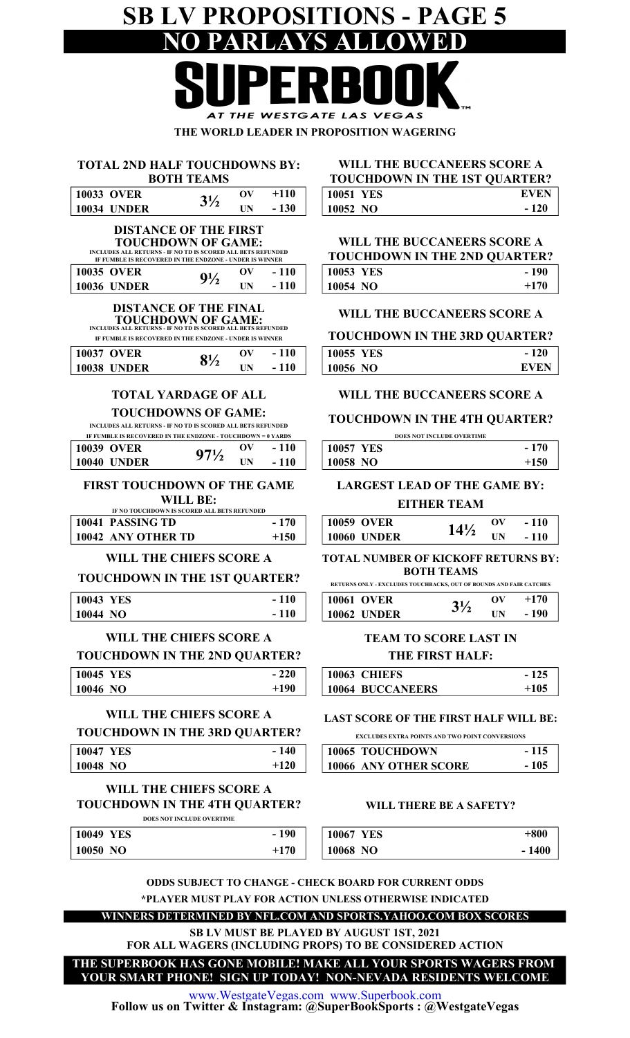## SB LV PROPOSITIONS - PAGE 5 NO PARLAYS ALLOWED

| $\bullet$ $\bullet$ $\bullet$<br>——————— <b>—</b> |
|---------------------------------------------------|
| AT THE WESTGATE LAS VEGAS                         |
| THE WORLD LEADER IN PROPOSITION WAGERING          |

| <b>TOTAL 2ND HALF TOUCHDOWNS BY:</b> |
|--------------------------------------|
| <b>BOTH TEAMS</b>                    |

| <b>10033 OVER</b>  |            | +110   | <b>10051 YES</b> |  |
|--------------------|------------|--------|------------------|--|
| <b>10034 UNDER</b> | <b>IIN</b> | $-130$ | 10052 NO         |  |

| <b>DISTANCE OF THE FIRST</b>                                |              |     |
|-------------------------------------------------------------|--------------|-----|
| <b>TOUCHDOWN OF GAME:</b>                                   |              |     |
| INCLUDES ALL RETURNS - IF NO TD IS SCORED ALL BETS REFUNDED |              |     |
| IF FUMBLE IS RECOVERED IN THE ENDZONE - UNDER IS WINNER     |              |     |
| AA25 AVED                                                   | $\mathbf{u}$ | 110 |

| <b>10035 OVER</b>  | $9^{1/3}$ |  | 10053 YES |  |
|--------------------|-----------|--|-----------|--|
| <b>10036 UNDER</b> |           |  | 10054 NO  |  |

#### DISTANCE OF THE FINAL

IF FUMBLE IS RECOVERED IN THE ENDZONE - UNDER IS WINNER TOUCHDOWN OF GAME: INCLUDES ALL RETURNS - IF NO TD IS SCORED ALL BETS REFUNDED

| If I Capper is incovering in the captular - caper is whaten |    |        | --------  |
|-------------------------------------------------------------|----|--------|-----------|
| <b>10037 OVER</b>                                           | OV | $-110$ | 10055 YES |
| <b>10038 UNDER</b>                                          | IN | $-110$ | 10056 NO  |

#### TOTAL YARDAGE OF ALL

#### TOUCHDOWNS OF GAME:

INCLUDES ALL RETURNS - IF NO TD IS SCORED ALL BETS REFUNDED

| IF FUMBLE IS RECOVERED IN THE ENDZONE - TOUCHDOWN = 0 YARDS |                 |               |        |                  |
|-------------------------------------------------------------|-----------------|---------------|--------|------------------|
| 10039 OVER                                                  | $97\frac{1}{2}$ | $\mathbf{ov}$ | $-110$ | <b>10057 YES</b> |
| 10040 UNDER                                                 |                 | ΠN            | $-110$ | 10058 NO         |

#### FIRST TOUCHDOWN OF THE GAME

WILL BE:

| IF NO TOUCHDOWN IS SCORED ALL BETS REFUNDED |                                 |             |        |  |
|---------------------------------------------|---------------------------------|-------------|--------|--|
| 10041 PASSING TD                            | 170<br>$\overline{\phantom{0}}$ | 10059 OVER  | $14\%$ |  |
| 10042 ANY OTHER TD                          | $+150$                          | 10060 UNDER |        |  |

#### WILL THE CHIEFS SCORE A

#### TOUCHDOWN IN THE 1ST QUARTER?

| 10043<br>YES            | 110<br>$\sim$ | 10061 OVER  | ₹1    | ЭV |
|-------------------------|---------------|-------------|-------|----|
| 10044<br>N <sub>O</sub> | $-110$        | 10062 UNDER | J / 4 | UN |

#### WILL THE CHIEFS SCORE A

#### TOUCHDOWN IN THE 2ND QUARTER?

| 10045 YES | $-220$ | <b>10063 CHIEFS</b>     |
|-----------|--------|-------------------------|
| 10046 NO  | $+190$ | <b>10064 BUCCANEERS</b> |

### WILL THE CHIEFS SCORE A

#### TOUCHDOWN IN THE 3RD QUARTER?

| 10047 YES | $-140$ | 10065 TOUCHDOWN              |
|-----------|--------|------------------------------|
| 10048 NO  | $+120$ | <b>10066 ANY OTHER SCORE</b> |

#### TOUCHDOWN IN THE 4TH QUARTER? WILL THE CHIEFS SCORE A DOES NOT INCLUDE OVERTIME

#### 10049 YES 10050 NO  $+1$  $-1$

#### TOUCHDOWN IN THE 1ST QUARTER? WILL THE BUCCANEERS SCORE A

|           | TOUCHDO WITHT THE T9T OUARTER. |             |
|-----------|--------------------------------|-------------|
| 10051 YES |                                | <b>EVEN</b> |
| 10052 NO  |                                | $-120$      |

#### WILL THE BUCCANEERS SCORE A

| <b>TOUCHDOWN IN THE 2ND QUARTER?</b> |        |
|--------------------------------------|--------|
| 10053 YES                            | - 190  |
| 10054 NO                             | $+170$ |

#### WILL THE BUCCANEERS SCORE A

TOUCHDOWN IN THE 3RD QUARTER?

| 10055 YES | $-120$      |
|-----------|-------------|
| 10056 NO  | <b>EVEN</b> |

#### WILL THE BUCCANEERS SCORE A

#### TOUCHDOWN IN THE 4TH QUARTER?

|                  | <b>DOES NOT INCLUDE OVERTIME</b> |        |
|------------------|----------------------------------|--------|
| <b>10057 YES</b> |                                  | $-170$ |
| 10058 NO         |                                  | $+150$ |

#### LARGEST LEAD OF THE GAME BY:

#### EITHER TEAM

| 10059 OVER         | $14\frac{1}{2}$ | $\mathbf{O}(\mathbf{V})$ | $-110$ |
|--------------------|-----------------|--------------------------|--------|
| <b>10060 UNDER</b> |                 | <b>IIN</b>               | $-110$ |

#### BOTH TEAMS TOTAL NUMBER OF KICKOFF RETURNS BY:

RETURNS ONLY - EXCLUDES TOUCHBACKS, OUT OF BOUNDS AND FAIR CATCHES

| <b>10061 OVER</b>  | ov | $+170$ |
|--------------------|----|--------|
| <b>10062 UNDER</b> | ĪΝ | 190    |

#### THE FIRST HALF: TEAM TO SCORE LAST IN

| <b>10063 CHIEFS</b>     | $-125$ |
|-------------------------|--------|
| <b>10064 BUCCANEERS</b> | $+105$ |

#### LAST SCORE OF THE FIRST HALF WILL BE:

EXCLUDES EXTRA POINTS AND TWO POINT CONVERSIONS

| <b>10065 TOUCHDOWN</b> | - 115 |
|------------------------|-------|
| 10066 ANY OTHER SCORE  | - 105 |

#### WILL THERE BE A SAFETY?

| 90 | 10067 YES | $+800$  |
|----|-----------|---------|
| 70 | 10068 NO  | $-1400$ |

ODDS SUBJECT TO CHANGE - CHECK BOARD FOR CURRENT ODDS \*PLAYER MUST PLAY FOR ACTION UNLESS OTHERWISE INDICATED

WINNERS DETERMINED BY NFL.COM AND SPORTS.YAHOO.COM BOX SCORES

SB LV MUST BE PLAYED BY AUGUST 1ST, 2021 FOR ALL WAGERS (INCLUDING PROPS) TO BE CONSIDERED ACTION

THE SUPERBOOK HAS GONE MOBILE! MAKE ALL YOUR SPORTS WAGERS FROM YOUR SMART PHONE! SIGN UP TODAY! NON-NEVADA RESIDENTS WELCOME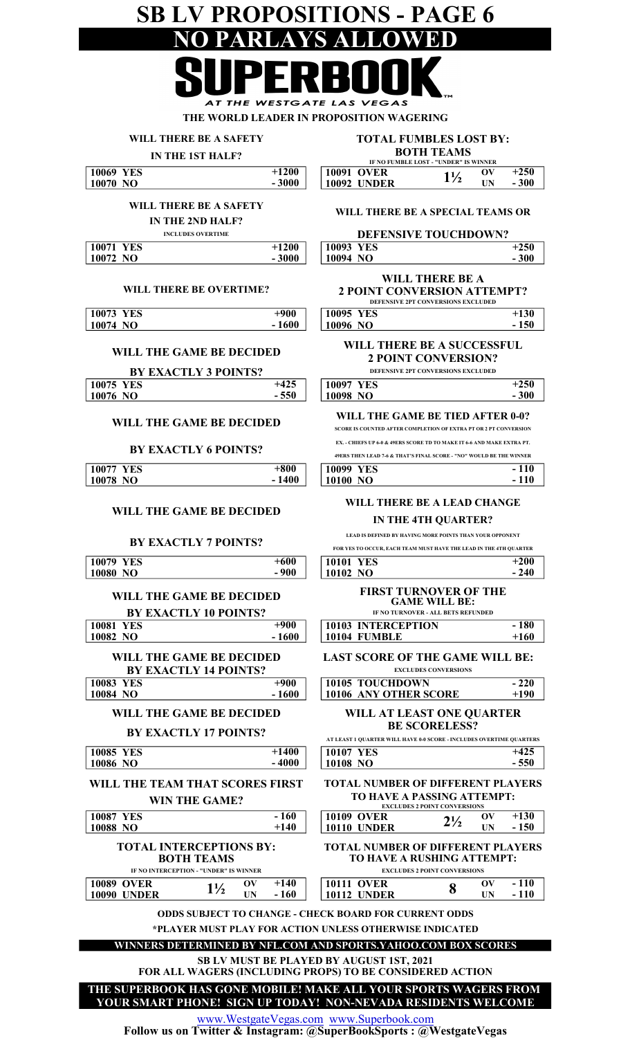### SB LV PROPOSITIONS - PAGE 6 NO PARLAYS ALLOWED  $\overline{\phantom{a}}$ L AT THE WESTGATE LAS VEGAS

THE WORLD LEADER IN PROPOSITION WAGERING

| WILL THERE BE A SAFETY                                                                            | <b>TOTAL FUMBLES LOST BY:</b>                                                                                   |  |  |  |
|---------------------------------------------------------------------------------------------------|-----------------------------------------------------------------------------------------------------------------|--|--|--|
| <b>IN THE 1ST HALF?</b>                                                                           | <b>BOTH TEAMS</b><br>IF NO FUMBLE LOST - "UNDER" IS WINNER                                                      |  |  |  |
| 10069 YES<br>$+1200$<br>10070 NO<br>$-3000$                                                       | <b>10091 OVER</b><br>$+250$<br>$\mathbf{O}(\mathbf{V})$<br>$1\frac{1}{2}$<br><b>10092 UNDER</b><br>$-300$<br>UN |  |  |  |
| WILL THERE BE A SAFETY<br>IN THE 2ND HALF?                                                        | WILL THERE BE A SPECIAL TEAMS OR                                                                                |  |  |  |
| <b>INCLUDES OVERTIME</b><br>$+1200$<br>10071 YES                                                  | <b>DEFENSIVE TOUCHDOWN?</b><br>10093 YES<br>$+250$                                                              |  |  |  |
| $-3000$<br>10072 NO                                                                               | 10094 NO<br>$-300$                                                                                              |  |  |  |
| WILL THERE BE OVERTIME?                                                                           | WILL THERE BE A<br><b>2 POINT CONVERSION ATTEMPT?</b><br>DEFENSIVE 2PT CONVERSIONS EXCLUDED                     |  |  |  |
| 10073 YES<br>$+900$<br>10074 NO<br>$-1600$                                                        | 10095 YES<br>$+130$<br>10096 NO<br>$-150$                                                                       |  |  |  |
| WILL THE GAME BE DECIDED                                                                          | WILL THERE BE A SUCCESSFUL<br><b>2 POINT CONVERSION?</b>                                                        |  |  |  |
| <b>BY EXACTLY 3 POINTS?</b>                                                                       | DEFENSIVE 2PT CONVERSIONS EXCLUDED                                                                              |  |  |  |
| 10075 YES<br>$+425$<br>$-550$<br>10076 NO                                                         | $+250$<br><b>10097 YES</b><br>$-300$<br>10098 NO                                                                |  |  |  |
|                                                                                                   |                                                                                                                 |  |  |  |
| WILL THE GAME BE DECIDED                                                                          | WILL THE GAME BE TIED AFTER 0-0?<br>SCORE IS COUNTED AFTER COMPLETION OF EXTRA PT OR 2 PT CONVERSION            |  |  |  |
| <b>BY EXACTLY 6 POINTS?</b>                                                                       | EX. - CHIEFS UP 6-0 & 49ERS SCORE TD TO MAKE IT 6-6 AND MAKE EXTRA PT.                                          |  |  |  |
| 10077 YES<br>$+800$                                                                               | 49ERS THEN LEAD 7-6 & THAT'S FINAL SCORE - "NO" WOULD BE THE WINNER<br>$-110$<br>10099 YES                      |  |  |  |
| 10078 NO<br>$-1400$                                                                               | 10100 NO<br>- 110                                                                                               |  |  |  |
| WILL THE GAME BE DECIDED                                                                          | WILL THERE BE A LEAD CHANGE<br>IN THE 4TH QUARTER?<br>LEAD IS DEFINED BY HAVING MORE POINTS THAN YOUR OPPONENT  |  |  |  |
| <b>BY EXACTLY 7 POINTS?</b>                                                                       | FOR YES TO OCCUR. EACH TEAM MUST HAVE THE LEAD IN THE 4TH OUARTER                                               |  |  |  |
| <b>10079 YES</b><br>$+600$                                                                        | 10101 YES<br>$+200$                                                                                             |  |  |  |
| - 900<br>10080 NO                                                                                 | $-240$<br>10102 NO                                                                                              |  |  |  |
| WILL THE GAME BE DECIDED<br><b>BY EXACTLY 10 POINTS?</b>                                          | <b>FIRST TURNOVER OF THE</b><br><b>GAME WILL BE:</b><br>IF NO TURNOVER - ALL BETS REFUNDED                      |  |  |  |
| $\overline{+900}$<br><b>10081 YES</b>                                                             | $-180$<br><b>10103 INTERCEPTION</b>                                                                             |  |  |  |
| $-1600$<br>10082 NO                                                                               | $+160$<br>10104 FUMBLE                                                                                          |  |  |  |
| WILL THE GAME BE DECIDED<br><b>BY EXACTLY 14 POINTS?</b>                                          | <b>LAST SCORE OF THE GAME WILL BE:</b><br><b>EXCLUDES CONVERSIONS</b>                                           |  |  |  |
| <b>10083 YES</b><br>$\overline{+900}$<br>$-1600$<br>10084 NO                                      | 10105 TOUCHDOWN<br>$-220$<br>10106 ANY OTHER SCORE<br>$+190$                                                    |  |  |  |
|                                                                                                   |                                                                                                                 |  |  |  |
| WILL THE GAME BE DECIDED<br><b>BY EXACTLY 17 POINTS?</b>                                          | WILL AT LEAST ONE QUARTER<br><b>BE SCORELESS?</b>                                                               |  |  |  |
| 10085 YES<br>$+1400$                                                                              | AT LEAST 1 QUARTER WILL HAVE 0-0 SCORE - INCLUDES OVERTIME QUARTERS<br>$+425$<br><b>10107 YES</b>               |  |  |  |
| $-4000$<br>10086 NO                                                                               | $-550$<br>10108 NO                                                                                              |  |  |  |
| WILL THE TEAM THAT SCORES FIRST                                                                   | <b>TOTAL NUMBER OF DIFFERENT PLAYERS</b><br>TO HAVE A PASSING ATTEMPT:                                          |  |  |  |
| <b>WIN THE GAME?</b>                                                                              | <b>EXCLUDES 2 POINT CONVERSIONS</b>                                                                             |  |  |  |
| <b>10087 YES</b><br>$-160$<br>$+140$<br>10088 NO                                                  | <b>10109 OVER</b><br>$+130$<br>$\mathbf{O}(\mathbf{V})$<br>$2\frac{1}{2}$<br>$-150$<br><b>10110 UNDER</b><br>UN |  |  |  |
| <b>TOTAL INTERCEPTIONS BY:</b><br><b>BOTH TEAMS</b>                                               | <b>TOTAL NUMBER OF DIFFERENT PLAYERS</b><br>TO HAVE A RUSHING ATTEMPT:                                          |  |  |  |
| IF NO INTERCEPTION - "UNDER" IS WINNER<br>$+140$<br><b>10089 OVER</b><br>$\mathbf{O}(\mathbf{V})$ | <b>EXCLUDES 2 POINT CONVERSIONS</b><br><b>10111 OVER</b><br>$-110$<br>$\mathbf{O} \mathbf{V}$                   |  |  |  |
| $1\frac{1}{2}$<br>$-160$<br><b>10090 UNDER</b><br>UN                                              | 8<br>$-110$<br><b>10112 UNDER</b><br>UN                                                                         |  |  |  |
|                                                                                                   | <b>ODDS SUBJECT TO CHANGE - CHECK BOARD FOR CURRENT ODDS</b>                                                    |  |  |  |
|                                                                                                   | *PLAYER MUST PLAY FOR ACTION UNLESS OTHERWISE INDICATED                                                         |  |  |  |
|                                                                                                   | WINNERS DETERMINED BY NFL.COM AND SPORTS.YAHOO.COM BOX SCORES                                                   |  |  |  |
|                                                                                                   | SB LV MUST BE PLAYED BY AUGUST 1ST, 2021<br>FOR ALL WAGERS (INCLUDING PROPS) TO BE CONSIDERED ACTION            |  |  |  |

THE SUPERBOOK HAS GONE MOBILE! MAKE ALL YOUR SPORTS WAGERS FROM YOUR SMART PHONE! SIGN UP TODAY! NON-NEVADA RESIDENTS WELCOME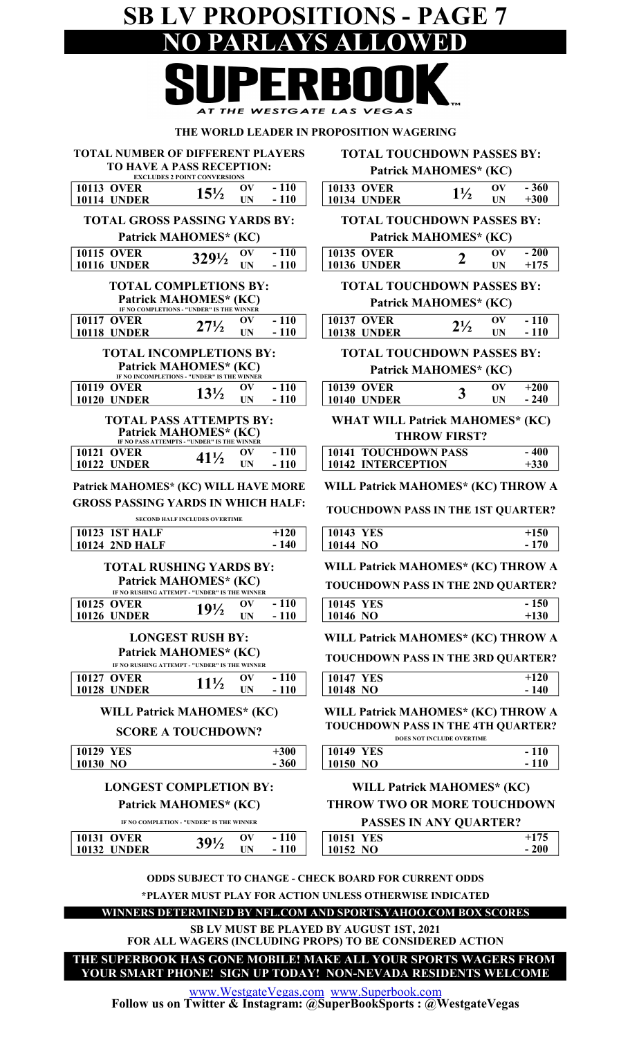## SB LV PROPOSITIONS - PAGE 7 NO PARLAYS ALLOWED AT THE WESTGATE LAS VEGAS

#### THE WORLD LEADER IN PROPOSITION WAGERING

TOTAL NUMBER OF DIFFERENT PLAYERS TO HAVE A PASS RECEPTION: EXCLUDES 2 POINT CONVERSIONS

Patrick MAHOMES\* (KC) TOTAL TOUCHDOWN PASSES BY:

|                                                                                   | <b>EXCLUDES 2 POINT CONVERSIONS</b>                                                                    |                  |                                                                                                                          | L'AUTURINIATIONIES        | $\mathbf{I}$                         |                  |
|-----------------------------------------------------------------------------------|--------------------------------------------------------------------------------------------------------|------------------|--------------------------------------------------------------------------------------------------------------------------|---------------------------|--------------------------------------|------------------|
| <b>10113 OVER</b><br><b>10114 UNDER</b>                                           | $\mathbf{O}(\mathbf{V})$<br>$15\frac{1}{2}$<br><b>UN</b>                                               | $-110$<br>$-110$ | <b>10133 OVER</b><br><b>10134 UNDER</b>                                                                                  | $1\frac{1}{2}$            | $\mathbf{O} \mathbf{V}$<br><b>UN</b> | $-360$<br>$+300$ |
| <b>TOTAL GROSS PASSING YARDS BY:</b>                                              |                                                                                                        |                  | <b>TOTAL TOUCHDOWN PASSES BY:</b>                                                                                        |                           |                                      |                  |
|                                                                                   | Patrick MAHOMES* (KC)                                                                                  |                  | Patrick MAHOMES* (KC)                                                                                                    |                           |                                      |                  |
| <b>10115 OVER</b>                                                                 | OV<br>3291/2                                                                                           | $-110$           | <b>10135 OVER</b>                                                                                                        | $\overline{2}$            | $\mathbf{O} \mathbf{V}$              | $-200$           |
| <b>10116 UNDER</b>                                                                | <b>UN</b>                                                                                              | $-110$           | <b>10136 UNDER</b>                                                                                                       |                           | <b>UN</b>                            | $+175$           |
|                                                                                   | <b>TOTAL COMPLETIONS BY:</b><br>Patrick MAHOMES* (KC)<br>IF NO COMPLETIONS - "UNDER" IS THE WINNER     |                  | <b>TOTAL TOUCHDOWN PASSES BY:</b><br>Patrick MAHOMES* (KC)                                                               |                           |                                      |                  |
| 10117 OVER                                                                        | OV<br>$27\frac{1}{2}$                                                                                  | $-110$           | <b>10137 OVER</b>                                                                                                        | $2\frac{1}{2}$            | $\mathbf{O} \mathbf{V}$              | $-110$           |
| <b>10118 UNDER</b>                                                                | <b>UN</b>                                                                                              | $-110$           | <b>10138 UNDER</b>                                                                                                       |                           | <b>UN</b>                            | $-110$           |
|                                                                                   | <b>TOTAL INCOMPLETIONS BY:</b><br>Patrick MAHOMES* (KC)<br>IF NO INCOMPLETIONS - "UNDER" IS THE WINNER |                  | <b>TOTAL TOUCHDOWN PASSES BY:</b><br>Patrick MAHOMES* (KC)                                                               |                           |                                      |                  |
| <b>10119 OVER</b><br><b>10120 UNDER</b>                                           | $\mathbf{O}(\mathbf{V})$<br>$13\frac{1}{2}$<br><b>UN</b>                                               | $-110$<br>$-110$ | <b>10139 OVER</b><br><b>10140 UNDER</b>                                                                                  | 3                         | $\mathbf{O} \mathbf{V}$<br><b>UN</b> | $+200$<br>$-240$ |
|                                                                                   |                                                                                                        |                  |                                                                                                                          |                           |                                      |                  |
|                                                                                   | <b>TOTAL PASS ATTEMPTS BY:</b><br>Patrick MAHOMES* (KC)<br>IF NO PASS ATTEMPTS - "UNDER" IS THE WINNER |                  | <b>WHAT WILL Patrick MAHOMES* (KC)</b>                                                                                   | <b>THROW FIRST?</b>       |                                      |                  |
| <b>10121 OVER</b><br><b>10122 UNDER</b>                                           | $\mathbf{O}(\mathbf{V})$<br>$41\frac{1}{2}$<br><b>UN</b>                                               | $-110$<br>$-110$ | <b>10141 TOUCHDOWN PASS</b><br>10142 INTERCEPTION                                                                        |                           |                                      | $-400$<br>$+330$ |
|                                                                                   |                                                                                                        |                  |                                                                                                                          |                           |                                      |                  |
| Patrick MAHOMES* (KC) WILL HAVE MORE<br><b>GROSS PASSING YARDS IN WHICH HALF:</b> |                                                                                                        |                  | WILL Patrick MAHOMES* (KC) THROW A                                                                                       |                           |                                      |                  |
|                                                                                   | <b>SECOND HALF INCLUDES OVERTIME</b>                                                                   |                  | TOUCHDOWN PASS IN THE 1ST QUARTER?                                                                                       |                           |                                      |                  |
| <b>10123 1ST HALF</b><br><b>10124 2ND HALF</b>                                    |                                                                                                        | $+120$<br>$-140$ | 10143 YES<br>10144 NO                                                                                                    |                           |                                      | $+150$<br>$-170$ |
|                                                                                   | <b>TOTAL RUSHING YARDS BY:</b>                                                                         |                  | WILL Patrick MAHOMES* (KC) THROW A                                                                                       |                           |                                      |                  |
|                                                                                   | Patrick MAHOMES* (KC)<br>IF NO RUSHING ATTEMPT - "UNDER" IS THE WINNER                                 |                  | TOUCHDOWN PASS IN THE 2ND QUARTER?                                                                                       |                           |                                      |                  |
| <b>10125 OVER</b>                                                                 | $\mathbf{O}(\mathbf{V})$<br>$19\frac{1}{2}$<br><b>UN</b>                                               | $-110$<br>$-110$ | 10145 YES                                                                                                                |                           |                                      | $-150$<br>$+130$ |
| <b>10126 UNDER</b>                                                                |                                                                                                        |                  | 10146 NO                                                                                                                 |                           |                                      |                  |
|                                                                                   | <b>LONGEST RUSH BY:</b><br>Patrick MAHOMES* (KC)<br>IF NO RUSHING ATTEMPT - "UNDER" IS THE WINNER      |                  | WILL Patrick MAHOMES* (KC) THROW A<br>TOUCHDOWN PASS IN THE 3RD QUARTER?                                                 |                           |                                      |                  |
| <b>10127 OVER</b>                                                                 | $\mathbf{O}(\mathbf{V})$<br>$11\frac{1}{2}$                                                            | $-110$           | <b>10147 YES</b>                                                                                                         |                           |                                      | $+120$           |
| <b>10128 UNDER</b>                                                                | <b>UN</b>                                                                                              | $-110$           | 10148 NO                                                                                                                 |                           |                                      | $-140$           |
|                                                                                   | <b>WILL Patrick MAHOMES* (KC)</b><br><b>SCORE A TOUCHDOWN?</b>                                         |                  | WILL Patrick MAHOMES* (KC) THROW A<br><b>TOUCHDOWN PASS IN THE 4TH QUARTER?</b>                                          |                           |                                      |                  |
| <b>10129 YES</b>                                                                  |                                                                                                        | $+300$           | <b>10149 YES</b>                                                                                                         | DOES NOT INCLUDE OVERTIME |                                      | $-110$           |
| 10130 NO                                                                          |                                                                                                        | $-360$           | 10150 NO                                                                                                                 |                           |                                      | $-110$           |
|                                                                                   |                                                                                                        |                  |                                                                                                                          |                           |                                      |                  |
|                                                                                   | <b>LONGEST COMPLETION BY:</b>                                                                          |                  | WILL Patrick MAHOMES* (KC)                                                                                               |                           |                                      |                  |
|                                                                                   | Patrick MAHOMES* (KC)                                                                                  |                  | <b>THROW TWO OR MORE TOUCHDOWN</b>                                                                                       |                           |                                      |                  |
|                                                                                   | IF NO COMPLETION - "UNDER" IS THE WINNER                                                               |                  | PASSES IN ANY QUARTER?                                                                                                   |                           |                                      |                  |
| 10131 OVER                                                                        | $\mathbf{O} \mathbf{V}$<br>$39\frac{1}{2}$                                                             | $-110$           | 10151 YES                                                                                                                |                           |                                      | $+175$           |
| <b>10132 UNDER</b>                                                                | <b>UN</b>                                                                                              | $-110$           | 10152 NO                                                                                                                 |                           |                                      | $-200$           |
|                                                                                   |                                                                                                        |                  | <b>ODDS SUBJECT TO CHANGE - CHECK BOARD FOR CURRENT ODDS</b>                                                             |                           |                                      |                  |
|                                                                                   |                                                                                                        |                  | *PLAYER MUST PLAY FOR ACTION UNLESS OTHERWISE INDICATED<br>WINNERS DETERMINED BY NFL.COM AND SPORTS.YAHOO.COM BOX SCORES |                           |                                      |                  |

THE SUPERBOOK HAS GONE MOBILE! MAKE ALL YOUR SPORTS WAGERS FROM YOUR SMART PHONE! SIGN UP TODAY! NON-NEVADA RESIDENTS WELCOME

www.WestgateVegas.com www.Superbook.com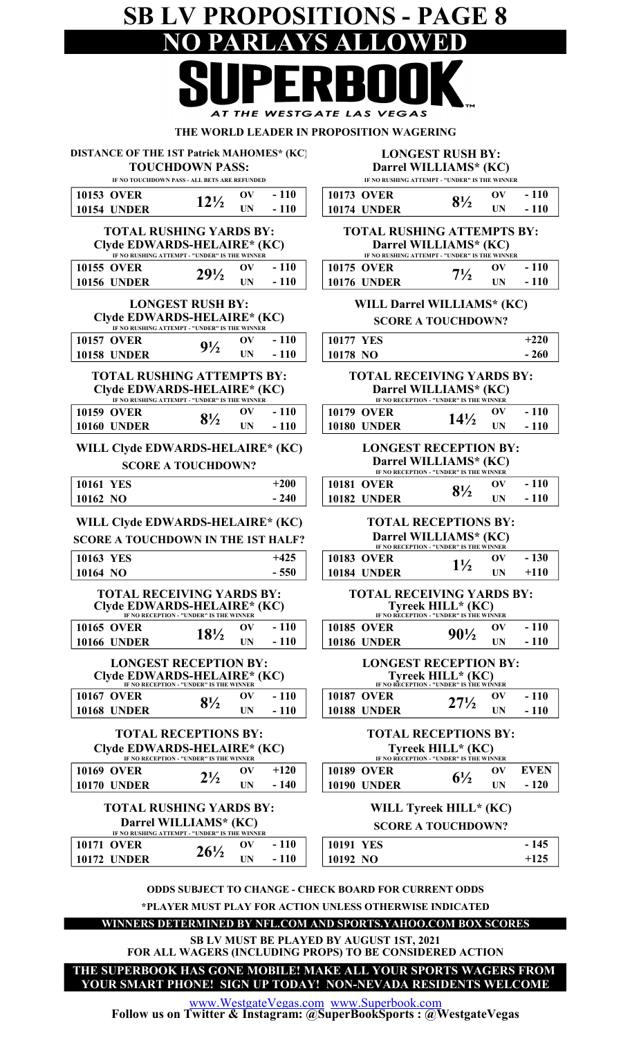## SB LV PROPOSITIONS - PAGE 8 NO PARLAYS ALLOWED AT THE WESTGATE LAS VEGAS

#### THE WORLD LEADER IN PROPOSITION WAGERING

10153 OVER 1217 OV - 110 10 10154 UNDER  $12^{12}$  UN - 110 | 10 - 110 TOTAL RUSHING YARDS BY: IF NO TOUCHDOWN PASS - ALL BETS ARE REFUNDED  $12\frac{1}{2}$ DISTANCE OF THE 1ST Patrick MAHOMES\* (KC) TOUCHDOWN PASS:

| Clyde EDWARDS-HELAIRE* (KC)                   |                 |  |        |                    | Darrel WILLIAMS* (KC                       |    |
|-----------------------------------------------|-----------------|--|--------|--------------------|--------------------------------------------|----|
| IF NO RUSHING ATTEMPT - "UNDER" IS THE WINNER |                 |  |        |                    | IF NO RUSHING ATTEMPT - "UNDER" IS THE WIN |    |
| 10155 OVER                                    | $29\frac{1}{2}$ |  | $-110$ | <b>10175 OVER</b>  |                                            | OV |
| <b>10156 UNDER</b>                            |                 |  | $-110$ | <b>10176 UNDER</b> |                                            |    |
|                                               |                 |  |        |                    | - <del>-----</del> - - - - - - - -         |    |

#### LONGEST RUSH BY: Clyde EDWARDS-HELAIRE\* (KC) IF NO RUSHING ATTEMPT - "UNDER" IS THE WINNER

| <b>10158 UNDER</b> | $9\frac{1}{2}$ | <b>IIN</b> | $-110$ | $10178$ NO  |  |
|--------------------|----------------|------------|--------|-------------|--|
| <b>10157 OVER</b>  |                | ov         | $-110$ | $10177$ YES |  |

#### TOTAL RUSHING ATTEMPTS BY: Clyde EDWARDS-HELAIRE\* (KC) IF NO RUSHING ATTEMPT - "UNDER" IS THE WINNER

| <b>10159 OVER</b>  | $\mathbf{R}^{1}$ | 110<br>$\overline{\phantom{0}}$ | <b>10179 OVER</b>  | ОV |
|--------------------|------------------|---------------------------------|--------------------|----|
| <b>10160 UNDER</b> | 072              |                                 | <b>10180 UNDER</b> | ПN |

#### WILL Clyde EDWARDS-HELAIRE\* (KC) SCORE A TOUCHDOWN?

| 10161 YES | $+200$ | <b>10181 OVER</b>  | $8\frac{1}{2}$ | ОV<br>UN |
|-----------|--------|--------------------|----------------|----------|
| 10162 NO  | $-240$ | <b>10182 UNDER</b> |                |          |

#### WILL Clyde EDWARDS-HELAIRE\* (KC)

| SCORE A TOUCHDOWN IN THE 1ST HALF? |        | Darrel WILLIAMS* (KC | IF NO RECEPTION - "UNDER" IS THE WINNER |    |
|------------------------------------|--------|----------------------|-----------------------------------------|----|
| 10163 YES                          | $+425$ | <b>10183 OVER</b>    |                                         | OV |
| 10164 NO                           | $-550$ | <b>10184 UNDER</b>   |                                         |    |

#### TOTAL RECEIVING YARDS BY: Clyde EDWARDS-HELAIRE\* (KC) IF NO RECEPTION - "UNDER" IS THE WINNER

| <b>LONGEST RECEPTION BY:</b> |                    |                 |  |        |                   | <b>LONGEST RECEPTION B</b> |    |
|------------------------------|--------------------|-----------------|--|--------|-------------------|----------------------------|----|
|                              | <b>10166 UNDER</b> |                 |  | $-110$ | 10186 UNDER       |                            |    |
|                              | <b>10165 OVER</b>  | $18\frac{1}{2}$ |  | $-110$ | <b>10185 OVER</b> | $90\frac{1}{2}$            | OV |

#### 10167 OVER  $_{01}$ , OV - 110 | 1 Clyde EDWARDS-HELAIRE\* (KC) IF NO RECEPTION - "UNDER" IS THE WINNER  $-110$

| <b>10168 UNDER</b> | VI.            | $\blacksquare$ | 10188 UNDER |                            |  |
|--------------------|----------------|----------------|-------------|----------------------------|--|
| TOTAL              | DECEPTIONS BV. |                |             | <b>TOTAL DECEPTIONS BY</b> |  |

#### TOTAL RECEPTIONS BY: Clyde EDWARDS-HELAIRE\* (KC) IF NO RECEPTION - "UNDER" IS THE WINNER

| <b>10169 OVER</b>     | $2\frac{1}{2}$ | OV        | $+120$   | <b>10189 OVER</b>  |                         | ЭV |
|-----------------------|----------------|-----------|----------|--------------------|-------------------------|----|
| 10170<br><b>UNDER</b> |                | <b>UN</b> | 140<br>۰ | <b>10190 UNDER</b> | $\mathbf{0}'\mathbf{2}$ | UN |
|                       |                |           |          |                    |                         |    |

#### TOTAL RUSHING YARDS BY: Darrel WILLIAMS\* (KC) IF NO RUSHING ATTEMPT

| $\mathbf{u}$ avertised all legal $\mathbf{r}$ entry to the gravitation |    |        |                  |
|------------------------------------------------------------------------|----|--------|------------------|
| 10171 OVER                                                             |    | $-110$ | <b>10191 YES</b> |
| <b>10172 UNDER</b>                                                     | ĪΝ | $-110$ | $10192$ NO       |

#### LONGEST RUSH BY: Darrel WILLIAMS\* (KC)

IF NO RUSHING ATTEMPT - "UNDER" IS THE WINNER

| <b>173 OVER</b>  |                | OV | $-110$ |
|------------------|----------------|----|--------|
| <b>174 UNDER</b> | $8\frac{1}{2}$ | UN | $-110$ |

#### IF NO RUSHING ATTEMPT - "UNDER" IS THE WINNER Darrel WILLIAMS\* (KC) TOTAL RUSHING ATTEMPTS BY:

| 10175 OVER  | $7\frac{1}{2}$ | $\mathbf{O}(\mathbf{V})$ | $-110$ |  |
|-------------|----------------|--------------------------|--------|--|
| 10176 UNDER |                | $\mathbf{I} \mathbf{N}$  | $-110$ |  |
|             |                |                          |        |  |

#### WILL Darrel WILLIAMS\* (KC) SCORE A TOUCHDOWN?

|         | 0177 YES                                                                                             | $+220$ |
|---------|------------------------------------------------------------------------------------------------------|--------|
| 0178 NO |                                                                                                      | $-260$ |
|         | <b>TOTAL RECEIVING YARDS BY:</b><br>Darrel WILLIAMS* (KC)<br>IF NO RECEPTION - "UNDER" IS THE WINNER |        |

| <b>10179 OVER</b>  | $14\frac{1}{2}$ | OV  | $-110$ |
|--------------------|-----------------|-----|--------|
| <b>10180 UNDER</b> |                 | IIN | $-110$ |
|                    |                 |     |        |

#### LONGEST RECEPTION BY: Darrel WILLIAMS\* (KC) IF NO RECEPTION - "UNDER" IS THE WINNER

| <b>10181 OVER</b>  | $\mathbf{O}(\mathbf{V})$ | $-110$ |
|--------------------|--------------------------|--------|
| <b>10182 UNDER</b> | <b>IIN</b>               | $-110$ |
|                    |                          |        |

#### TOTAL RECEPTIONS BY:

| SCORE A TOUCHDOWN IN THE 1ST HALF?                              |        |                                  | Darrel WILLIAMS* (KC)<br>IF NO RECEPTION - "UNDER" IS THE WINNER |        |        |
|-----------------------------------------------------------------|--------|----------------------------------|------------------------------------------------------------------|--------|--------|
| 10163 YES                                                       | $+425$ | <b>10183 OVER</b>                | OV                                                               | $-130$ |        |
| 10164 NO                                                        | $-550$ | <b>10184 UNDER</b>               | $1\frac{1}{2}$                                                   | TN     | $+110$ |
| <b>TOTAL RECEIVING YARDS BY:</b><br>Clyde EDWARDS-HELAIRE* (KC) |        | <b>TOTAL RECEIVING YARDS BY:</b> | Tyreek $HILL^*(KC)$                                              |        |        |

|                    | IF NO RECEPTION - "UNDER" IS THE WINNER |    |        |                    | IF NO RECEPTION - "UNDER" IS THE WINNER |    |       |
|--------------------|-----------------------------------------|----|--------|--------------------|-----------------------------------------|----|-------|
| <b>10165 OVER</b>  | $18\%$                                  |    | $-110$ | <b>10185 OVER</b>  | $90\frac{1}{2}$                         |    | - 110 |
| <b>10166 UNDER</b> |                                         | UN | - 1    | <b>10186 UNDER</b> |                                         | UN | - 110 |
|                    |                                         |    |        |                    |                                         |    |       |

#### LONGEST RECEPTION BY: Tyreek HILL\* (KC) IF NO RECEPTION - "UNDER" IS THE WINNER

| 10187 OVER  | $27\frac{1}{2}$ | OV         | $-110$ |
|-------------|-----------------|------------|--------|
| 10188 UNDER |                 | <b>IIN</b> | $-110$ |
|             |                 |            |        |

#### TOTAL RECEPTIONS BY: Tyreek HILL\* (KC) IF NO RECEPTION - "UNDER" IS THE WINNER

| 10189 OVER  | Oν | EVEN   |
|-------------|----|--------|
| 10190 UNDER | UN | $-120$ |
|             |    |        |

### WILL Tyreek HILL\* (KC)

#### SCORE A TOUCHDOWN?

|                 | OV        | 110<br>$\sim$ 100 $\pm$ | <b>YES</b><br>10191     | ٠   |
|-----------------|-----------|-------------------------|-------------------------|-----|
| $26\frac{1}{2}$ | <b>UN</b> | $-110$                  | 10192<br>N <sub>O</sub> | 149 |

\*PLAYER MUST PLAY FOR ACTION UNLESS OTHERWISE INDICATED ODDS SUBJECT TO CHANGE - CHECK BOARD FOR CURRENT ODDS

#### WINNERS DETERMINED BY NFL.COM AND SPORTS.YAHOO.COM BOX SCORES

SB LV MUST BE PLAYED BY AUGUST 1ST, 2021

FOR ALL WAGERS (INCLUDING PROPS) TO BE CONSIDERED ACTION

YOUR SMART PHONE! SIGN UP TODAY! NON-NEVADA RESIDENTS WELCOME THE SUPERBOOK HAS GONE MOBILE! MAKE ALL YOUR SPORTS WAGERS FROM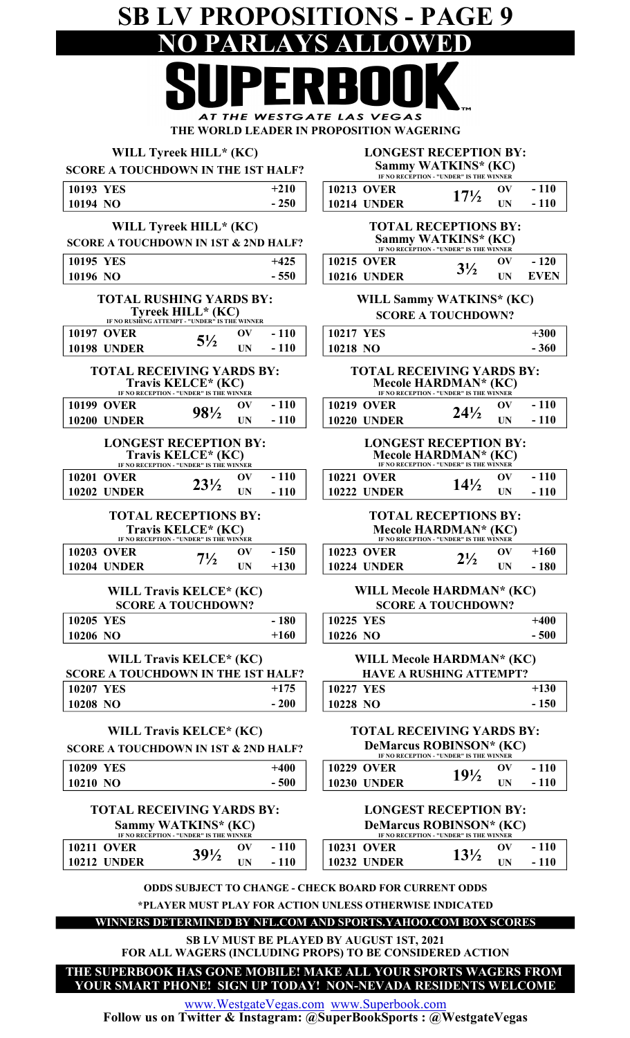## SB LV PROPOSITIONS - PAGE 9 ARLAYS ALLOWED

AT THE WESTGATE LAS VEGAS THE WORLD LEADER IN PROPOSITION WAGERING

| WILL Tyreek HILL* (KC) |  |
|------------------------|--|
|                        |  |

#### LONGEST RECEPTION BY: Sammy WATKINS\* (KC)

| <b>SCORE A TOUCHDOWN IN THE 1ST HALF?</b>       |                                                                                                      |                  | Sammy WATKINS* (KC)<br>IF NO RECEPTION - "UNDER" IS THE WINNER                                                          |                                                                                                     |                                       |                  |  |
|-------------------------------------------------|------------------------------------------------------------------------------------------------------|------------------|-------------------------------------------------------------------------------------------------------------------------|-----------------------------------------------------------------------------------------------------|---------------------------------------|------------------|--|
| 10193 YES                                       |                                                                                                      | $+210$           | <b>10213 OVER</b>                                                                                                       |                                                                                                     | $\mathbf{O}(\mathbf{V})$              | $-110$           |  |
| 10194 NO                                        |                                                                                                      | $-250$           | <b>10214 UNDER</b>                                                                                                      | $17\frac{1}{2}$                                                                                     | <b>UN</b>                             | $-110$           |  |
| <b>SCORE A TOUCHDOWN IN 1ST &amp; 2ND HALF?</b> | WILL Tyreek HILL* (KC)                                                                               |                  | <b>TOTAL RECEPTIONS BY:</b><br>Sammy WATKINS* (KC)                                                                      |                                                                                                     |                                       |                  |  |
|                                                 |                                                                                                      | $+425$           |                                                                                                                         | IF NO RECEPTION - "UNDER" IS THE WINNER                                                             |                                       | $-120$           |  |
| 10195 YES<br>10196 NO                           |                                                                                                      | $-550$           | <b>10215 OVER</b><br><b>10216 UNDER</b>                                                                                 | $3\frac{1}{2}$                                                                                      | $\mathbf{O}(\mathbf{V})$<br><b>UN</b> | <b>EVEN</b>      |  |
|                                                 | <b>TOTAL RUSHING YARDS BY:</b><br>Tyreek HILL* (KC)<br>IF NO RUSHING ATTEMPT - "UNDER" IS THE WINNER |                  |                                                                                                                         | <b>WILL Sammy WATKINS* (KC)</b><br><b>SCORE A TOUCHDOWN?</b>                                        |                                       |                  |  |
| <b>10197 OVER</b>                               | $\mathbf{O} \mathbf{V}$<br>$5\frac{1}{2}$                                                            | $-110$           | <b>10217 YES</b>                                                                                                        |                                                                                                     |                                       | $+300$           |  |
| <b>10198 UNDER</b>                              | <b>UN</b>                                                                                            | $-110$           | 10218 NO                                                                                                                |                                                                                                     |                                       | $-360$           |  |
|                                                 | <b>TOTAL RECEIVING YARDS BY:</b><br>Travis KELCE* (KC)<br>IF NO RECEPTION - "UNDER" IS THE WINNER    |                  |                                                                                                                         | <b>TOTAL RECEIVING YARDS BY:</b><br>Mecole HARDMAN* (KC)<br>IF NO RECEPTION - "UNDER" IS THE WINNER |                                       |                  |  |
| <b>10199 OVER</b>                               | $\mathbf{O}(\mathbf{V})$<br>98½                                                                      | $-110$           | <b>10219 OVER</b>                                                                                                       | $24\frac{1}{2}$                                                                                     | OV                                    | $-110$           |  |
| <b>10200 UNDER</b>                              | <b>UN</b>                                                                                            | $-110$           | <b>10220 UNDER</b>                                                                                                      |                                                                                                     | <b>UN</b>                             | $-110$           |  |
|                                                 | <b>LONGEST RECEPTION BY:</b><br>Travis KELCE* (KC)<br>IF NO RECEPTION - "UNDER" IS THE WINNER        |                  |                                                                                                                         | <b>LONGEST RECEPTION BY:</b><br>Mecole HARDMAN* (KC)<br>IF NO RECEPTION - "UNDER" IS THE WINNER     |                                       |                  |  |
| <b>10201 OVER</b>                               | $\mathbf{O}(\mathbf{V})$<br>$23\frac{1}{2}$                                                          | $-110$           | <b>10221 OVER</b>                                                                                                       | $14\frac{1}{2}$                                                                                     | OV                                    | $-110$           |  |
| <b>10202 UNDER</b>                              | <b>UN</b>                                                                                            | $-110$           | <b>10222 UNDER</b>                                                                                                      |                                                                                                     | <b>UN</b>                             | $-110$           |  |
|                                                 | <b>TOTAL RECEPTIONS BY:</b><br>Travis KELCE* (KC)<br>IF NO RECEPTION - "UNDER" IS THE WINNER         |                  |                                                                                                                         | <b>TOTAL RECEPTIONS BY:</b><br>Mecole HARDMAN* (KC)<br>IF NO RECEPTION - "UNDER" IS THE WINNER      |                                       |                  |  |
| <b>10203 OVER</b>                               | OV<br>$7\frac{1}{2}$                                                                                 | $-150$           | <b>10223 OVER</b>                                                                                                       | $2\frac{1}{2}$                                                                                      | $\mathbf{O}(\mathbf{V})$              | $+160$           |  |
| <b>10204 UNDER</b>                              | <b>UN</b>                                                                                            | $+130$           | <b>10224 UNDER</b>                                                                                                      |                                                                                                     | <b>UN</b>                             | $-180$           |  |
|                                                 | WILL Travis KELCE* (KC)<br><b>SCORE A TOUCHDOWN?</b>                                                 |                  |                                                                                                                         | <b>WILL Mecole HARDMAN* (KC)</b><br><b>SCORE A TOUCHDOWN?</b>                                       |                                       |                  |  |
| <b>10205 YES</b>                                |                                                                                                      | $-180$           | 10225 YES                                                                                                               |                                                                                                     |                                       | $+400$           |  |
| 10206 NO                                        |                                                                                                      | $+160$           | 10226 NO                                                                                                                |                                                                                                     |                                       | $-500$           |  |
| <b>SCORE A TOUCHDOWN IN THE 1ST HALF?</b>       | WILL Travis KELCE* (KC)                                                                              |                  |                                                                                                                         | <b>WILL Mecole HARDMAN* (KC)</b><br><b>HAVE A RUSHING ATTEMPT?</b>                                  |                                       |                  |  |
| <b>10207 YES</b>                                |                                                                                                      | $+175$           | <b>10227 YES</b>                                                                                                        |                                                                                                     |                                       | $+130$           |  |
| 10208 NO                                        |                                                                                                      | $-200$           | 10228 NO                                                                                                                |                                                                                                     |                                       | $-150$           |  |
| <b>SCORE A TOUCHDOWN IN 1ST &amp; 2ND HALF?</b> | WILL Travis KELCE* (KC)                                                                              |                  |                                                                                                                         | <b>TOTAL RECEIVING YARDS BY:</b><br>DeMarcus ROBINSON* (KC)                                         |                                       |                  |  |
|                                                 |                                                                                                      |                  |                                                                                                                         | IF NO RECEPTION - "UNDER" IS THE WINNER                                                             |                                       |                  |  |
| <b>10209 YES</b><br>10210 NO                    |                                                                                                      | $+400$<br>$-500$ | <b>10229 OVER</b><br><b>10230 UNDER</b>                                                                                 | $19\frac{1}{2}$                                                                                     | $\mathbf{O}(\mathbf{V})$<br><b>UN</b> | $-110$<br>$-110$ |  |
|                                                 |                                                                                                      |                  |                                                                                                                         |                                                                                                     |                                       |                  |  |
|                                                 | <b>TOTAL RECEIVING YARDS BY:</b><br>Sammy WATKINS* (KC)<br>IF NO RECEPTION - "UNDER" IS THE WINNER   |                  |                                                                                                                         | <b>LONGEST RECEPTION BY:</b><br>DeMarcus ROBINSON* (KC)<br>IF NO RECEPTION - "UNDER" IS THE WINNER  |                                       |                  |  |
| <b>10211 OVER</b>                               | $\mathbf{O}(\mathbf{V})$<br>$39\frac{1}{2}$                                                          | $-110$           | <b>10231 OVER</b>                                                                                                       | $13\frac{1}{2}$                                                                                     | OV                                    | $-110$           |  |
| <b>10212 UNDER</b>                              | UN                                                                                                   | $-110$           | <b>10232 UNDER</b>                                                                                                      |                                                                                                     | <b>UN</b>                             | $-110$           |  |
|                                                 |                                                                                                      |                  | <b>ODDS SUBJECT TO CHANGE - CHECK BOARD FOR CURRENT ODDS</b><br>*PLAYER MUST PLAY FOR ACTION UNLESS OTHERWISE INDICATED |                                                                                                     |                                       |                  |  |

WINNERS DETERMINED BY NFL.COM AND SPORTS.YAHOO.COM BOX SCORES

FOR ALL WAGERS (INCLUDING PROPS) TO BE CONSIDERED ACTION SB LV MUST BE PLAYED BY AUGUST 1ST, 2021

THE SUPERBOOK HAS GONE MOBILE! MAKE ALL YOUR SPORTS WAGERS FROM YOUR SMART PHONE! SIGN UP TODAY! NON-NEVADA RESIDENTS WELCOME

www.WestgateVegas.com www.Superbook.com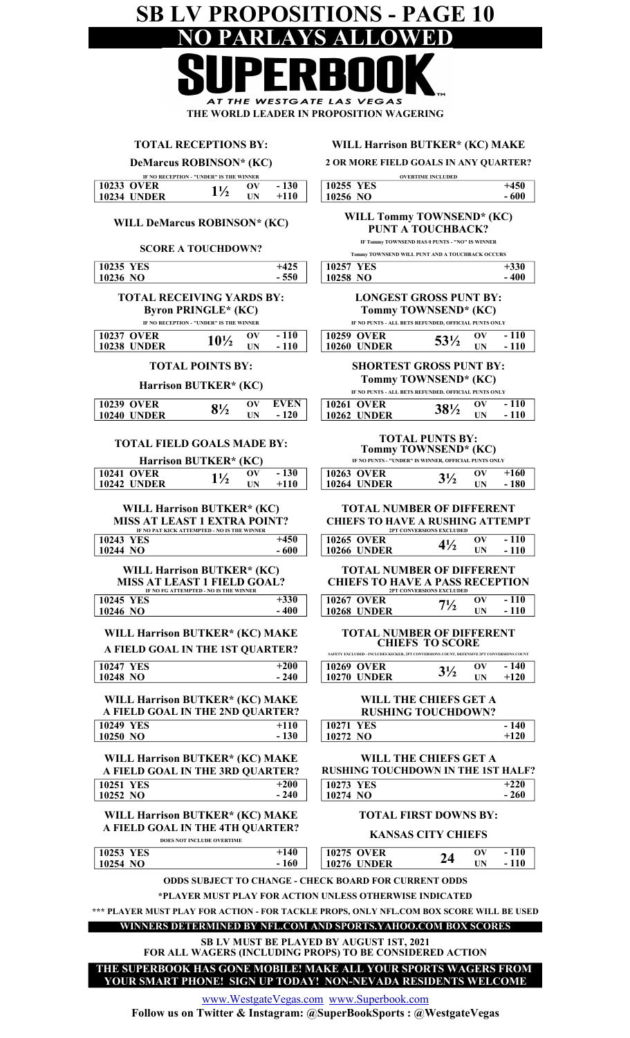#### SB LV PROPOSITIONS - PAGE 10<br>NO PARLAYS ALLOWED NO PARLAYS AI  $\Box$ Π AT THE WESTGATE LAS VEGAS THE WORLD LEADER IN PROPOSITION WAGERING

| <b>TOTAL RECEPTIONS BY:</b>                                                                                                          | <b>WILL Harrison BUTKER* (KC) MAKE</b>                                                                                                                          |
|--------------------------------------------------------------------------------------------------------------------------------------|-----------------------------------------------------------------------------------------------------------------------------------------------------------------|
| DeMarcus ROBINSON* (KC)                                                                                                              | 2 OR MORE FIELD GOALS IN ANY QUARTER?                                                                                                                           |
| IF NO RECEPTION - "UNDER" IS THE WINNER<br><b>10233 OVER</b><br>$-130$<br>OV<br>$1\frac{1}{2}$<br><b>10234 UNDER</b><br>$+110$<br>UN | <b>OVERTIME INCLUDED</b><br>10255 YES<br>$+450$<br>10256 NO<br>$-600$                                                                                           |
| <b>WILL DeMarcus ROBINSON* (KC)</b><br><b>SCORE A TOUCHDOWN?</b>                                                                     | <b>WILL Tommy TOWNSEND* (KC)</b><br><b>PUNT A TOUCHBACK?</b><br>IF Tommy TOWNSEND HAS 0 PUNTS - "NO" IS WINNER                                                  |
| 10235 YES<br>$+425$                                                                                                                  | Tommy TOWNSEND WILL PUNT AND A TOUCHBACK OCCURS<br>10257 YES<br>$+330$                                                                                          |
| 10236 NO<br>$-550$                                                                                                                   | 10258 NO<br>$-400$                                                                                                                                              |
| <b>TOTAL RECEIVING YARDS BY:</b><br><b>Byron PRINGLE* (KC)</b><br>IF NO RECEPTION - "UNDER" IS THE WINNER                            | <b>LONGEST GROSS PUNT BY:</b><br>Tommy TOWNSEND* (KC)<br>IF NO PUNTS - ALL BETS REFUNDED, OFFICIAL PUNTS ONLY                                                   |
| $-110$<br><b>10237 OVER</b><br>$\mathbf{O}(\mathbf{V})$<br>$10\frac{1}{2}$<br><b>10238 UNDER</b><br>$-110$<br>UN                     | <b>10259 OVER</b><br>$-110$<br>$\mathbf{O}(\mathbf{V})$<br>53½<br>$-110$<br><b>10260 UNDER</b><br>UN                                                            |
| <b>TOTAL POINTS BY:</b>                                                                                                              | <b>SHORTEST GROSS PUNT BY:</b>                                                                                                                                  |
| Harrison BUTKER* (KC)                                                                                                                | Tommy TOWNSEND* (KC)<br>IF NO PUNTS - ALL BETS REFUNDED, OFFICIAL PUNTS ONLY                                                                                    |
| <b>10239 OVER</b><br><b>EVEN</b><br>$\mathbf{O}(\mathbf{V})$<br>$8\frac{1}{2}$<br><b>10240 UNDER</b><br>$-120$<br>UN                 | $-110$<br>10261 OVER<br>$\mathbf{O} \mathbf{V}$<br>381/2<br>$-110$<br><b>10262 UNDER</b><br>UN                                                                  |
| <b>TOTAL FIELD GOALS MADE BY:</b><br>Harrison BUTKER* (KC)                                                                           | <b>TOTAL PUNTS BY:</b><br>Tommy TOWNSEND* (KC)<br>IF NO PUNTS - "UNDER" IS WINNER, OFFICIAL PUNTS ONLY                                                          |
| <b>10241 OVER</b><br>$-130$<br>OV<br>$1\frac{1}{2}$<br><b>10242 UNDER</b><br>$+110$<br>UN                                            | <b>10263 OVER</b><br>$+160$<br>$\mathbf{O}(\mathbf{V})$<br>$3\frac{1}{2}$<br><b>10264 UNDER</b><br>$-180$<br>UN                                                 |
| WILL Harrison BUTKER* (KC)<br><b>MISS AT LEAST 1 EXTRA POINT?</b><br>IF NO PAT KICK ATTEMPTED - NO IS THE WINNER                     | <b>TOTAL NUMBER OF DIFFERENT</b><br><b>CHIEFS TO HAVE A RUSHING ATTEMPT</b><br>2PT CONVERSIONS EXCLUDED                                                         |
| 10243 YES<br>$+450$<br>$-600$<br>10244 NO                                                                                            | <b>10265 OVER</b><br>$-110$<br>$\mathbf{O}(\mathbf{V})$<br>$4\frac{1}{2}$<br>$-110$<br><b>10266 UNDER</b><br>UN                                                 |
| <b>WILL Harrison BUTKER* (KC)</b><br><b>MISS AT LEAST 1 FIELD GOAL?</b><br>IF NO FG ATTEMPTED - NO IS THE WINNER                     | <b>TOTAL NUMBER OF DIFFERENT</b><br><b>CHIEFS TO HAVE A PASS RECEPTION</b><br>2PT CONVERSIONS EXCLUDED                                                          |
| $+330$<br><b>10245 YES</b><br>$-400$<br>10246 NO                                                                                     | $-110$<br><b>10267 OVER</b><br>$\mathbf{O}(\mathbf{V})$<br>$7\frac{1}{2}$<br><b>10268 UNDER</b><br>$-110$<br>UN                                                 |
| <b>WILL Harrison BUTKER* (KC) MAKE</b><br>A FIELD GOAL IN THE 1ST QUARTER?                                                           | <b>TOTAL NUMBER OF DIFFERENT</b><br><b>CHIEFS TO SCORE</b><br>SAFETY EXCLUDED - INCLUDES KICKER, 2PT CONVERSIONS COUNT, DEFENSIVE 2PT CONVERSIONS COUNT         |
| $+200$<br>10247 YES                                                                                                                  | - 140<br>10269 OVER<br>$\mathbf{O}(\mathbf{V})$<br>$3\frac{1}{2}$                                                                                               |
| $-240$<br>10248 NO<br><b>WILL Harrison BUTKER* (KC) MAKE</b>                                                                         | $+120$<br><b>10270 UNDER</b><br>UN.<br>WILL THE CHIEFS GET A                                                                                                    |
| A FIELD GOAL IN THE 2ND QUARTER?<br>$10249$ YES<br>$+110$                                                                            | <b>RUSHING TOUCHDOWN?</b><br><b>10271 YES</b><br>$-140$                                                                                                         |
| 10250 NO<br>$-130$                                                                                                                   | 10272 NO<br>$+120$                                                                                                                                              |
| WILL Harrison BUTKER* (KC) MAKE<br>A FIELD GOAL IN THE 3RD QUARTER?                                                                  | WILL THE CHIEFS GET A<br><b>RUSHING TOUCHDOWN IN THE 1ST HALF?</b>                                                                                              |
| 10251 YES<br>$+200$<br>$-240$<br>10252 NO                                                                                            | 10273 YES<br>$+220$<br>$-260$<br>10274 NO                                                                                                                       |
| <b>WILL Harrison BUTKER* (KC) MAKE</b>                                                                                               | <b>TOTAL FIRST DOWNS BY:</b>                                                                                                                                    |
| A FIELD GOAL IN THE 4TH QUARTER?<br>DOES NOT INCLUDE OVERTIME                                                                        | <b>KANSAS CITY CHIEFS</b>                                                                                                                                       |
| 10253 YES<br>$+140$<br>- 160<br>10254 NO                                                                                             | <b>10275 OVER</b><br>$-110$<br>$\mathbf{O}(\mathbf{V})$<br>24<br>$-110$<br>UN<br><b>10276 UNDER</b>                                                             |
|                                                                                                                                      | <b>ODDS SUBJECT TO CHANGE - CHECK BOARD FOR CURRENT ODDS</b>                                                                                                    |
|                                                                                                                                      | *PLAYER MUST PLAY FOR ACTION UNLESS OTHERWISE INDICATED                                                                                                         |
|                                                                                                                                      | *** PLAYER MUST PLAY FOR ACTION - FOR TACKLE PROPS, ONLY NFL.COM BOX SCORE WILL BE USED<br><b>WINNERS DETERMINED BY NFL.COM AND SPORTS.YAHOO.COM BOX SCORES</b> |
|                                                                                                                                      | SB LV MUST BE PLAYED BY AUGUST 1ST, 2021                                                                                                                        |
|                                                                                                                                      | FOR ALL WAGERS (INCLUDING PROPS) TO BE CONSIDERED ACTION<br>THE SUPERBOOK HAS GONE MOBILE! MAKE ALL YOUR SPORTS WAGERS FROM                                     |
|                                                                                                                                      | YOUR SMART PHONE! SIGN UP TODAY! NON-NEVADA RESIDENTS WELCOME<br>www.WootootoVooge.com.www.Superhook.com                                                        |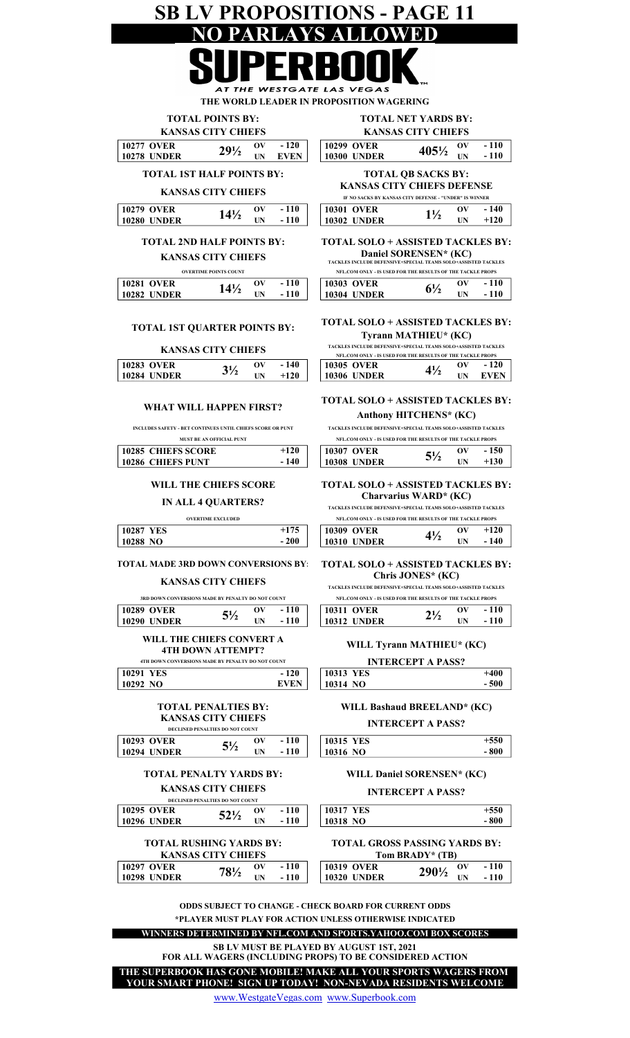## SB LV PROPOSITIONS - PAGE 11 NO PARLAYS ALLOWED

AT THE WESTGATE LAS VEGAS THE WORLD LEADER IN PROPOSITION WAGERING TOTAL POINTS BY: TOTAL NET YARDS BY: KANSAS CITY CHIEFS KANSAS CITY CHIEFS 10277 OVER 29<sup>1</sup>/<sub>2</sub> ov -120 10299 OVER 405<sup>1</sup>/<sub>2</sub> ov<br>
10278 UNDER 29<sup>1</sup>/<sub>2</sub> UN EVEN 10300 UNDER 405<sup>1</sup>/<sub>2</sub> UN 405½ - 110  $29\frac{1}{2}$ UN EVEN 10300 UNDER  $403^{72}$  UN EVEN TOTAL 1ST HALF POINTS BY: TOTAL QB SACKS BY: KANSAS CITY CHIEFS DEFENSE KANSAS CITY CHIEFS IF NO SACKS BY KANSAS CITY DEFENSE - "UNDER" IS WINNER  $\overline{0V - 110}$ 10279 OVER  $14\frac{1}{2}$  ov  $-110$  10301 OVER  $1\frac{1}{2}$  ov  $-140$ <br>10280 UNDER  $14\frac{1}{2}$  in  $-110$  10302 UNDER  $1\frac{1}{2}$  in  $+120$ 10279 OVER<br>10280 UNDER  $14\frac{1}{2}$  UN  $-110$  10302 UNDER  $1\frac{1}{2}$  UN - 110 TOTAL 2ND HALF POINTS BY:TOTAL SOLO + ASSISTED TACKLES BY: Daniel SORENSEN\* (KC) KANSAS CITY CHIEFS TACKLES INCLUDE DEFENSIVE+SPECIAL TEAMS SOLO+ASS OVERTIME POINTS COUNT NFL.COM ONLY - IS USED FOR THE RESULTS OF THE TACKLE PROPS 10281 OVER OV 10303 OVER OV  $6\frac{1}{2}$   $\frac{0V}{1N}$   $-110$  $14\frac{1}{2}$ UN - 110 | 10304 UNDER  $-110$ TOTAL SOLO + ASSISTED TACKLES BY: TOTAL 1ST QUARTER POINTS BY: Tyrann MATHIEU\* (KC) TACKLES INCLUDE DEFENSIVE+SPECIAL TEAMS SOLO+ASSISTED TACKLES KANSAS CITY CHIEFS NFL.COM ONLY - IS USED FOR THE RESULTS OF THE TACKLE PROPS<br>305 OVER  $\sim 0.726$  $\frac{3\frac{1}{2}}{3\frac{W}{1}}$   $\frac{6V}{1120}$   $\frac{-140}{120}$ 10283 OVER  $3\frac{1}{2}$  ov  $-140$  10305 OVER  $4\frac{1}{2}$  ov  $-120$ <br>10284 UNDER  $3\frac{1}{2}$  in  $+120$  10306 UNDER  $4\frac{1}{2}$  in even 10284 UNDER  $3^{72}$  UN +120 | 10306 UNDER  $10^{47}$  UN  $+120$ WHAT WILL HAPPEN FIRST? INCLUDES SAFETY - BET CONTINUES UNTIL CHIEFS SCORE OR PUNT MUST BE AN OFFICIAL PUNT 10285 CHIEFS SCORE +120<br>10286 CHIEFS PUNT -140 10308 UNDER  $+120$ 10286 CHIEFS PUNT  $-140$  | 10308 UNDER  $5^{2/2}$  UN - 140 WILL THE CHIEFS SCORE IN ALL 4 QUARTERS? OVERTIME EXCLUDED 10287 YES  $+175$ 4½ - 200  $10288$  NO  $-200$  |  $10310$  UNDER  $-7/2$  UN TOTAL MADE 3RD DOWN CONVERSIONS BY: TOTAL SOLO + ASSISTED TACKLES BY: KANSAS CITY CHIEFS 3RD DOWN CONVERSIONS MADE BY PENALTY DO NOT COUNT NFL.COM ONLY - IS USED FOR THE RESULTS OF THE TACKLE PROPS 10289 OVER  $5\frac{10}{2}$  ov  $-110$  10311 OVER  $2\frac{1}{2}$  ov 10289 OVER  $5\frac{1}{2}$  UNDER UN  $-110$ WILL THE CHIEFS CONVERT A 4TH DOWN ATTEMPT? INTERCEPT A PASS? 4TH DOWN CONVERSIONS MADE BY PENALTY DO NOT COUNT 10291 YES - 120 10313 YES  $-120$ 10292 NO EVEN | 10314 NO EVEN TOTAL PENALTIES BY: KANSAS CITY CHIEFS DECLINED PENALTIES DO NOT COUNT 10293 OVER  $5\frac{1}{2}$  ov -110 10315 YES<br>10294 UNDER  $5\frac{1}{2}$  IN -110 10316 NO  $10294$  UNDER  $3^{72}$  UN - 110 TOTAL PENALTY YARDS BY: KANSAS CITY CHIEFS DECLINED PENALTIES DO NOT COUNT 10295 OVER  $521/90$  V  $-110$  $52\frac{1}{2}$ 10296 UNDER  $\frac{3272}{N}$  UN - 110 TOTAL RUSHING YARDS BY: TOTAL GROSS PASSING YARDS BY: KANSAS CITY CHIEFS

 $10297 \text{ OVER}$   $\sim 0 \frac{10397}{10}$   $\sqrt{10}$   $\sqrt{10}$ 10298 UNDER  $10^{10/2}$  UN - 110 11  $78\frac{1}{2}$ - 110

#### +130 TOTAL SOLO + ASSISTED TACKLES BY: Anthony HITCHENS\* (KC) TACKLES INCLUDE DEFENSIVE+SPECIAL TEAMS SOLO+ASSISTED TACKLES NFL.COM ONLY - IS USED FOR THE RESULTS OF THE TACKLE PROPS  $5\frac{1}{2}$   $\frac{0V}{10V}$  - 150

- 110

- 110

 $+120$ 

EVEN

TOTAL SOLO + ASSISTED TACKLES BY: Charvarius WARD\* (KC)

| TACKLES INCLUDE DEFENSIVE+SPECIAL TEAMS SOLO+ASSISTED TACKLES |                |    |        |  |  |  |
|---------------------------------------------------------------|----------------|----|--------|--|--|--|
| NFL.COM ONLY - IS USED FOR THE RESULTS OF THE TACKLE PROPS    |                |    |        |  |  |  |
| <b>10309 OVER</b>                                             | $4\frac{1}{2}$ | ov | $+120$ |  |  |  |
| <b>10310 UNDER</b>                                            |                | ΠN | - 140  |  |  |  |

Chris JONES\* (KC)

TACKLES INCLUDE DEFENSIVE+SPECIAL TEAMS SOLO+ASSISTED TACKLES

| NFL.COM ONLY - IS USED FOR THE RESULTS OF THE TACKLE PROPS |                |    |        |  |  |  |
|------------------------------------------------------------|----------------|----|--------|--|--|--|
| <b>10311 OVER</b>                                          | $2\frac{1}{2}$ | ov | - 110  |  |  |  |
| <b>10312 UNDER</b>                                         |                | ПN | $-110$ |  |  |  |
|                                                            |                |    |        |  |  |  |

#### WILL Tyrann MATHIEU\* (KC)

 $+400$ - 500

#### WILL Bashaud BREELAND\* (KC)

INTERCEPT A PASS?

| 10315 YES | $+550$ |
|-----------|--------|
| 10316 NO  | $-800$ |
|           |        |

WILL Daniel SORENSEN\* (KC)

#### INTERCEPT A PASS?

| <b>10317 YES</b> |  |  | $+550$ |
|------------------|--|--|--------|
| 10318 NO         |  |  | $-800$ |
|                  |  |  |        |
|                  |  |  |        |

Tom BRADY\* (TB)

| <b>0319 OVER</b>  | 290½ | - OV       | $-110$ |
|-------------------|------|------------|--------|
| <b>0320 UNDER</b> |      | <b>IIN</b> | $-110$ |
|                   |      |            |        |

ODDS SUBJECT TO CHANGE - CHECK BOARD FOR CURRENT ODDS \*PLAYER MUST PLAY FOR ACTION UNLESS OTHERWISE INDICATED

SB LV MUST BE PLAYED BY AUGUST 1ST, 2021 WINNERS DETERMINED BY NFL.COM AND SPORTS.YAHOO.COM BOX SCORES

FOR ALL WAGERS (INCLUDING PROPS) TO BE CONSIDERED ACTION

YOUR SMART PHONE! SIGN UP TODAY! NON-NEVADA RESIDENTS WELCOME THE SUPERBOOK HAS GONE MOBILE! MAKE ALL YOUR SPORTS WAGERS FROM

www.WestgateVegas.com www.Superbook.com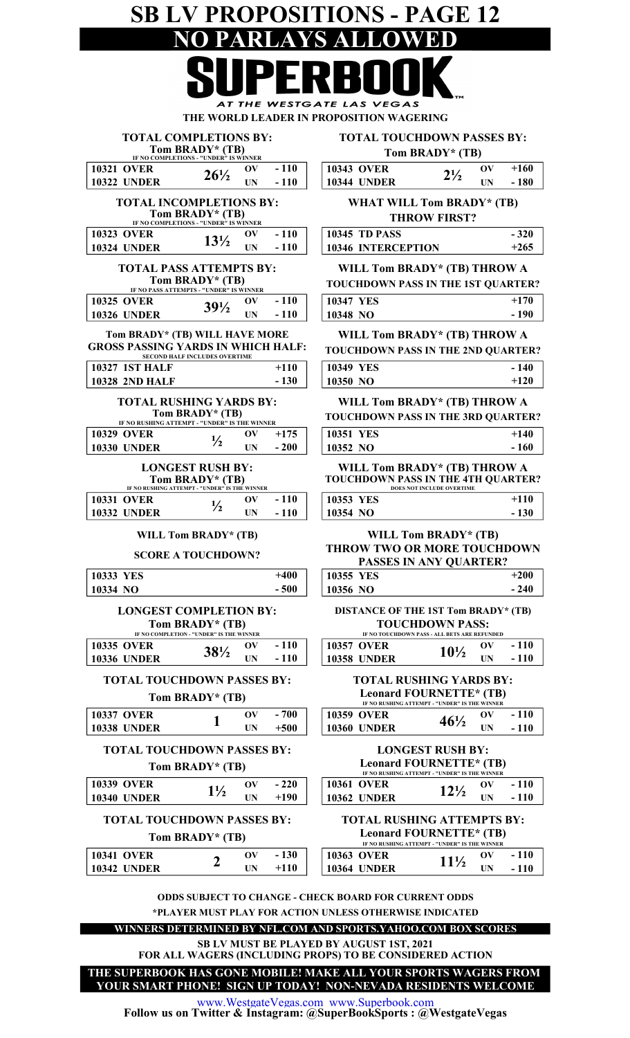## SB LV PROPOSITIONS - PAGE 12 NO PARLAYS ALLOWED THE **WESTGATE LAS VEGAS**

THE WORLD LEADER IN PROPOSITION WAGERING

| <b>TOTAL COMPLETIONS BY:</b>                                                                             |                                            |                          | <b>TOTAL TOUCHDOWN PASSES BY:</b> |                                                                                               |                           |                          |        |
|----------------------------------------------------------------------------------------------------------|--------------------------------------------|--------------------------|-----------------------------------|-----------------------------------------------------------------------------------------------|---------------------------|--------------------------|--------|
| IF NO COMPLETIONS - "UNDER" IS WINNER                                                                    | Tom BRADY* (TB)                            |                          |                                   |                                                                                               | Tom BRADY* (TB)           |                          |        |
| <b>10321 OVER</b>                                                                                        |                                            | $\mathbf{O}(\mathbf{V})$ | $-110$                            | <b>10343 OVER</b>                                                                             |                           | $\mathbf{O}(\mathbf{V})$ | $+160$ |
| <b>10322 UNDER</b>                                                                                       | $26\frac{1}{2}$                            | UN                       | $-110$                            | <b>10344 UNDER</b>                                                                            | $2\frac{1}{2}$            | <b>UN</b>                | $-180$ |
| <b>TOTAL INCOMPLETIONS BY:</b><br>IF NO COMPLETIONS - "UNDER" IS WINNER                                  | Tom BRADY* (TB)                            |                          |                                   | <b>WHAT WILL Tom BRADY* (TB)</b>                                                              | <b>THROW FIRST?</b>       |                          |        |
| <b>10323 OVER</b>                                                                                        |                                            | $\mathbf{O}(\mathbf{V})$ | $-110$                            | <b>10345 TD PASS</b>                                                                          |                           |                          | $-320$ |
| <b>10324 UNDER</b>                                                                                       | $13\frac{1}{2}$                            | <b>UN</b>                | $-110$                            | 10346 INTERCEPTION                                                                            |                           |                          | $+265$ |
| <b>TOTAL PASS ATTEMPTS BY:</b><br>IF NO PASS ATTEMPTS - "UNDER" IS WINNER                                | Tom BRADY* (TB)                            |                          |                                   | WILL Tom BRADY* (TB) THROW A<br><b>TOUCHDOWN PASS IN THE 1ST QUARTER?</b>                     |                           |                          |        |
| <b>10325 OVER</b>                                                                                        |                                            | $\mathbf{O}(\mathbf{V})$ | $-110$                            | 10347 YES                                                                                     |                           |                          | $+170$ |
| <b>10326 UNDER</b>                                                                                       | $39\frac{1}{2}$                            | <b>UN</b>                | $-110$                            | 10348 NO                                                                                      |                           |                          | $-190$ |
| Tom BRADY* (TB) WILL HAVE MORE<br><b>GROSS PASSING YARDS IN WHICH HALF:</b><br><b>10327 1ST HALF</b>     | <b>SECOND HALF INCLUDES OVERTIME</b>       |                          | $+110$                            | WILL Tom BRADY* (TB) THROW A<br><b>TOUCHDOWN PASS IN THE 2ND QUARTER?</b><br><b>10349 YES</b> |                           |                          | $-140$ |
| <b>10328 2ND HALF</b><br><b>TOTAL RUSHING YARDS BY:</b><br>IF NO RUSHING ATTEMPT - "UNDER" IS THE WINNER | Tom BRADY* (TB)                            |                          | $-130$                            | 10350 NO<br>WILL Tom BRADY* (TB) THROW A<br><b>TOUCHDOWN PASS IN THE 3RD QUARTER?</b>         |                           |                          | $+120$ |
| <b>10329 OVER</b>                                                                                        |                                            | $\mathbf{O}(\mathbf{V})$ | $+175$                            | 10351 YES                                                                                     |                           |                          | $+140$ |
| <b>10330 UNDER</b>                                                                                       | $\frac{1}{2}$                              | UN                       | $-200$                            | 10352 NO                                                                                      |                           |                          | $-160$ |
| IF NO RUSHING ATTEMPT - "UNDER" IS THE WINNER                                                            | <b>LONGEST RUSH BY:</b><br>Tom BRADY* (TB) |                          |                                   | WILL Tom BRADY* (TB) THROW A<br><b>TOUCHDOWN PASS IN THE 4TH QUARTER?</b>                     | DOES NOT INCLUDE OVERTIME |                          |        |
| <b>10331 OVER</b>                                                                                        | $\frac{1}{2}$                              | $\mathbf{O}(\mathbf{V})$ | $-110$                            | 10353 YES                                                                                     |                           |                          | $+110$ |
| <b>10332 UNDER</b>                                                                                       |                                            | UN                       | $-110$                            | 10354 NO                                                                                      |                           |                          | $-130$ |
| <b>SCORE A TOUCHDOWN?</b>                                                                                | WILL Tom BRADY* (TB)                       |                          |                                   | <b>THROW TWO OR MORE TOUCHDOWN</b><br>PASSES IN ANY QUARTER?                                  | WILL Tom BRADY* (TB)      |                          |        |

| 10333 YES          | $+400$                                                      | 10355 YES          |                                                                          |
|--------------------|-------------------------------------------------------------|--------------------|--------------------------------------------------------------------------|
| 10334 NO           | $-500$                                                      | 10356 NO           |                                                                          |
|                    | <b>LONGEST COMPLETION BY:</b>                               |                    | DISTANCE OF THE 1ST Tom BRADY* (                                         |
|                    | Tom BRADY* (TB)<br>IF NO COMPLETION - "UNDER" IS THE WINNER |                    | <b>TOUCHDOWN PASS:</b><br>IF NO TOUCHDOWN PASS - ALL BETS ARE REFUNDED   |
| <b>10335 OVER</b>  | $-110$<br>$\mathbf{O}(\mathbf{V})$<br>$38\frac{1}{2}$       | <b>10357 OVER</b>  | OV<br>$10\frac{1}{2}$                                                    |
| <b>10336 UNDER</b> | <b>UN</b><br>$-110$                                         | <b>10358 UNDER</b> | UN                                                                       |
|                    | <b>TOTAL TOUCHDOWN PASSES BY:</b>                           |                    | <b>TOTAL RUSHING YARDS BY:</b>                                           |
|                    | Tom BRADY* (TB)                                             |                    | Leonard FOURNETTE* (TB)<br>IF NO RUSHING ATTEMPT - "UNDER" IS THE WINNER |
| <b>10337 OVER</b>  | $-700$<br>$\mathbf{O}(\mathbf{V})$                          | <b>10359 OVER</b>  | OV<br>$46\frac{1}{2}$                                                    |
| <b>10338 UNDER</b> | $+500$<br>UN.                                               | <b>10360 UNDER</b> | UN                                                                       |
|                    | <b>TOTAL TOUCHDOWN PASSES BY:</b>                           |                    | <b>LONGEST RUSH BY:</b>                                                  |
|                    | Tom BRADY* (TB)                                             |                    | Leonard FOURNETTE* (TB)<br>IF NO RUSHING ATTEMPT - "UNDER" IS THE WINNER |
| <b>10339 OVER</b>  | $-220$<br>$\mathbf{O}(\mathbf{V})$<br>$1\frac{1}{2}$        | <b>10361 OVER</b>  | $\mathbf{O}(\mathbf{V})$<br>$12\frac{1}{2}$                              |
| <b>10340 UNDER</b> | UN<br>$+190$                                                | <b>10362 UNDER</b> | UN                                                                       |
|                    | <b>TOTAL TOUCHDOWN PASSES BY:</b>                           |                    | <b>TOTAL RUSHING ATTEMPTS BY</b>                                         |
|                    | Tom BRADY* (TB)                                             |                    | Leonard FOURNETTE* (TB)                                                  |
|                    |                                                             |                    |                                                                          |

- 240  $+110$ - 130 WILL Tom BRADY\* (TB) TWO OR MORE TOUCHDOWN **ASSES IN ANY QUARTER?** +200 OWN PASS IN THE 3RD QUARTER?  $+140$ - 160 Tom BRADY\* (TB) THROW A OWN PASS IN THE 4TH QUARTER? DOES NOT INCLUDE OVERTIME Tom BRADY\* (TB) THROW A OWN PASS IN THE 2ND OUARTER? - 140 +120 Tom BRADY\* (TB) THROW A

ANCE OF THE 1ST Tom BRADY\* (TB) TOUCHDOWN PASS:

|             | IF NO TOUCHDOWN PASS - ALL BETS ARE REFUNDED |    |        |
|-------------|----------------------------------------------|----|--------|
| 10357 OVER  | $10\frac{1}{2}$                              | ov | $-110$ |
| 10358 UNDER |                                              | IΝ | $-110$ |
|             |                                              |    |        |

| <b>TOTAL RUSHING YARDS BY:</b>                  |
|-------------------------------------------------|
| Leonard FOURNETTE* (TB)                         |
| IE NO DHEIHNC ATTEMPT - "IINDED" IC THE WINNED. |

|                    | IF NO RUSHING ATTEMPT - "UNDER" IS THE WINNER |            |        |
|--------------------|-----------------------------------------------|------------|--------|
| <b>10359 OVER</b>  |                                               | ov         | $-110$ |
| <b>10360 UNDER</b> | $46\frac{1}{2}$                               | <b>IIN</b> | - 110  |

| <b>LONGEST RUSH BY:</b>                       |    |    |
|-----------------------------------------------|----|----|
| Leonard FOURNETTE* (TB)                       |    |    |
| IF NO RUSHING ATTEMPT - "UNDER" IS THE WINNER |    |    |
| 271.0                                         | ωv | 1. |

| <b>10361 OVER</b>  | $12\frac{1}{2}$ | $\mathbf{O}(\mathbf{V})$ | $-110$ |
|--------------------|-----------------|--------------------------|--------|
| <b>10362 UNDER</b> |                 | <b>IIN</b>               | $-110$ |
|                    |                 |                          |        |

#### TAL RUSHING ATTEMPTS BY: onard FOURNETTE\* (TR)

|                    |  |        | IF NO RUSHING AT LEMIT - UNDER 15 THE WIND |    |
|--------------------|--|--------|--------------------------------------------|----|
| <b>10341 OVER</b>  |  | $-130$ | <b>10363 OVER</b>                          | ЭV |
| <b>10342 UNDER</b> |  | $+110$ | <b>10364 UNDER</b>                         | UN |

| <b>LEGIRIU FOUNNET IE</b> (ID)<br>IF NO RUSHING ATTEMPT - "UNDER" IS THE WINNER |                 |          |        |
|---------------------------------------------------------------------------------|-----------------|----------|--------|
|                                                                                 |                 |          |        |
| $10363$ OVER                                                                    | $11\frac{1}{2}$ | $\alpha$ | $-110$ |
| $\mid$ 10364 UNDER                                                              |                 | ĦМ       | $-110$ |

ODDS SUBJECT TO CHANGE - CHECK BOARD FOR CURRENT ODDS \*PLAYER MUST PLAY FOR ACTION UNLESS OTHERWISE INDICATED

WINNERS DETERMINED BY NFL.COM AND SPORTS.YAHOO.COM BOX SCORES

SB LV MUST BE PLAYED BY AUGUST 1ST, 2021

FOR ALL WAGERS (INCLUDING PROPS) TO BE CONSIDERED ACTION

YOUR SMART PHONE! SIGN UP TODAY! NON-NEVADA RESIDENTS WELCOME THE SUPERBOOK HAS GONE MOBILE! MAKE ALL YOUR SPORTS WAGERS FROM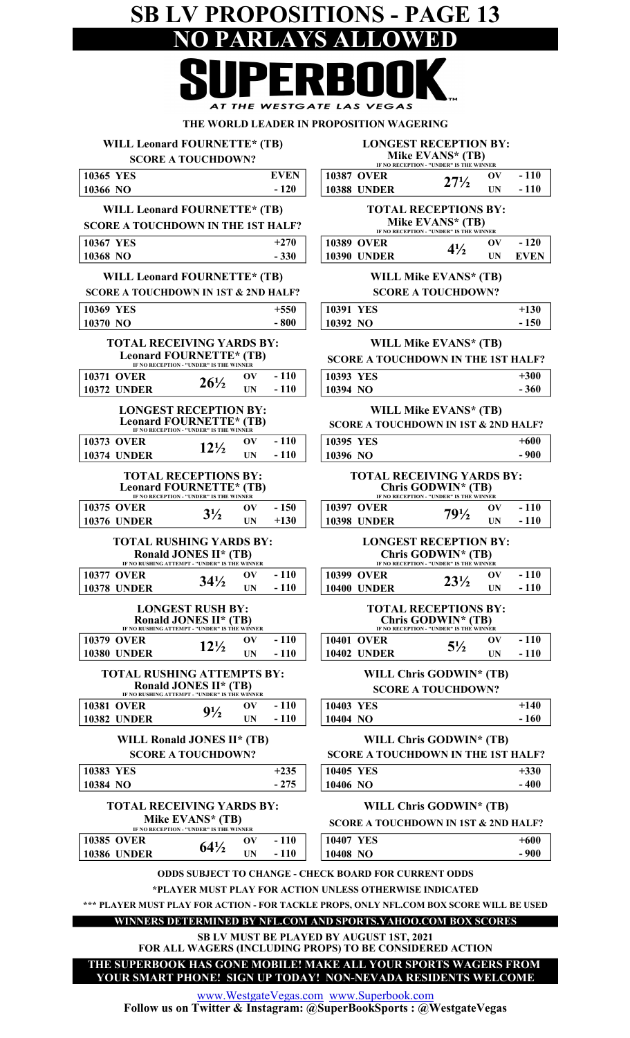## SB LV PROPOSITIONS - PAGE 13<br>NO PARLAYS ALLOWED NO PARLAYS ALI

|                                                                                                                         | ERBOUK                                                                                                                                                                                                                                                                              |
|-------------------------------------------------------------------------------------------------------------------------|-------------------------------------------------------------------------------------------------------------------------------------------------------------------------------------------------------------------------------------------------------------------------------------|
|                                                                                                                         | AT THE WESTGATE LAS VEGAS                                                                                                                                                                                                                                                           |
| WILL Leonard FOURNETTE* (TB)<br><b>SCORE A TOUCHDOWN?</b>                                                               | THE WORLD LEADER IN PROPOSITION WAGERING<br><b>LONGEST RECEPTION BY:</b><br>Mike EVANS* (TB)                                                                                                                                                                                        |
| <b>EVEN</b><br>10365 YES<br>10366 NO<br>$-120$                                                                          | IF NO RECEPTION - "UNDER" IS THE WINNER<br><b>10387 OVER</b><br>$-110$<br>$\mathbf{O}(\mathbf{V})$<br>$27\frac{1}{2}$<br><b>10388 UNDER</b><br>$-110$<br><b>UN</b>                                                                                                                  |
| WILL Leonard FOURNETTE* (TB)<br><b>SCORE A TOUCHDOWN IN THE 1ST HALF?</b>                                               | <b>TOTAL RECEPTIONS BY:</b><br>Mike EVANS* (TB)<br>IF NO RECEPTION - "UNDER" IS THE WINNER                                                                                                                                                                                          |
| <b>10367 YES</b><br>$+270$<br>10368 NO<br>$-330$                                                                        | <b>10389 OVER</b><br>$-120$<br>$\mathbf{O} \mathbf{V}$<br>$4\frac{1}{2}$<br><b>10390 UNDER</b><br><b>EVEN</b><br>UN                                                                                                                                                                 |
| <b>WILL Leonard FOURNETTE* (TB)</b><br><b>SCORE A TOUCHDOWN IN 1ST &amp; 2ND HALF?</b>                                  | <b>WILL Mike EVANS* (TB)</b><br><b>SCORE A TOUCHDOWN?</b>                                                                                                                                                                                                                           |
| $+550$<br><b>10369 YES</b><br>10370 NO<br>$-800$                                                                        | $+130$<br>10391 YES<br>10392 NO<br>$-150$                                                                                                                                                                                                                                           |
| <b>TOTAL RECEIVING YARDS BY:</b><br>Leonard FOURNETTE* (TB)<br>IF NO RECEPTION - "UNDER" IS THE WINNER                  | <b>WILL Mike EVANS* (TB)</b><br><b>SCORE A TOUCHDOWN IN THE 1ST HALF?</b>                                                                                                                                                                                                           |
| $-110$<br><b>10371 OVER</b><br>$\mathbf{O} \mathbf{V}$<br>$26\frac{1}{2}$<br><b>10372 UNDER</b><br>$-110$<br>UN         | 10393 YES<br>$+300$<br>10394 NO<br>$-360$                                                                                                                                                                                                                                           |
| <b>LONGEST RECEPTION BY:</b><br>Leonard FOURNETTE* (TB)                                                                 | <b>WILL Mike EVANS* (TB)</b><br><b>SCORE A TOUCHDOWN IN 1ST &amp; 2ND HALF?</b>                                                                                                                                                                                                     |
| $-110$<br><b>10373 OVER</b><br>$\mathbf{O}(\mathbf{V})$<br>$12\frac{1}{2}$<br><b>10374 UNDER</b><br>$-110$<br><b>UN</b> | 10395 YES<br>$+600$<br>10396 NO<br>$-900$                                                                                                                                                                                                                                           |
| <b>TOTAL RECEPTIONS BY:</b><br><b>Leonard FOURNETTE*</b> (TB)<br>IF NO RECEPTION - "UNDER" IS THE WINNER                | <b>TOTAL RECEIVING YARDS BY:</b><br>Chris GODWIN* (TB)<br>IF NO RECEPTION - "UNDER" IS THE WINNER                                                                                                                                                                                   |
| $-150$<br><b>10375 OVER</b><br>$\mathbf{O}(\mathbf{V})$<br>$3\frac{1}{2}$<br>$+130$<br><b>10376 UNDER</b><br><b>UN</b>  | $-110$<br><b>10397 OVER</b><br>$\mathbf{O} \mathbf{V}$<br>$79\frac{1}{2}$<br>$-110$<br><b>10398 UNDER</b><br>UN                                                                                                                                                                     |
| <b>TOTAL RUSHING YARDS BY:</b><br>Ronald JONES II* (TB)<br>IF NO RUSHING ATTEMPT - "UNDER" IS THE WINNER                | <b>LONGEST RECEPTION BY:</b><br>Chris GODWIN* (TB)<br>IF NO RECEPTION - "UNDER" IS THE WINNER                                                                                                                                                                                       |
| $-110$<br><b>10377 OVER</b><br>OV<br>$34\frac{1}{2}$<br>$-110$<br><b>10378 UNDER</b><br>UN                              | <b>10399 OVER</b><br>$-110$<br>OV<br>$23\frac{1}{2}$<br><b>10400 UNDER</b><br>$-110$<br>UN                                                                                                                                                                                          |
| <b>LONGEST RUSH BY:</b><br><b>Ronald JONES II* (TB)</b><br>IF NO RUSHING ATTEMPT - "UNDER" IS THE WINNER                | <b>TOTAL RECEPTIONS BY:</b><br>Chris GODWIN* (TB)                                                                                                                                                                                                                                   |
| $-110$<br><b>10379 OVER</b><br>$\mathbf{O}(\mathbf{V})$<br>$12\frac{1}{2}$<br><b>10380 UNDER</b><br>$-110$<br>UN        | $-110$<br><b>10401 OVER</b><br>$\mathbf{O} \mathbf{V}$<br>$5\frac{1}{2}$<br><b>10402 UNDER</b><br>$-110$<br>UN                                                                                                                                                                      |
| <b>TOTAL RUSHING ATTEMPTS BY:</b><br>Ronald JONES II* (TB)<br>IF NO RUSHING ATTEMPT - "UNDER" IS THE WINNER             | WILL Chris GODWIN* (TB)<br><b>SCORE A TOUCHDOWN?</b>                                                                                                                                                                                                                                |
| $-110$<br><b>10381 OVER</b><br>OV<br>$9\frac{1}{2}$<br><b>10382 UNDER</b><br>$-110$<br>UN                               | 10403 YES<br>$+140$<br>10404 NO<br>$-160$                                                                                                                                                                                                                                           |
| WILL Ronald JONES II* (TB)<br><b>SCORE A TOUCHDOWN?</b>                                                                 | WILL Chris GODWIN* (TB)<br><b>SCORE A TOUCHDOWN IN THE 1ST HALF?</b>                                                                                                                                                                                                                |
| $+235$<br>10383 YES<br>$-275$<br>10384 NO                                                                               | $+330$<br>10405 YES<br>$-400$<br>10406 NO                                                                                                                                                                                                                                           |
| <b>TOTAL RECEIVING YARDS BY:</b><br>Mike EVANS* (TB)<br>IF NO RECEPTION - "UNDER" IS THE WINNER                         | WILL Chris GODWIN* (TB)<br><b>SCORE A TOUCHDOWN IN 1ST &amp; 2ND HALF?</b>                                                                                                                                                                                                          |
| $-110$<br><b>10385 OVER</b><br>$\mathbf{O}(\mathbf{V})$<br>$64\frac{1}{2}$<br><b>10386 UNDER</b><br>$-110$<br>UN        | 10407 YES<br>$+600$<br>10408 NO<br>$-900$                                                                                                                                                                                                                                           |
|                                                                                                                         | <b>ODDS SUBJECT TO CHANGE - CHECK BOARD FOR CURRENT ODDS</b><br>*PLAYER MUST PLAY FOR ACTION UNLESS OTHERWISE INDICATED<br>*** PLAYER MUST PLAY FOR ACTION - FOR TACKLE PROPS, ONLY NFL.COM BOX SCORE WILL BE USED<br>WINNERS DETERMINED BY NFL.COM AND SPORTS.YAHOO.COM BOX SCORES |
|                                                                                                                         | SB LV MUST BE PLAYED BY AUGUST 1ST, 2021<br>FOR ALL WAGERS (INCLUDING PROPS) TO BE CONSIDERED ACTION                                                                                                                                                                                |
|                                                                                                                         | THE SUPERBOOK HAS GONE MOBILE! MAKE ALL YOUR SPORTS WAGERS FROM<br>YOUR SMART PHONE! SIGN UP TODAY! NON-NEVADA RESIDENTS WELCOME                                                                                                                                                    |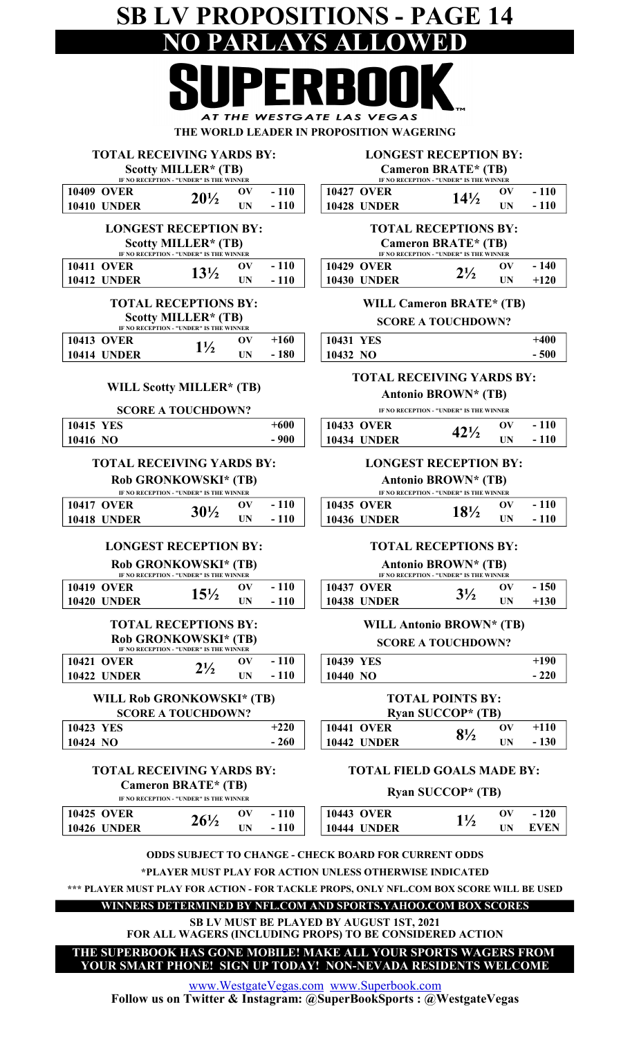#### SB LV PROPOSITIONS - PAGE 14 PARLAYS ALLOWED C١ **Take** DI DI

|                                                                | UI LINDUU                                                             |
|----------------------------------------------------------------|-----------------------------------------------------------------------|
| AT THE WESTGATE LAS VEGAS                                      |                                                                       |
|                                                                | THE WORLD LEADER IN PROPOSITION WAGERING                              |
| <b>TOTAL RECEIVING YARDS BY:</b>                               | <b>LONGEST RECEPTION BY:</b>                                          |
| Scotty MILLER* (TB)<br>IF NO RECEPTION - "UNDER" IS THE WINNER | <b>Cameron BRATE* (TB)</b><br>IF NO RECEPTION - "UNDER" IS THE WINNER |
| 1 1 A<br>a aved<br>ΩИ                                          | 10427 AVED<br>$\mathbf{\Omega}$                                       |

| <b>10409 OVER</b>                                                   | $20\frac{1}{2}$ | $-110$ |  | 10427 OVER         | $14\frac{1}{2}$                                                        | OV |
|---------------------------------------------------------------------|-----------------|--------|--|--------------------|------------------------------------------------------------------------|----|
| <b>10410 UNDER</b>                                                  |                 | $-110$ |  | <b>10428 UNDER</b> |                                                                        |    |
| <b>LONGEST RECEPTION BY:</b><br>$C_{\rm{1.2}}$ and in Final (Times) |                 |        |  |                    | <b>TOTAL RECEPTIONS BY</b><br>$C_{\rm max}$ . The finite $T_{\rm min}$ |    |

| SCOUV MILLER" (1B)                      |                 |  |        |  |                    | Cameron BRAIL" (IB)                     |    |
|-----------------------------------------|-----------------|--|--------|--|--------------------|-----------------------------------------|----|
| IF NO RECEPTION - "UNDER" IS THE WINNER |                 |  |        |  |                    | IF NO RECEPTION - "UNDER" IS THE WINNER |    |
| <b>10411 OVER</b>                       | $13\frac{1}{2}$ |  | $-110$ |  | 10429 OVER         | $2\frac{1}{2}$                          | OV |
| <b>10412 UNDER</b>                      |                 |  | $-110$ |  | <b>10430 UNDER</b> |                                         | UN |

#### TOTAL RECEPTIONS BY: Scotty MILLER\* (TB)

|                    | IF NO RECEPTION - "UNDER" IS THE WINNER |     |       |           |  |
|--------------------|-----------------------------------------|-----|-------|-----------|--|
| <b>10413 OVER</b>  | 11/                                     | оν  | +160  | 10431 YES |  |
| <b>10414 UNDER</b> |                                         | IΊN | - 180 | 10432 NO  |  |
|                    |                                         |     |       |           |  |

#### WILL Scotty MILLER\* (TB)

#### SCORE A TOUCHDOWN?

| 10415 YES | -600 | <b>10433 OVER</b>  | $1^1$ | OV |
|-----------|------|--------------------|-------|----|
| 10416 NO  | 900  | <b>10434 UNDER</b> |       | UN |

#### TOTAL RECEIVING YARDS BY:

Rob GRONKOWSKI\* (TB)

| IF NO RECEPTION - "UNDER" IS THE WINNER |                    |                 |  |                                        |                    | IF NO RECEPTION - "UNDER" IS THE WINNER |    |
|-----------------------------------------|--------------------|-----------------|--|----------------------------------------|--------------------|-----------------------------------------|----|
|                                         | <b>10417 OVER</b>  |                 |  | <b>110</b><br>$\overline{\phantom{0}}$ | <b>10435 OVER</b>  | $18\%$                                  | ЭV |
|                                         | <b>10418 UNDER</b> | $30\frac{1}{2}$ |  |                                        | <b>10436 UNDER</b> |                                         | ПN |
|                                         |                    |                 |  |                                        |                    |                                         |    |

#### LONGEST RECEPTION BY:

Rob GRONKOWSKI\* (TB)

| IF NO RECEPTION - "UNDER" IS THE WINNER |        |  |        |                    | IF NO RECEPTION - "UNDER" IS THE WINNER |    |
|-----------------------------------------|--------|--|--------|--------------------|-----------------------------------------|----|
| <b>10419 OVER</b>                       | $15\%$ |  | $-110$ | <b>10437 OVER</b>  | 31/                                     | ЭV |
| <b>10420 UNDER</b>                      |        |  | $-110$ | <b>10438 UNDER</b> | J / 4                                   | UN |

#### IF NO RECEPTION - "UNDER" IS THE WINNER TOTAL RECEPTIONS BY: Rob GRONKOWSKI\* (TB)

| 10421 OVER  | $2^{1/2}$ | $\mathbf{O}(\mathbf{V})$ | $-110$ | 10439 YES        |
|-------------|-----------|--------------------------|--------|------------------|
| 10422 UNDER |           | ĦN                       | $-110$ | $\vert$ 10440 NO |
|             |           |                          |        |                  |

#### WILL Rob GRONKOWSKI\* (TB) SCORE A TOUCHDOWN?

| $+220$<br>10423 YES                            | 10441<br><b>OVER</b>     | $\mathbf{Q}_{1/2}$ | ОV |
|------------------------------------------------|--------------------------|--------------------|----|
| 260<br>10424<br>NO<br>$\overline{\phantom{0}}$ | <b>TINDER</b><br>10442 l | 0 / 2              | UN |

#### TOTAL RECEIVING YARDS BY: Cameron BRATE\* (TB) IF NO RECEPTION - "UNDER" IS THE WINNER

| <b>10425 OVER</b><br><b>10426 UNDER</b> | $26\%$ | ОV<br>UN | <b>110</b><br>۰<br>110<br>- | <b>10443 OVER</b><br><b>10444 UNDER</b> | 11/ | ЭV<br>UN |
|-----------------------------------------|--------|----------|-----------------------------|-----------------------------------------|-----|----------|
|                                         |        |          |                             |                                         |     |          |

| IF NO RECEPTION - "UNDER" IS THE WINNER |                 |                          |        |  |  |  |
|-----------------------------------------|-----------------|--------------------------|--------|--|--|--|
| 10427 OVER                              | $14\frac{1}{2}$ | $\mathbf{O}(\mathbf{V})$ | $-110$ |  |  |  |
| <b>10428 UNDER</b>                      |                 | <b>IIN</b>               | $-110$ |  |  |  |

#### TOTAL RECEPTIONS BY: Cameron BRATE\* (TB)

| IF NO RECEPTION - "UNDER" IS THE WINNER |                |    |        |  |  |  |
|-----------------------------------------|----------------|----|--------|--|--|--|
| 10429 OVER                              |                | ov | $-140$ |  |  |  |
| 10430 UNDER                             | $2\frac{1}{2}$ | НN | $+120$ |  |  |  |

#### WILL Cameron BRATE\* (TB) SCORE A TOUCHDOWN?

| 10431 YES  | +400  |
|------------|-------|
| $10432$ NO | - 500 |

#### TOTAL RECEIVING YARDS BY:

Antonio BROWN\* (TB)

IF NO RECEPTION - "UNDER" IS THE WINNER

| 10433 OVER         | $42\frac{1}{2}$ | $\alpha$ | - 110 |
|--------------------|-----------------|----------|-------|
| <b>10434 UNDER</b> |                 | UN       | - 110 |

#### LONGEST RECEPTION BY:

#### Antonio BROWN\* (TB)

| IF NO RECEPTION - "UNDER" IS THE WINNER |                 |    |        |  |  |  |  |
|-----------------------------------------|-----------------|----|--------|--|--|--|--|
| 10435 OVER                              | $18\frac{1}{2}$ | ov | $-110$ |  |  |  |  |
| 10436 UNDER                             |                 | НN | $-110$ |  |  |  |  |

#### TOTAL RECEPTIONS BY:

#### Antonio BROWN\* (TB)

| IF NO RECEPTION - "UNDER" IS THE WINNER |             |                |           |        |  |  |
|-----------------------------------------|-------------|----------------|-----------|--------|--|--|
|                                         | 10437 OVER  | $3\frac{1}{2}$ | $\bf{ov}$ | $-150$ |  |  |
|                                         | 10438 UNDER |                | ПN        | $+130$ |  |  |

#### WILL Antonio BROWN\* (TB)

| <b>SCORE A TOUCHDOWN?</b> |  |
|---------------------------|--|
| $\sim$ $\sim$ $\sim$      |  |

|                    | $+190$ |
|--------------------|--------|
| $-220$<br>10440 NO |        |

#### TOTAL POINTS BY:

| Ryan SUCCOP* (TB) |                    |           |    |        |  |
|-------------------|--------------------|-----------|----|--------|--|
|                   | 10441 OVER         | $8^{1/2}$ | ov | $+110$ |  |
|                   | <b>10442 UNDER</b> |           | НN | $-130$ |  |

#### TOTAL FIELD GOALS MADE BY:

#### Ryan SUCCOP\* (TB)

| <b>10443 OVER</b>  | $\mathbf{O}(\mathbf{V})$ | $\sim$ |
|--------------------|--------------------------|--------|
| <b>10444 UNDER</b> |                          | EVEN   |

\*PLAYER MUST PLAY FOR ACTION UNLESS OTHERWISE INDICATED

\*\*\* PLAYER MUST PLAY FOR ACTION - FOR TACKLE PROPS, ONLY NFL.COM BOX SCORE WILL BE USED

#### WINNERS DETERMINED BY NFL.COM AND SPORTS.YAHOO.COM BOX SCORES

FOR ALL WAGERS (INCLUDING PROPS) TO BE CONSIDERED ACTION SB LV MUST BE PLAYED BY AUGUST 1ST, 2021

THE SUPERBOOK HAS GONE MOBILE! MAKE ALL YOUR SPORTS WAGERS FROM

YOUR SMART PHONE! SIGN UP TODAY! NON-NEVADA RESIDENTS WELCOME

www.WestgateVegas.com www.Superbook.com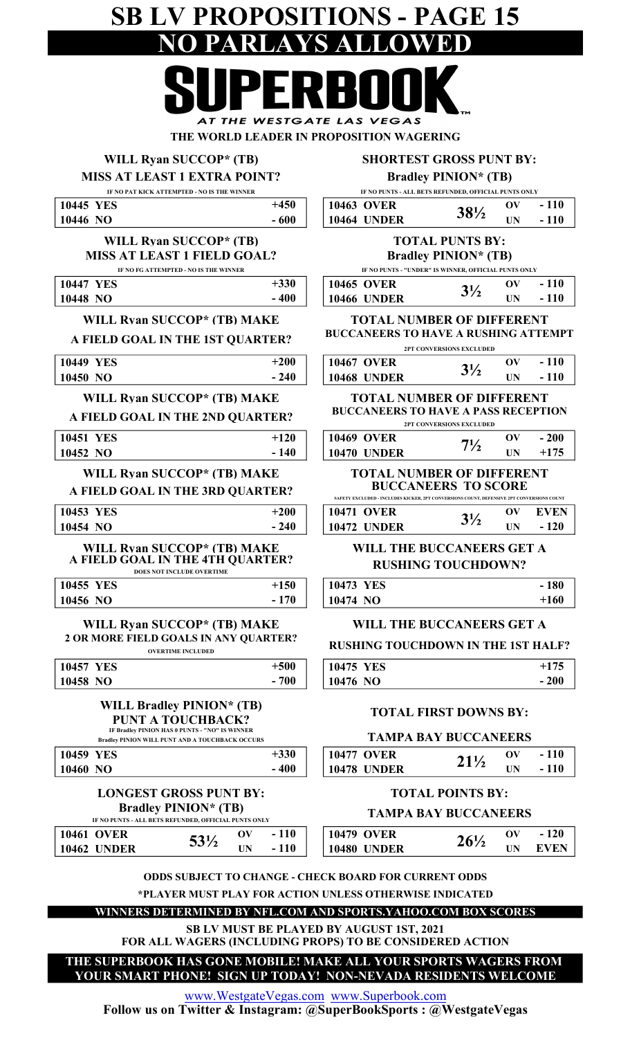## SB LV PROPOSITIONS - PAGE 15 NO PARLAYS ALLOWED  $\overline{\phantom{a}}$

AT THE WESTGATE LAS VEGAS THE WORLD LEADER IN PROPOSITION WAGERING

### WILL Ryan SUCCOP\* (TB)

MISS AT LEAST 1 EXTRA POINT?

#### SHORTEST GROSS PUNT BY:

Bradley PINION\* (TB)

|                                                                      | IF NO PAT KICK ATTEMPTED - NO IS THE WINNER                                                       |                 | IF NO PUNTS - ALL BETS REFUNDED, OFFICIAL PUNTS ONLY                                                 |                                                      |                                      |                  |
|----------------------------------------------------------------------|---------------------------------------------------------------------------------------------------|-----------------|------------------------------------------------------------------------------------------------------|------------------------------------------------------|--------------------------------------|------------------|
| 10445 YES                                                            |                                                                                                   | $+450$          | <b>10463 OVER</b>                                                                                    | $38\frac{1}{2}$                                      | $\mathbf{O} \mathbf{V}$              | $-110$           |
| 10446 NO                                                             |                                                                                                   | $-600$          | <b>10464 UNDER</b>                                                                                   |                                                      | UN                                   | $-110$           |
|                                                                      | WILL Ryan SUCCOP* (TB)                                                                            |                 |                                                                                                      | <b>TOTAL PUNTS BY:</b>                               |                                      |                  |
| <b>MISS AT LEAST 1 FIELD GOAL?</b>                                   |                                                                                                   |                 |                                                                                                      | <b>Bradley PINION* (TB)</b>                          |                                      |                  |
|                                                                      | IF NO FG ATTEMPTED - NO IS THE WINNER                                                             | $+330$          |                                                                                                      | IF NO PUNTS - "UNDER" IS WINNER, OFFICIAL PUNTS ONLY | $\mathbf{O}(\mathbf{V})$             | $-110$           |
| <b>10447 YES</b><br>10448 NO                                         |                                                                                                   | $-400$          | <b>10465 OVER</b><br><b>10466 UNDER</b>                                                              | $3\frac{1}{2}$                                       | <b>UN</b>                            | $-110$           |
|                                                                      |                                                                                                   |                 |                                                                                                      |                                                      |                                      |                  |
| WILL Ryan SUCCOP* (TB) MAKE                                          |                                                                                                   |                 | <b>TOTAL NUMBER OF DIFFERENT</b><br><b>BUCCANEERS TO HAVE A RUSHING ATTEMPT</b>                      |                                                      |                                      |                  |
| A FIELD GOAL IN THE 1ST QUARTER?                                     |                                                                                                   |                 |                                                                                                      | 2PT CONVERSIONS EXCLUDED                             |                                      |                  |
| <b>10449 YES</b>                                                     |                                                                                                   | $+200$          | <b>10467 OVER</b>                                                                                    |                                                      | $\mathbf{O}(\mathbf{V})$             | $-110$           |
| 10450 NO                                                             |                                                                                                   | $-240$          | <b>10468 UNDER</b>                                                                                   | $3\frac{1}{2}$                                       | <b>UN</b>                            | $-110$           |
| WILL Ryan SUCCOP* (TB) MAKE                                          |                                                                                                   |                 | <b>TOTAL NUMBER OF DIFFERENT</b>                                                                     |                                                      |                                      |                  |
| A FIELD GOAL IN THE 2ND QUARTER?                                     |                                                                                                   |                 | <b>BUCCANEERS TO HAVE A PASS RECEPTION</b>                                                           |                                                      |                                      |                  |
|                                                                      |                                                                                                   |                 |                                                                                                      | 2PT CONVERSIONS EXCLUDED                             |                                      |                  |
| 10451 YES<br>10452 NO                                                |                                                                                                   | $+120$<br>- 140 | <b>10469 OVER</b><br><b>10470 UNDER</b>                                                              | $7\frac{1}{2}$                                       | $\mathbf{O} \mathbf{V}$<br><b>UN</b> | $-200$<br>$+175$ |
|                                                                      |                                                                                                   |                 |                                                                                                      |                                                      |                                      |                  |
| WILL Ryan SUCCOP* (TB) MAKE                                          |                                                                                                   |                 | <b>TOTAL NUMBER OF DIFFERENT</b>                                                                     | <b>BUCCANEERS TO SCORE</b>                           |                                      |                  |
| A FIELD GOAL IN THE 3RD QUARTER?                                     |                                                                                                   |                 | SAFETY EXCLUDED - INCLUDES KICKER, 2PT CONVERSIONS COUNT, DEFENSIVE 2PT CONVERSIONS COUNT            |                                                      |                                      |                  |
| 10453 YES                                                            |                                                                                                   | $+200$          | <b>10471 OVER</b>                                                                                    | $3\frac{1}{2}$                                       | $\mathbf{O}(\mathbf{V})$             | <b>EVEN</b>      |
| 10454 NO                                                             |                                                                                                   | $-240$          | <b>10472 UNDER</b>                                                                                   |                                                      | UN                                   | $-120$           |
| WILL Ryan SUCCOP* (TB) MAKE                                          |                                                                                                   |                 | WILL THE BUCCANEERS GET A                                                                            |                                                      |                                      |                  |
| A FIELD GOAL IN THE 4TH QUARTER?                                     |                                                                                                   |                 |                                                                                                      | <b>RUSHING TOUCHDOWN?</b>                            |                                      |                  |
| 10455 YES                                                            | DOES NOT INCLUDE OVERTIME                                                                         | $+150$          | 10473 YES                                                                                            |                                                      |                                      | $-180$           |
| 10456 NO                                                             |                                                                                                   | $-170$          | 10474 NO                                                                                             |                                                      |                                      | $+160$           |
|                                                                      |                                                                                                   |                 |                                                                                                      |                                                      |                                      |                  |
| WILL Ryan SUCCOP* (TB) MAKE<br>2 OR MORE FIELD GOALS IN ANY QUARTER? |                                                                                                   |                 | WILL THE BUCCANEERS GET A                                                                            |                                                      |                                      |                  |
|                                                                      | <b>OVERTIME INCLUDED</b>                                                                          |                 | <b>RUSHING TOUCHDOWN IN THE 1ST HALF?</b>                                                            |                                                      |                                      |                  |
| 10457 YES                                                            |                                                                                                   | $+500$          | 10475 YES                                                                                            |                                                      |                                      | $+175$           |
| 10458 NO                                                             |                                                                                                   | $-700$          | 10476 NO                                                                                             |                                                      |                                      | $-200$           |
|                                                                      | <b>WILL Bradley PINION* (TB)</b>                                                                  |                 |                                                                                                      |                                                      |                                      |                  |
|                                                                      | <b>PUNT A TOUCHBACK?</b>                                                                          |                 |                                                                                                      | <b>TOTAL FIRST DOWNS BY:</b>                         |                                      |                  |
|                                                                      | IF Bradley PINION HAS 0 PUNTS - "NO" IS WINNER<br>Bradley PINION WILL PUNT AND A TOUCHBACK OCCURS |                 |                                                                                                      | <b>TAMPA BAY BUCCANEERS</b>                          |                                      |                  |
| 10459 YES                                                            |                                                                                                   | $+330$          | <b>10477 OVER</b>                                                                                    |                                                      | $\mathbf{O}(\mathbf{V})$             | $-110$           |
| 10460 NO                                                             |                                                                                                   | $-400$          | <b>10478 UNDER</b>                                                                                   | $21\frac{1}{2}$                                      | <b>UN</b>                            | $-110$           |
|                                                                      | <b>LONGEST GROSS PUNT BY:</b>                                                                     |                 |                                                                                                      | <b>TOTAL POINTS BY:</b>                              |                                      |                  |
|                                                                      | <b>Bradley PINION* (TB)</b>                                                                       |                 |                                                                                                      |                                                      |                                      |                  |
|                                                                      | IF NO PUNTS - ALL BETS REFUNDED, OFFICIAL PUNTS ONLY                                              |                 |                                                                                                      | <b>TAMPA BAY BUCCANEERS</b>                          |                                      |                  |
| <b>10461 OVER</b>                                                    | $\mathbf{O} \mathbf{V}$<br>$53\frac{1}{2}$                                                        | $-110$          | <b>10479 OVER</b>                                                                                    | $26\frac{1}{2}$                                      | $\mathbf{O}(\mathbf{V})$             | $-120$           |
| <b>10462 UNDER</b>                                                   | <b>UN</b>                                                                                         | $-110$          | <b>10480 UNDER</b>                                                                                   |                                                      | <b>UN</b>                            | <b>EVEN</b>      |
|                                                                      |                                                                                                   |                 |                                                                                                      |                                                      |                                      |                  |
|                                                                      |                                                                                                   |                 |                                                                                                      |                                                      |                                      |                  |
|                                                                      | <b>ODDS SUBJECT TO CHANGE - CHECK BOARD FOR CURRENT ODDS</b>                                      |                 |                                                                                                      |                                                      |                                      |                  |
|                                                                      |                                                                                                   |                 | *PLAYER MUST PLAY FOR ACTION UNLESS OTHERWISE INDICATED                                              |                                                      |                                      |                  |
|                                                                      |                                                                                                   |                 | WINNERS DETERMINED BY NFL.COM AND SPORTS.YAHOO.COM BOX SCORES                                        |                                                      |                                      |                  |
|                                                                      |                                                                                                   |                 | SB LV MUST BE PLAYED BY AUGUST 1ST, 2021<br>FOR ALL WAGERS (INCLUDING PROPS) TO BE CONSIDERED ACTION |                                                      |                                      |                  |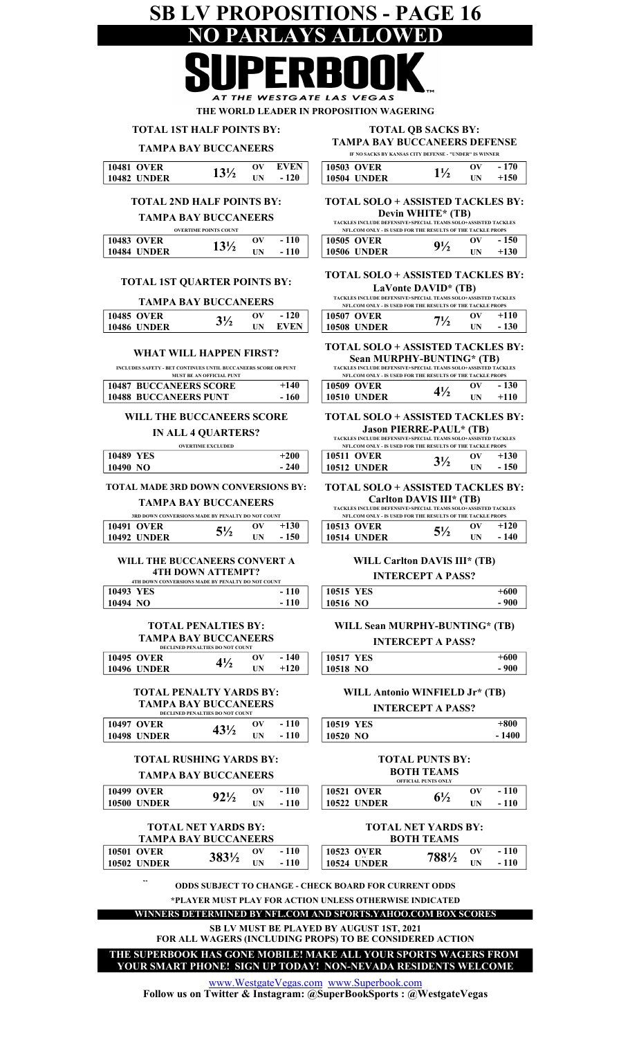## SB LV PROPOSITIONS - PAGE 16 NO PARLAYS ALLOWED

ATE LAS V **EGAS** THE WORLD LEADER IN PROPOSITION WAGERING

TOTAL 1ST HALF POINTS BY:

#### TAMPA BAY BUCCANEERS

TOTAL 2ND HALF POINTS BY: TAMPA BAY BUCCANEERS

10487 BUCCANEERS SCORE 10488 BUCCANEERS PUNT

 $10485 \text{ OVER}$   $3\frac{1}{2}$  ov  $-120$  $10486$  UNDER  $3^{1/2}$  UN

TOTAL 1ST QUARTER POINTS BY:

TAMPA BAY BUCCANEERS

WHAT WILL HAPPEN FIRST? INCLUDES SAFETY - BET CONTINUES UNTIL BUCCANEERS SCORE OR PUNT **ST BE AN OFFICIAL PUNT** 

#### TAMPA BAY BUCCANEERS DEFENSE TOTAL QB SACKS BY: IF NO SACKS BY KANSAS CITY DEFENSE - "UNDER" IS WINNER

| 10481 OVER         | $13\%$ | OV | <b>EVEN</b> | <b>10503 OVER</b>  |                | $\mathbf{O}^{\mathbf{V}}$ |
|--------------------|--------|----|-------------|--------------------|----------------|---------------------------|
| <b>10482 UNDER</b> |        | UN | 120<br>۰.   | <b>10504 UNDER</b> | $1\frac{7}{2}$ | UN                        |
|                    |        |    |             |                    |                |                           |

### TOTAL SOLO + ASSISTED TACKLES BY:

 $+150$ 

 $-170$ 

#### Devin WHITE\* (TB)

|                       |                              |    |            | <b>TACKLES INCLUDE DEFENSIVE+SPECIAL TEAMS SOLO+ASSISTED TACKLES</b> |                |       |
|-----------------------|------------------------------|----|------------|----------------------------------------------------------------------|----------------|-------|
|                       | <b>OVERTIME POINTS COUNT</b> |    |            | NFL.COM ONLY - IS USED FOR THE RESULTS OF THE TACKLE PROPS           |                |       |
| <b>10483 OVER</b>     | $13\frac{1}{2}$              |    | 110<br>- 1 | <b>10505 OVER</b>                                                    | $9\frac{1}{2}$ | - 150 |
| 10484<br><b>UNDER</b> |                              | UN | - 1        | 10506<br><b>UNDER</b>                                                |                | +130  |

#### TOTAL SOLO + ASSISTED TACKLES BY: LaVonte DAVID\* (TB)

| <b>TACKLES INCLUDE DEFENSIVE+SPECIAL TEAMS SOLO+ASSISTED TACKLES</b> |                |    |        |  |  |
|----------------------------------------------------------------------|----------------|----|--------|--|--|
| NFL.COM ONLY - IS USED FOR THE RESULTS OF THE TACKLE PROPS           |                |    |        |  |  |
| <b>10507 OVER</b>                                                    | $7\frac{1}{2}$ | OV | $+110$ |  |  |
| <b>10508 UNDER</b>                                                   |                | ΠN | $-130$ |  |  |

#### TOTAL SOLO + ASSISTED TACKLES BY: Sean MURPHY-BUNTING\* (TB) TACKLES INCLUDE DEFENSIVE+SPECIAL TEAMS SOLO+ASSISTED TACKLES

| NFL.COM ONLY - IS USED FOR THE RESULTS OF THE TACKLE PROPS |                |    |        |  |  |
|------------------------------------------------------------|----------------|----|--------|--|--|
| 10509 OVER                                                 | $4\frac{1}{2}$ | OV | $-130$ |  |  |
| <b>10510 UNDER</b>                                         |                | ΠN | $+110$ |  |  |

#### TOTAL SOLO + ASSISTED TACKLES BY: Jason PIERRE-PAUL\* (TB)

|                          |        | TACKLES INCLUDE DEFENSIVE+SPECIAL TEAMS SOLO+ASSISTED TACKLES |                |    |        |
|--------------------------|--------|---------------------------------------------------------------|----------------|----|--------|
| <b>OVERTIME EXCLUDED</b> |        | NFL.COM ONLY - IS USED FOR THE RESULTS OF THE TACKLE PROPS    |                |    |        |
| 10489<br><b>YES</b>      | $+200$ | <b>10511 OVER</b>                                             | $3\frac{1}{2}$ | ov | $+130$ |
| 10490 NO                 | $-240$ | <b>10512 UNDER</b>                                            |                |    | - 150  |

#### TOTAL SOLO + ASSISTED TACKLES BY: Carlton DAVIS III\* (TB)

| TACKLES INCLUDE DEFENSIVE+SPECIAL TEAMS SOLO+ASSISTED TACKLES<br>NFL.COM ONLY - IS USED FOR THE RESULTS OF THE TACKLE PROPS |                |            |        |  |  |
|-----------------------------------------------------------------------------------------------------------------------------|----------------|------------|--------|--|--|
| 10513 OVER                                                                                                                  | $5\frac{1}{2}$ | OV         | $+120$ |  |  |
| <b>10514 UNDER</b>                                                                                                          |                | <b>IIN</b> | $-140$ |  |  |

### WILL THE BUCCANEERS CONVERT A

5½

 $+130$ - 150

 $+140$ - 160

 $3\frac{1}{2}$  ov - 120<br>UN EVEN

**4TH DOWN ATTEMPT?** 

TAMPA BAY BUCCANEERS 3RD DOWN CONVERSIONS MADE BY PENALTY DO NOT COUNT

TOTAL MADE 3RD DOWN CONVERSIONS BY:

WILL THE BUCCANEERS SCORE IN ALL 4 QUARTERS? OVERTIME EXCLUDED

10491 OVER  $\epsilon_1$  OV 10492 UNDER  $5^{1/2}$  UN

|           | 4TH DOWN CONVERSIONS MADE BY PENALTY DO NOT COUNT |           |
|-----------|---------------------------------------------------|-----------|
| 10493 YES | $-110$                                            | 10515 YES |
| 10494 NO  | - 110                                             | 10516 NO  |

#### TOTAL PENALTIES BY: TAMPA BAY BUCCANEERS

| <b>DECLINED PENALTIES DO NOT COUNT</b> |    |        |                  |
|----------------------------------------|----|--------|------------------|
| 10495 OVER                             | OV | - 140  | <b>10517 YES</b> |
| <b>10496 UNDER</b>                     | ΠN | $+120$ | 10518 NO         |

#### TOTAL PENALTY YARDS BY: TAMPA BAY BUCCANEERS DECLINED PENALTIES DO NOT COUNT

| 10497 OVER<br><b>10498 UNDER</b> |                                | $43\frac{1}{2}$ | OV<br>ĦN | $-110$<br>- 110 | $\mid$ 10519 YES<br>  10520 NO |  |
|----------------------------------|--------------------------------|-----------------|----------|-----------------|--------------------------------|--|
|                                  | <b>TOTAL RUSHING YARDS BY:</b> |                 |          |                 |                                |  |

#### TAMPA BAY BUCCANEERS

| пилни при проседителя |                 | <b>OFFICIAL PUNTS ONLY</b> |     |  |                    |                |    |
|-----------------------|-----------------|----------------------------|-----|--|--------------------|----------------|----|
| <b>10499 OVER</b>     | $92\frac{1}{2}$ | ОV                         | 110 |  | 10521 OVER         | $6\frac{1}{2}$ | ЭV |
| <b>10500 UNDER</b>    |                 | UN                         | 110 |  | <b>10522 UNDER</b> |                | UΝ |

#### TOTAL NET YARDS BY: TAMPA BAY BUCCANEERS

| <b>10501 OVER</b>  | 3831/2 | ov        | $-110$ | <b>10523 OVER</b> | 7881/2 |    |
|--------------------|--------|-----------|--------|-------------------|--------|----|
| <b>10502 UNDER</b> |        | <b>UN</b> | $-110$ | 10524 UNDER       |        | UN |
|                    |        |           |        |                   |        |    |

#### INTERCEPT A PASS?  $+600$

WILL Carlton DAVIS III\* (TB)

| 1516 NO | $-900$               |  |
|---------|----------------------|--|
|         | $\sim$ $\sim$ $\sim$ |  |

#### WILL Sean MURPHY-BUNTING\* (TB) INTERCEPT A PASS?

| 10517 YES | $+600$ |
|-----------|--------|
| 10518 NO  | - 900  |

#### WILL Antonio WINFIELD Jr\* (TB) INTERCEPT A PASS?

| <b>519 YES</b> | $+800$  |
|----------------|---------|
| 520 NO         | $-1400$ |
|                |         |

#### 10521 OVER  $\alpha$  over TOTAL PUNTS BY: BOTH TEAMS  $6<sup>1</sup>$  $-110$ OFFICIAL PUNTS ONLY

| 10522 UNDER | ПN | $-110$ |
|-------------|----|--------|
|             |    |        |

#### BOTH TEAMS TOTAL NET YARDS BY:

| <b>10501 OVER</b>  | 3831/2 | ov          | 110 | <b>10523 OVER</b>  |        | ov         | 110 |
|--------------------|--------|-------------|-----|--------------------|--------|------------|-----|
| <b>10502 UNDER</b> |        | <b>TIME</b> | 110 | <b>10524 UNDER</b> | 7881/2 | <b>TIN</b> | 110 |
|                    |        |             |     |                    |        |            |     |

ODDS SUBJECT TO CHANGE - CHECK BOARD FOR CURRENT ODDS \*PLAYER MUST PLAY FOR ACTION UNLESS OTHERWISE INDICATED

#### WINNERS DETERMINED BY NFL.COM AND SPORTS.YAHOO.COM BOX SCORES

SB LV MUST BE PLAYED BY AUGUST 1ST, 2021

FOR ALL WAGERS (INCLUDING PROPS) TO BE CONSIDERED ACTION

THE SUPERBOOK HAS GONE MOBILE! MAKE ALL YOUR SPORTS WAGERS FROM YOUR SMART PHONE! SIGN UP TODAY! NON-NEVADA RESIDENTS WELCOME

www.WestgateVegas.com www.Superbook.com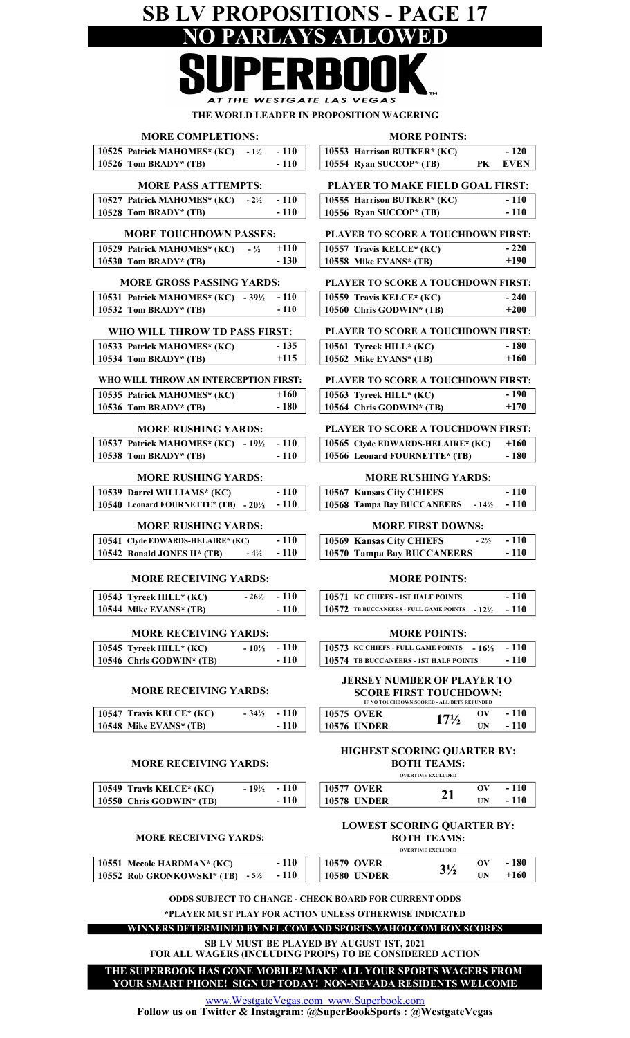## SB LV PROPOSITIONS - PAGE 17 NO PARLAYS AL

AT THE WESTGATE LAS VEGAS

THE WORLD LEADER IN PROPOSITION WAGERING

| <b>MORE COMPLETIONS:</b>                             |                  |                  |                                                                             | <b>MORE POINTS:</b>      |                          |             |
|------------------------------------------------------|------------------|------------------|-----------------------------------------------------------------------------|--------------------------|--------------------------|-------------|
| 10525 Patrick MAHOMES* (KC)                          | $-1\frac{1}{2}$  | $-110$           | 10553 Harrison BUTKER* (KC)                                                 |                          |                          | $-120$      |
| 10526 Tom BRADY* (TB)                                |                  | $-110$           | 10554 Ryan SUCCOP* (TB)                                                     |                          | PK                       | <b>EVEN</b> |
| <b>MORE PASS ATTEMPTS:</b>                           |                  |                  | PLAYER TO MAKE FIELD GOAL FIRST:                                            |                          |                          |             |
|                                                      |                  |                  |                                                                             |                          |                          |             |
| 10527 Patrick MAHOMES* (KC)                          | $-2\frac{1}{2}$  | $-110$           | 10555 Harrison BUTKER* (KC)                                                 |                          |                          | $-110$      |
| 10528 Tom BRADY* $(TB)$                              |                  | $-110$           | 10556 Ryan SUCCOP* (TB)                                                     |                          |                          | $-110$      |
| <b>MORE TOUCHDOWN PASSES:</b>                        |                  |                  | PLAYER TO SCORE A TOUCHDOWN FIRST:                                          |                          |                          |             |
| 10529 Patrick MAHOMES* (KC)                          | $-1/2$           | $+110$           | 10557 Travis KELCE* (KC)                                                    |                          |                          | $-220$      |
| 10530 Tom BRADY* (TB)                                |                  | $-130$           | 10558 Mike EVANS* (TB)                                                      |                          |                          | $+190$      |
|                                                      |                  |                  |                                                                             |                          |                          |             |
| <b>MORE GROSS PASSING YARDS:</b>                     |                  |                  | PLAYER TO SCORE A TOUCHDOWN FIRST:                                          |                          |                          |             |
| 10531 Patrick MAHOMES* (KC) - $39\frac{1}{2}$        |                  | $-110$           | 10559 Travis KELCE* (KC)                                                    |                          |                          | $-240$      |
| 10532 Tom BRADY* (TB)                                |                  | $-110$           | 10560 Chris GODWIN* (TB)                                                    |                          |                          | $+200$      |
| WHO WILL THROW TD PASS FIRST:                        |                  |                  | PLAYER TO SCORE A TOUCHDOWN FIRST:                                          |                          |                          |             |
|                                                      |                  |                  |                                                                             |                          |                          | $-180$      |
| 10533 Patrick MAHOMES* (KC)<br>10534 Tom BRADY* (TB) |                  | $-135$<br>$+115$ | 10561 Tyreek HILL* (KC)<br>10562 Mike EVANS* (TB)                           |                          |                          | $+160$      |
|                                                      |                  |                  |                                                                             |                          |                          |             |
| WHO WILL THROW AN INTERCEPTION FIRST:                |                  |                  | PLAYER TO SCORE A TOUCHDOWN FIRST:                                          |                          |                          |             |
| 10535 Patrick MAHOMES* (KC)                          |                  | $+160$           | 10563 Tyreek HILL* (KC)                                                     |                          |                          | $-190$      |
| 10536 Tom BRADY* (TB)                                |                  | $-180$           | 10564 Chris GODWIN* (TB)                                                    |                          |                          | $+170$      |
|                                                      |                  |                  |                                                                             |                          |                          |             |
| <b>MORE RUSHING YARDS:</b>                           |                  |                  | PLAYER TO SCORE A TOUCHDOWN FIRST:                                          |                          |                          |             |
| 10537 Patrick MAHOMES* (KC) - 191/2                  |                  | $-110$           | 10565 Clyde EDWARDS-HELAIRE* (KC)                                           |                          |                          | $+160$      |
| 10538 Tom BRADY* (TB)                                |                  | $-110$           | 10566 Leonard FOURNETTE* (TB)                                               |                          |                          | $-180$      |
| <b>MORE RUSHING YARDS:</b>                           |                  |                  | <b>MORE RUSHING YARDS:</b>                                                  |                          |                          |             |
| 10539 Darrel WILLIAMS* (KC)                          |                  | $-110$           | 10567 Kansas City CHIEFS                                                    |                          |                          | $-110$      |
| 10540 Leonard FOURNETTE* (TB) - 201/2                |                  | $-110$           | 10568 Tampa Bay BUCCANEERS                                                  |                          | $-14\frac{1}{2}$         | $-110$      |
|                                                      |                  |                  |                                                                             |                          |                          |             |
| <b>MORE RUSHING YARDS:</b>                           |                  |                  | <b>MORE FIRST DOWNS:</b>                                                    |                          |                          |             |
| 10541 Clyde EDWARDS-HELAIRE* (KC)                    |                  | $-110$           | 10569 Kansas City CHIEFS                                                    |                          | $-2\frac{1}{2}$          | $-110$      |
| 10542 Ronald JONES II* (TB)                          | $-4\frac{1}{2}$  | $-110$           | 10570 Tampa Bay BUCCANEERS                                                  |                          |                          | $-110$      |
| <b>MORE RECEIVING YARDS:</b>                         |                  |                  |                                                                             | <b>MORE POINTS:</b>      |                          |             |
|                                                      |                  |                  |                                                                             |                          |                          |             |
| 10543 Tyreek HILL* (KC)                              | $-26\frac{1}{2}$ | $-110$           | 10571 KC CHIEFS - 1ST HALF POINTS                                           |                          |                          | $-110$      |
| 10544 Mike EVANS* (TB)                               |                  | $-110$           | 10572 TB BUCCANEERS - FULL GAME POINTS $-12\frac{1}{2}$                     |                          |                          | $-110$      |
| <b>MORE RECEIVING YARDS:</b>                         |                  |                  |                                                                             | <b>MORE POINTS:</b>      |                          |             |
| 10545 Tyreek HILL* (KC)                              | $-10\frac{1}{2}$ | $-110$           | 10573 KC CHIEFS - FULL GAME POINTS $-16\frac{1}{2}$                         |                          |                          | $-110$      |
| 10546 Chris GODWIN* (TB)                             |                  | $-110$           | 10574 TB BUCCANEERS - 1ST HALF POINTS                                       |                          |                          | $-110$      |
|                                                      |                  |                  |                                                                             |                          |                          |             |
|                                                      |                  |                  | <b>JERSEY NUMBER OF PLAYER TO</b>                                           |                          |                          |             |
| <b>MORE RECEIVING YARDS:</b>                         |                  |                  | <b>SCORE FIRST TOUCHDOWN:</b><br>IF NO TOUCHDOWN SCORED - ALL BETS REFUNDED |                          |                          |             |
| 10547 Travis KELCE* (KC)                             | $-34\frac{1}{2}$ | $-110$           | <b>10575 OVER</b>                                                           |                          | $\mathbf{O}(\mathbf{V})$ | $-110$      |
| 10548 Mike EVANS* (TB)                               |                  | $-110$           | <b>10576 UNDER</b>                                                          | $17\frac{1}{2}$          | <b>UN</b>                | $-110$      |
|                                                      |                  |                  |                                                                             |                          |                          |             |
|                                                      |                  |                  | HIGHEST SCORING QUARTER BY:                                                 |                          |                          |             |
| <b>MORE RECEIVING YARDS:</b>                         |                  |                  |                                                                             | <b>BOTH TEAMS:</b>       |                          |             |
|                                                      |                  |                  |                                                                             | <b>OVERTIME EXCLUDED</b> |                          |             |
| 10549 Travis KELCE* (KC)                             | $-19\frac{1}{2}$ | $-110$           | <b>10577 OVER</b>                                                           | 21                       | OV                       | $-110$      |
| 10550 Chris GODWIN* (TB)                             |                  | $-110$           | <b>10578 UNDER</b>                                                          |                          | <b>UN</b>                | $-110$      |
|                                                      |                  |                  |                                                                             |                          |                          |             |
|                                                      |                  |                  | <b>LOWEST SCORING QUARTER BY:</b>                                           |                          |                          |             |
| <b>MORE RECEIVING YARDS:</b>                         |                  |                  |                                                                             | <b>BOTH TEAMS:</b>       |                          |             |
|                                                      |                  |                  |                                                                             | <b>OVERTIME EXCLUDED</b> |                          |             |
| 10551 Mecole HARDMAN* (KC)                           |                  | $-110$           | <b>10579 OVER</b>                                                           | $3\frac{1}{2}$           | OV                       | $-180$      |
| 10552 Rob GRONKOWSKI* (TB) - 5½                      |                  | $-110$           | <b>10580 UNDER</b>                                                          |                          | <b>UN</b>                | $+160$      |
|                                                      |                  |                  | <b>ODDS SUBJECT TO CHANGE - CHECK BOARD FOR CURRENT ODDS</b>                |                          |                          |             |
|                                                      |                  |                  |                                                                             |                          |                          |             |
|                                                      |                  |                  | *PLAYER MUST PLAY FOR ACTION UNLESS OTHERWISE INDICATED                     |                          |                          |             |
|                                                      |                  |                  | WINNERS DETERMINED BY NFL.COM AND SPORTS.YAHOO.COM BOX SCORES               |                          |                          |             |

SB LV MUST BE PLAYED BY AUGUST 1ST, 2021

FOR ALL WAGERS (INCLUDING PROPS) TO BE CONSIDERED ACTION THE SUPERBOOK HAS GONE MOBILE! MAKE ALL YOUR SPORTS WAGERS FROM

YOUR SMART PHONE! SIGN UP TODAY! NON-NEVADA RESIDENTS WELCOME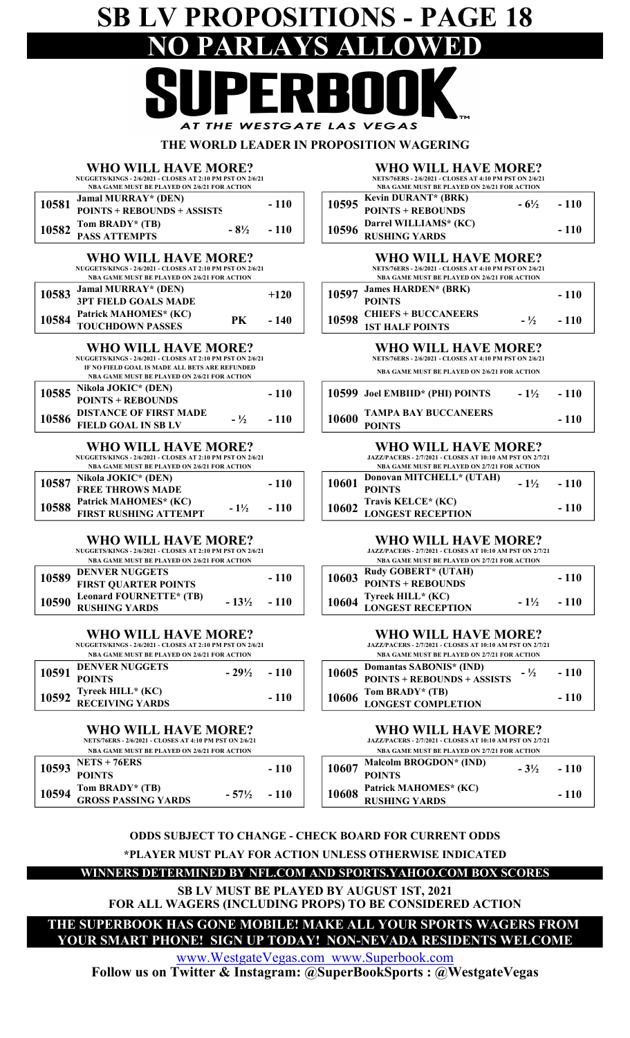## SB LV PROPOSITIONS - PAGE 18 NO PARLAYS ALLOWED AT THE WESTGATE LAS VEGAS

#### THE WORLD LEADER IN PROPOSITION WAGERING

#### WHO WILL HAVE MORE? NUGGETS/KINGS - 2/6/2021 - CLOSES AT 2:10 PM PST ON 2/6/21

NBA GAME MUST BE PLAYED ON 2/6/21 FOR ACTION

| 10581 Jamal MURRAY* (DEN)<br>POINTS + REBOUNDS + ASSISTS | $-110$                |
|----------------------------------------------------------|-----------------------|
| 10582 Tom BRADY* (TB)<br>PASS ATTEMPTS                   | $-8\frac{1}{2}$ - 110 |
|                                                          |                       |

#### WHO WILL HAVE MORE?

|       | NUGGETS/KINGS - 2/6/2021 - CLOSES AT 2:10 PM PST ON 2/6/21 |    | <b>NETS/76ERS - 2/6/2021 - CLOSES.</b> |       |                                               |
|-------|------------------------------------------------------------|----|----------------------------------------|-------|-----------------------------------------------|
|       | NBA GAME MUST BE PLAYED ON 2/6/21 FOR ACTION               |    |                                        |       | <b>NBA GAME MUST BE PLAYED</b>                |
| 10583 |                                                            |    | $+120$                                 | 10597 | <b>James HARDEN* (BRK)</b>                    |
|       | <b>Jamal MURRAY* (DEN)<br/>3PT FIELD GOALS MADE</b>        |    |                                        |       | <b>POINTS</b>                                 |
|       | 10584 Patrick MAHOMES* (KC)<br>TOUCHDOWN PASSES            | PК | $-140$                                 | 10598 |                                               |
|       |                                                            |    |                                        |       | <b>CHIEFS + BUCCANEER<br/>1ST HALF POINTS</b> |

#### WHO WILL HAVE MORE?

NUGGETS/KINGS - 2/6/2021 - CLOSES AT 2:10 PM PST ON 2/6/21 NBA GAME MUST BE PLAYED ON 2/6/21 FOR ACTION IF NO FIELD GOAL IS MADE ALL BETS ARE REFUNDED

| 10585 | (DEN)<br>Nikola JOKIC*<br>$S + REBOUNDS$<br>POINTS          | 110 | 10599<br>$1\frac{1}{2}$<br><b>Joel EMBIID* (PHI) POINTS</b> |
|-------|-------------------------------------------------------------|-----|-------------------------------------------------------------|
| 10586 | <b>DISTANCE OF FIRST MADE</b><br><b>FIELD GOAL IN SB LV</b> | 110 | <b>TAMPA BAY BUCCANEERS</b><br>10600<br><b>POINTS</b>       |

#### WHO WILL HAVE MORE?

NUGGETS/KINGS - 2/6/2021 - CLOSES AT 2:10 PM PST ON 2/6/21 NBA GAME MUST BE PLAYED ON 2/6/21 FOR ACTION

| 10587 Nikola JOKIC* (DEN)<br>FREE THROWS MADE |  | $-110$                 |  |  |
|-----------------------------------------------|--|------------------------|--|--|
|                                               |  |                        |  |  |
| 10588 Patrick MAHOMES* (KC)                   |  | $-1\frac{1}{2}$ $-110$ |  |  |
| FIRST RUSHING ATTEMPT                         |  |                        |  |  |

#### WHO WILL HAVE MORE?

NUGGETS/KINGS - 2/6/2021 - CLOSES AT 2:10 PM PST ON 2/6/21

| NBA GAME MUST BE PLAYED ON 2/6/21 FOR ACTION   |                        |        |  |  |  |  |
|------------------------------------------------|------------------------|--------|--|--|--|--|
| 10589 DENVER NUGGETS                           |                        | $-110$ |  |  |  |  |
| <b>FIRST QUARTER POINTS</b>                    |                        |        |  |  |  |  |
| 10590 Leonard FOURNETTE* (TB)<br>RUSHING YARDS | $-13\frac{1}{2}$ - 110 |        |  |  |  |  |
|                                                |                        |        |  |  |  |  |

WHO WILL HAVE MORE?

NUGGETS/KINGS - 2/6/2021 - CLOSES AT 2:10 PM PST ON 2/6/21 NBA GAME MUST BE PLAYED ON 2/6/21 FOR ACTION

| INDA GAME MUST DE FLATED ON 2/0/21 FOR ACTION |                                            |                   |        |  | <b>NDA GAME MUST BE FLATED ON 2/7/21 FOR</b>                 |
|-----------------------------------------------|--------------------------------------------|-------------------|--------|--|--------------------------------------------------------------|
| 10591                                         | <b>DENVER NUGGETS</b>                      | $-29\%$<br>$-110$ |        |  | 10605 Domantas SABONIS* (IND)<br>POINTS + REBOUNDS + ASSISTS |
|                                               | <b>POINTS</b>                              |                   |        |  |                                                              |
|                                               | 10592 Tyreek HILL* (KC)<br>RECEIVING YARDS |                   | $-110$ |  | 10606 Tom BRADY* (TB)<br>LONGEST COMPLETION                  |
|                                               |                                            |                   |        |  |                                                              |

#### WHO WILL HAVE MORE?

NETS/76ERS - 2/6/2021 - CLOSES AT 4:10 PM PST ON 2/6/21

| <b>NBA GAME MUST BE PLAYED ON 2/6/21 FOR ACTION</b> |                            |                  |        |  |       | <b>NBA GAME MUST BE PLAYED ON 2</b> |
|-----------------------------------------------------|----------------------------|------------------|--------|--|-------|-------------------------------------|
| 10593                                               | <b>NETS + 76ERS</b>        |                  | $-110$ |  | 10607 | Malcolm BROGDON* (IND)              |
|                                                     | <b>POINTS</b>              |                  |        |  |       | <b>POINTS</b>                       |
| 10594                                               | Tom BRADY* (TB)            | $-57\frac{1}{2}$ | $-110$ |  | 10608 | Patrick MAHOMES* (KC)               |
|                                                     | <b>GROSS PASSING YARDS</b> |                  |        |  |       | <b>RUSHING YARDS</b>                |

#### WHO WILL HAVE MORE?

| NETS/76ERS - 2/6/2021 - CLOSES AT 4:10 PM PST ON 2/6/21 |                 |        |
|---------------------------------------------------------|-----------------|--------|
| <b>NBA GAME MUST BE PLAYED ON 2/6/21 FOR ACTION</b>     |                 |        |
| 10595 Kevin DURANT* (BRK)                               | $-6\frac{1}{2}$ | $-110$ |
| <b>POINTS + REBOUNDS</b>                                |                 |        |

| TOIMT9 REDOCHD9<br>$\sim$     10596 Darrel WILLIAMS* (KC)<br>- 110<br>$-110$<br><b>RUSHING YARDS</b> |
|------------------------------------------------------------------------------------------------------|
|------------------------------------------------------------------------------------------------------|

#### WHO WILL HAVE MORE? NETS/76ERS - 2/6/2021 - CLOSES AT 4:10 PM PST ON 2/6/21

| NBA GAME MUST BE PLAYED ON 2/6/21 FOR ACTION |                      |        |
|----------------------------------------------|----------------------|--------|
| 10597 James HARDEN* (BRK)<br>POINTS          |                      | $-110$ |
|                                              |                      |        |
| 10598 CHIEFS + BUCCANEERS<br>1ST HALF POINTS | $ \frac{1}{2}$ - 110 |        |
|                                              |                      |        |

#### WHO WILL HAVE MORE?

NETS/76ERS - 2/6/2021 - CLOSES AT 4:10 PM PST ON 2/6/21

NBA GAME MUST BE PLAYED ON 2/6/21 FOR ACTION

| 10599 Joel EMBIID* (PHI) POINTS             | $-1\frac{1}{2}$ - 110 |
|---------------------------------------------|-----------------------|
| 10600 TAMPA BAY BUCCANEERS<br><b>POINTS</b> | $-110$                |

#### WHO WILL HAVE MORE?

|       |       | <b>JAZZ/PACERS - 2/7/2021 - CLOSES AT 10:10 AM PST ON 2/7/21</b><br><b>NBA GAME MUST BE PLAYED ON 2/7/21 FOR ACTION</b> |                 |        |
|-------|-------|-------------------------------------------------------------------------------------------------------------------------|-----------------|--------|
| - 110 | 10601 | Donovan MITCHELL* (UTAH)<br><b>POINTS</b>                                                                               | $-1\frac{1}{2}$ | $-110$ |
| - 110 | 10602 | <b>Travis KELCE* (KC)<br/>LONGEST RECEPTION</b>                                                                         |                 | $-110$ |

#### WHO WILL HAVE MORE?

JAZZ/PACERS - 2/7/2021 - CLOSES AT 10:10 AM PST ON 2/7/21

| NBA GAME MUST BE PLAYED ON 2/6/21 FOR ACTION |                  |        | <b>NBA GAME MUST BE PLAYED ON 2/7/21 FOR ACTION</b> |                          |                 |        |
|----------------------------------------------|------------------|--------|-----------------------------------------------------|--------------------------|-----------------|--------|
| <b>DENVER NUGGETS</b>                        |                  | $-110$ | 10603                                               | Rudy GOBERT* (UTAH)      |                 | $-110$ |
| FIRST OUARTER POINTS                         |                  |        |                                                     | POINTS + REBOUNDS        |                 |        |
| <b>Leonard FOURNETTE* (TB)</b>               | $-13\frac{1}{2}$ | $-110$ | 10604                                               | <b>Tyreek HILL* (KC)</b> | $-1\frac{1}{2}$ | $-110$ |
| RUSHING YARDS                                |                  |        |                                                     | <b>LONGEST RECEPTION</b> |                 |        |

#### WHO WILL HAVE MORE?

JAZZ/PACERS - 2/7/2021 - CLOSES AT 10:10 AM PST ON 2/7/21 NBA GAME MUST BE PLAYED ON 2/7/21 FOR ACTION

|  | 10605 Domantas SABONIS* (IND)<br>POINTS + REBOUNDS + ASSISTS | $ \frac{1}{2}$ - 110 |        |
|--|--------------------------------------------------------------|----------------------|--------|
|  |                                                              |                      |        |
|  | 10606 Tom BRADY* (TB)<br>LONGEST COMPLETION                  |                      | $-110$ |
|  |                                                              |                      |        |

#### WHO WILL HAVE MORE?

| <b>JAZZ/PACERS - 2/7/2021 - CLOSES AT 10:10 AM PST ON 2/7/21</b> |
|------------------------------------------------------------------|
| <b>NBA GAME MUST BE PLAYED ON 2/7/21 FOR ACTION</b>              |
|                                                                  |

|  | $10607$ Malcolm BROGDON* (IND) | $-3\frac{1}{2}$ - 110 |
|--|--------------------------------|-----------------------|
|  | <b>POINTS</b>                  |                       |
|  | 10608 Patrick MAHOMES* (KC)    | $-110$                |
|  | <b>RUSHING YARDS</b>           |                       |

#### ODDS SUBJECT TO CHANGE - CHECK BOARD FOR CURRENT ODDS

\*PLAYER MUST PLAY FOR ACTION UNLESS OTHERWISE INDICATED

WINNERS DETERMINED BY NFL.COM AND SPORTS.YAHOO.COM BOX SCORES

SB LV MUST BE PLAYED BY AUGUST 1ST, 2021

FOR ALL WAGERS (INCLUDING PROPS) TO BE CONSIDERED ACTION THE SUPERBOOK HAS GONE MOBILE! MAKE ALL YOUR SPORTS WAGERS FROM

YOUR SMART PHONE! SIGN UP TODAY! NON-NEVADA RESIDENTS WELCOME

www.WestgateVegas.com www.Superbook.com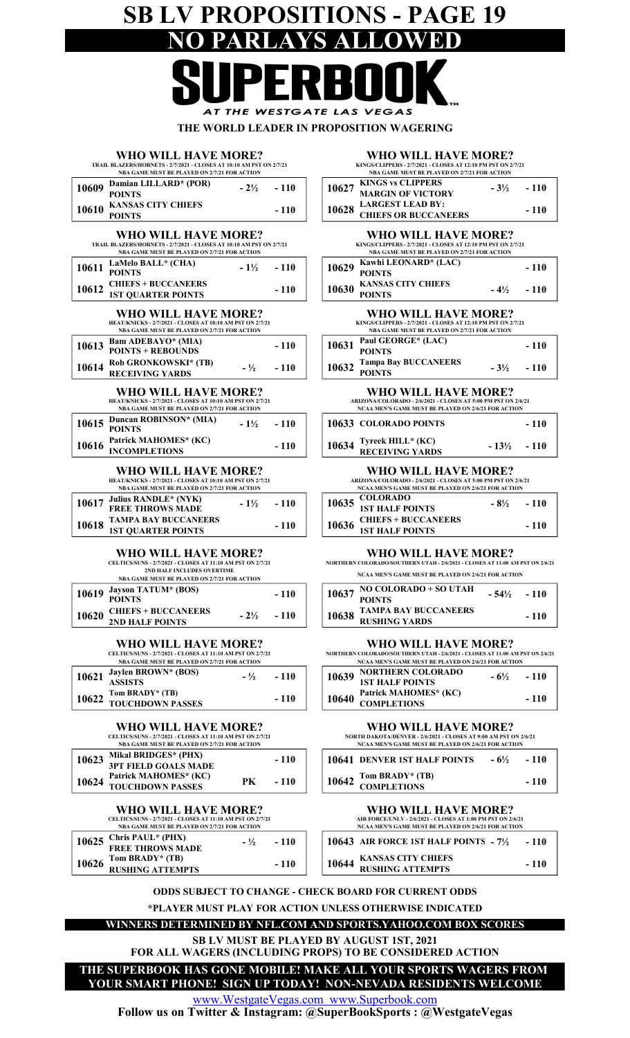## SB LV PROPOSITIONS - PAGE 19 NO PARLAYS ALLOWED  $\overline{\phantom{0}}$

| AT THE WESTGATE LAS VEGAS                                                                                                                                       |                                                                                                                                                  |
|-----------------------------------------------------------------------------------------------------------------------------------------------------------------|--------------------------------------------------------------------------------------------------------------------------------------------------|
| WHO WILL HAVE MORE?                                                                                                                                             | THE WORLD LEADER IN PROPOSITION WAGERING<br><b>WHO WILL HAVE MORE?</b>                                                                           |
| TRAIL BLAZERS/HORNETS - 2/7/2021 - CLOSES AT 10:10 AM PST ON 2/7/21                                                                                             | KINGS/CLIPPERS - 2/7/2021 - CLOSES AT 12:10 PM PST ON 2                                                                                          |
| NBA GAME MUST BE PLAYED ON 2/7/21 FOR ACTION                                                                                                                    | NBA GAME MUST BE PLAYED ON 2/7/21 FOR ACTION                                                                                                     |
| Damian LILLARD* (POR)<br>10609<br>$-2\frac{1}{2}$<br>$-110$                                                                                                     | <b>KINGS vs CLIPPERS</b><br>$-3\frac{1}{2}$<br>10627                                                                                             |
| <b>POINTS</b>                                                                                                                                                   | <b>MARGIN OF VICTORY</b>                                                                                                                         |
| <b>KANSAS CITY CHIEFS</b><br>10610<br>- 110                                                                                                                     | <b>LARGEST LEAD BY:</b><br>10628                                                                                                                 |
| <b>POINTS</b>                                                                                                                                                   | <b>CHIEFS OR BUCCANEERS</b>                                                                                                                      |
| WHO WILL HAVE MORE?<br>TRAIL BLAZERS/HORNETS - 2/7/2021 - CLOSES AT 10:10 AM PST ON 2/7/21<br>NBA GAME MUST BE PLAYED ON 2/7/21 FOR ACTION                      | <b>WHO WILL HAVE MORE?</b><br>KINGS/CLIPPERS - 2/7/2021 - CLOSES AT 12:10 PM PST ON 2<br>NBA GAME MUST BE PLAYED ON 2/7/21 FOR ACTION            |
| LaMelo BALL* (CHA)<br>10611<br>$-1\frac{1}{2}$<br>$-110$<br><b>POINTS</b>                                                                                       | Kawhi LEONARD* (LAC)<br>10629<br><b>POINTS</b>                                                                                                   |
| <b>CHIEFS + BUCCANEERS</b><br>10612<br>- 110<br><b>1ST QUARTER POINTS</b>                                                                                       | <b>KANSAS CITY CHIEFS</b><br>10630<br>$-4\frac{1}{2}$<br><b>POINTS</b>                                                                           |
| WHO WILL HAVE MORE?<br>HEAT/KNICKS - 2/7/2021 - CLOSES AT 10:10 AM PST ON 2/7/21<br>NBA GAME MUST BE PLAYED ON 2/7/21 FOR ACTION                                | <b>WHO WILL HAVE MORE?</b><br>KINGS/CLIPPERS - 2/7/2021 - CLOSES AT 12:10 PM PST ON 2<br>NBA GAME MUST BE PLAYED ON 2/7/21 FOR ACTION            |
| <b>Bam ADEBAYO*</b> (MIA)<br>10613<br>$-110$<br><b>POINTS + REBOUNDS</b>                                                                                        | Paul GEORGE* (LAC)<br>10631<br><b>POINTS</b>                                                                                                     |
| Rob GRONKOWSKI* (TB)<br>10614<br>$-1/2$<br>$-110$<br><b>RECEIVING YARDS</b>                                                                                     | <b>Tampa Bay BUCCANEERS</b><br>10632<br>$-3\frac{1}{2}$<br><b>POINTS</b>                                                                         |
| WHO WILL HAVE MORE?<br>HEAT/KNICKS - 2/7/2021 - CLOSES AT 10:10 AM PST ON 2/7/21<br>NBA GAME MUST BE PLAYED ON 2/7/21 FOR ACTION                                | <b>WHO WILL HAVE MORE?</b><br>ARIZONA/COLORADO - 2/6/2021 - CLOSES AT 5:00 PM PST O!<br>NCAA MEN'S GAME MUST BE PLAYED ON 2/6/21 FOR ACT         |
| Duncan ROBINSON* (MIA)<br>10615<br>$-1\frac{1}{2}$<br>- 110<br><b>POINTS</b>                                                                                    | 10633 COLORADO POINTS                                                                                                                            |
| Patrick MAHOMES* (KC)<br>10616<br>$-110$<br><b>INCOMPLETIONS</b>                                                                                                | Tyreek HILL* (KC)<br>10634<br>$-13\frac{1}{2}$<br><b>RECEIVING YARDS</b>                                                                         |
| WHO WILL HAVE MORE?<br>HEAT/KNICKS - 2/7/2021 - CLOSES AT 10:10 AM PST ON 2/7/21<br>NBA GAME MUST BE PLAYED ON 2/7/21 FOR ACTION                                | <b>WHO WILL HAVE MORE?</b><br>ARIZONA/COLORADO - 2/6/2021 - CLOSES AT 5:00 PM PST O!<br>NCAA MEN'S GAME MUST BE PLAYED ON 2/6/21 FOR ACT         |
| <b>Julius RANDLE*</b> (NYK)<br>10617<br>$-1\frac{1}{2}$<br>$-110$<br><b>FREE THROWS MADE</b>                                                                    | <b>COLORADO</b><br>10635<br>$-8\frac{1}{2}$<br><b>1ST HALF POINTS</b>                                                                            |
| <b>TAMPA BAY BUCCANEERS</b><br>10618<br>$-110$<br><b>1ST QUARTER POINTS</b>                                                                                     | <b>CHIEFS + BUCCANEERS</b><br>10636<br><b>1ST HALF POINTS</b>                                                                                    |
| WHO WILL HAVE MORE?<br>CELTICS/SUNS - 2/7/2021 - CLOSES AT 11:10 AM PST ON 2/7/21<br>2ND HALF INCLUDES OVERTIME<br>NBA GAME MUST BE PLAYED ON 2/7/21 FOR ACTION | <b>WHO WILL HAVE MORE?</b><br>NORTHERN COLORADO/SOUTHERN UTAH - 2/6/2021 - CLOSES AT 11:00 .<br>NCAA MEN'S GAME MUST BE PLAYED ON 2/6/21 FOR ACT |
| <b>Jayson TATUM* (BOS)</b><br>10619<br>$-110$<br><b>POINTS</b>                                                                                                  | NO COLORADO + SO UTAH<br>10637<br>$-54\%$<br><b>POINTS</b>                                                                                       |
| <b>CHIEFS + BUCCANEERS</b><br>10620<br>$-2\frac{1}{2}$<br>- 110<br>2ND HALF POINTS                                                                              | TAMPA BAY BUCCANEERS<br>10638<br><b>RUSHING YARDS</b>                                                                                            |
| WHO WILL HAVE MORE?<br>CELTICS/SUNS - 2/7/2021 - CLOSES AT 11:10 AM PST ON 2/7/21<br>NBA GAME MUST BE PLAYED ON 2/7/21 FOR ACTION                               | <b>WHO WILL HAVE MORE?</b><br>NORTHERN COLORADO/SOUTHERN UTAH - 2/6/2021 - CLOSES AT 11:00 .<br>NCAA MEN'S GAME MUST BE PLAYED ON 2/6/21 FOR ACT |
| Jaylen BROWN* (BOS)<br>10621<br>- 110<br>$- \frac{1}{2}$<br><b>ASSISTS</b>                                                                                      | <b>NORTHERN COLORADO</b><br>10639<br>$-6\frac{1}{2}$<br><b>1ST HALF POINTS</b>                                                                   |
| Tom BRADY* (TB)<br>10622<br>$-110$<br><b>TOUCHDOWN PASSES</b>                                                                                                   | Patrick MAHOMES* (KC)<br>10640<br><b>COMPLETIONS</b>                                                                                             |
| WHO WILL HAVE MORE?<br>CELTICS/SUNS - 2/7/2021 - CLOSES AT 11:10 AM PST ON 2/7/21<br>NBA GAME MUST BE PLAYED ON 2/7/21 FOR ACTION                               | <b>WHO WILL HAVE MORE?</b><br>NORTH DAKOTA/DENVER - 2/6/2021 - CLOSES AT 9:00 AM PST<br>NCAA MEN'S GAME MUST BE PLAYED ON 2/6/21 FOR ACT         |
| Mikal BRIDGES* (PHX)<br>10623<br>$-110$                                                                                                                         | <b>10641 DENVER 1ST HALF POINTS</b><br>$-6\frac{1}{2}$                                                                                           |
| 2DT EIELD COALS MADE                                                                                                                                            |                                                                                                                                                  |

#### 10624 TOUCHDOWN PASSES PK - 110 WHO WILL HAVE MORE? Patrick MAHOMES\* (KC)

3PT FIELD GOALS MADE

CELTICS/SUNS - 2/7/2021 - CLOSES AT 11:10 AM PST ON 2/7/21 NBA GAME MUST BE PLAYED ON 2/7/21 FOR ACTION

| $\begin{array}{ l l }\n\hline\n10625 & \text{Chris PAUL* (PHX)} \\ \hline\n\text{FREE THROWS MADE} & \text{NADE}\n\end{array}$ | $ \frac{1}{2}$ - 110 |
|--------------------------------------------------------------------------------------------------------------------------------|----------------------|
| $\left  \begin{array}{l} 10626 \end{array} \right.$ Tom BRADY* (TB)<br>RUSHING ATTEMPTS                                        | $-110$               |
|                                                                                                                                |                      |

#### WHO WILL HAVE MORE?

AS VEGAS

| KINGS/CLIPPERS - 2/7/2021 - CLOSES AT 12:10 PM PST ON 2/7/21<br>NBA GAME MUST BE PLAYED ON 2/7/21 FOR ACTION |                                                       |  |                       |
|--------------------------------------------------------------------------------------------------------------|-------------------------------------------------------|--|-----------------------|
|                                                                                                              | <b>10627 KINGS vs CLIPPERS<br/>MARGIN OF VICTORY</b>  |  | $-3\frac{1}{2}$ - 110 |
|                                                                                                              | <b>10628 LARGEST LEAD BY:</b><br>CHIEFS OR BUCCANEERS |  | $-110$                |
|                                                                                                              |                                                       |  |                       |

| WHO WILL HAVE MORE?<br>KINGS/CLIPPERS - 2/7/2021 - CLOSES AT 12:10 PM PST ON 2/7/21<br>NBA GAME MUST BE PLAYED ON 2/7/21 FOR ACTION |                                            |                        |        |
|-------------------------------------------------------------------------------------------------------------------------------------|--------------------------------------------|------------------------|--------|
| 10629                                                                                                                               | Kawhi LEONARD* (LAC)<br><b>POINTS</b>      |                        | $-110$ |
| 10630                                                                                                                               | <b>KANSAS CITY CHIEFS</b><br><b>POINTS</b> | $-4\frac{1}{2}$ $-110$ |        |
|                                                                                                                                     |                                            |                        |        |

|       | WHO WILL HAVE MORE?                                                                                          |        |
|-------|--------------------------------------------------------------------------------------------------------------|--------|
|       | KINGS/CLIPPERS - 2/7/2021 - CLOSES AT 12:10 PM PST ON 2/7/21<br>NBA GAME MUST BE PLAYED ON 2/7/21 FOR ACTION |        |
| - 110 | Paul GEORGE* (LAC)<br>10631<br><b>POINTS</b>                                                                 | $-110$ |
| - 110 | <b>Tampa Bay BUCCANEERS</b><br>10632<br>$-3\frac{1}{2}$ - 110                                                |        |

### WHO WILL HAVE MORE?<br>ARIZONA/COLORADO - 2/6/2021 - CLOSES AT 5:00 PM PST ON 2/6/21

ARIZONA/COLORADO - 2/6/2021 - CLOSES AT 5:00 PM PST ON 2/6/21<br>NCAA MEN'S GAME MUST BE PLAYED ON 2/6/21 FOR ACTION

| 10633 COLORADO POINTS                      |                         | $-110$ |
|--------------------------------------------|-------------------------|--------|
| 10634 Tyreek HILL* (KC)<br>RECEIVING YARDS | $-13\frac{1}{2}$ $-110$ |        |

#### WHO WILL HAVE MORE?

ARIZONA/COLORADO - 2/6/2021 - CLOSES AT 5:00 PM PST ON 2/6/21 NCAA MEN'S GAME MUST BE PLAYED ON 2/6/21 FOR ACTION

| 10635 COLORADO<br>1ST HALF POINTS            | $-8\frac{1}{2}$ - 110 |
|----------------------------------------------|-----------------------|
| 10636 CHIEFS + BUCCANEERS<br>187 HALF POINTS | $-110$                |

#### WHO WILL HAVE MORE?

THERN COLORADO/SOUTHERN UTAH - 2/6/2021 - CLOSES AT 11:00 AM PST ON 2/6/21 NCAA MEN'S GAME MUST BE PLAYED ON 2/6/21 FOR ACTION

| 10637 NO COLORADO + SO UTAH                        | $-54\% - 110$ |        |
|----------------------------------------------------|---------------|--------|
| 10638 TAMPA BAY BUCCANEERS<br><b>RUSHING YARDS</b> |               | $-110$ |

### WHO WILL HAVE MORE?<br>lorado/southern utah - 2/6/2021 - closes at 11:00 am pst on 2/6/21

NORTHERN COLORADO/SOUTHERN UTAH - 2/6/2021 - CLOSES AT 11:00 AM PST ON 2/6/21 NCAA MEN'S GAME MUST BE PLAYED ON 2/6/21 FOR ACTION

|  | 10639 NORTHERN COLORADO                    | $-6\% - 110$ |        |
|--|--------------------------------------------|--------------|--------|
|  | <b>1ST HALF POINTS</b>                     |              |        |
|  | 10640 Patrick MAHOMES* (KC)<br>COMPLETIONS |              | $-110$ |
|  |                                            |              |        |

#### WHO WILL HAVE MORE?

NORTH DAKOTA/DENVER - 2/6/2021 - CLOSES AT 9:00 AM PST ON 2/6/21 NCAA MEN'S GAME MUST BE PLAYED ON 2/6/21 FOR ACTION

| <b>10641 DENVER 1ST HALF POINTS</b>  | $-6\% - 110$ |
|--------------------------------------|--------------|
| 10642 Tom BRADY* (TB)<br>COMPLETIONS | $-110$       |

| WHO WILL HAVE MORE?                                         |
|-------------------------------------------------------------|
| AIR FORCE/UNLV - 2/6/2021 - CLOSES AT 1:00 PM PST ON 2/6/21 |
| NCAA MEN'S GAME MUST BE PLAYED ON 2/6/21 FOR ACTION         |

| Chris PAUL* (PHX)<br>FREE THROWS MADE | $- \frac{1}{2}$ | - 110 | 10643 AIR FORCE 1ST HALF POINTS $-7\frac{1}{2}$     | - 110 |
|---------------------------------------|-----------------|-------|-----------------------------------------------------|-------|
| Tom BRADY* (TB)<br>RUSHING ATTEMPTS   |                 | - 110 | 10644 KANSAS CITY CHIEFS<br><b>RUSHING ATTEMPTS</b> | - 110 |

\*PLAYER MUST PLAY FOR ACTION UNLESS OTHERWISE INDICATED ODDS SUBJECT TO CHANGE - CHECK BOARD FOR CURRENT ODDS

#### WINNERS DETERMINED BY NFL.COM AND SPORTS.YAHOO.COM BOX SCORES

SB LV MUST BE PLAYED BY AUGUST 1ST, 2021

FOR ALL WAGERS (INCLUDING PROPS) TO BE CONSIDERED ACTION

THE SUPERBOOK HAS GONE MOBILE! MAKE ALL YOUR SPORTS WAGERS FROM YOUR SMART PHONE! SIGN UP TODAY! NON-NEVADA RESIDENTS WELCOME

www.WestgateVegas.com www.Superbook.com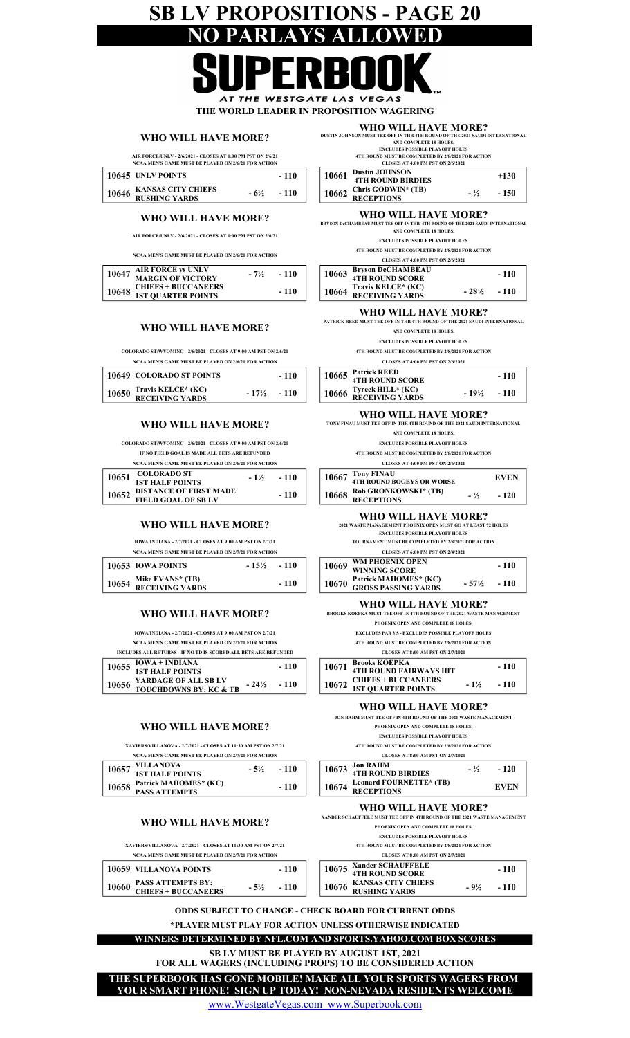### SB LV PROPOSITIONS - PAGE 20 PARLAYS A

AT THE WESTGATE LAS VEGAS THE WORLD LEADER IN PROPOSITION WAGERING

#### WHO WILL HAVE MORE?

AIR FORCE/UNLV - 2/6/2021 - CLOSES AT 1:00 PM PST ON 2/6/21 NCAA MEN'S GAME MUST BE PLAYED ON 2/6/21 FOR ACTION

| $\pm 10645$ UNLV POINTS                   |                 | $-110$ |
|-------------------------------------------|-----------------|--------|
| 10646 KANSAS CITY CHIEFS<br>RUSHING YARDS | $-6\frac{1}{2}$ | $-110$ |

#### WHO WILL HAVE MORE?

AIR FORCE/UNLV - 2/6/2021 - CLOSES AT 1:00 PM PST ON 2/6/21

NCAA MEN'S GAME MUST BE PLAYED ON 2/6/21 FOR ACTION

| 10647 | <b>AIR FORCE vs UNLV<br/>MARGIN OF VICTORY</b>          | $-7\frac{1}{2}$ | $-110$ |
|-------|---------------------------------------------------------|-----------------|--------|
|       |                                                         |                 |        |
|       | <b>10648 CHIEFS + BUCCANEERS<br/>1ST QUARTER POINTS</b> |                 | $-110$ |

#### WHO WILL HAVE MORE?

COLORADO ST/WYOMING - 2/6/2021 - CLOSES AT 9:00 AM PST ON 2/6/21 NCAA MEN'S GAME MUST BE PLAYED ON 2/6/21 FOR ACTION

|       | <b>10649 COLORADO ST POINTS</b>              |                         | $-110$ |
|-------|----------------------------------------------|-------------------------|--------|
| 10650 | Travis KELCE* (KC)<br><b>RECEIVING YARDS</b> | $-17\frac{1}{2}$ $-110$ |        |

#### WHO WILL HAVE MORE?

COLORADO ST/WYOMING - 2/6/2021 - CLOSES AT 9:00 AM PST ON 2/6/21 NCAA MEN'S GAME MUST BE PLAYED ON 2/6/21 FOR ACTION IF NO FIELD GOAL IS MADE ALL BETS ARE REFUNDED

| 10651 | <b>COLORADO ST</b><br><b>1ST HALF POINTS</b>               | $-1\frac{1}{2}$ | - 110  | 10667 | <b>Tony FINAU</b><br><b>4TH ROUND B</b> |
|-------|------------------------------------------------------------|-----------------|--------|-------|-----------------------------------------|
|       | 10652 DISTANCE OF FIRST MADE<br><b>FIELD GOAL OF SB LV</b> |                 | $-110$ |       | $10668$ Rob GRONK<br><b>RECEPTION</b>   |

#### WHO WILL HAVE MORE?

IOWA/INDIANA - 2/7/2021 - CLOSES AT 9:00 AM PST ON 2/7/21

| NCAA MEN'S GAME MUST BE PLAYED ON 2/7/21 FOR ACTION |                                           |               |        |  |  |
|-----------------------------------------------------|-------------------------------------------|---------------|--------|--|--|
|                                                     | 10653 IOWA POINTS                         | $-15\% - 110$ |        |  |  |
|                                                     | 10654 Mike EVANS* (TB)<br>RECEIVING YARDS |               | $-110$ |  |  |

#### WHO WILL HAVE MORE?

NCAA MEN'S GAME MUST BE PLAYED ON 2/7/21 FOR ACTION IOWA/INDIANA - 2/7/2021 - CLOSES AT 9:00 AM PST ON 2/7/21

|       | INCLUDES ALL RETURNS - IF NO TD IS SCORED ALL BETS ARE REFUNDED |                  |        |       | <b>CLOSES AT</b>                       |
|-------|-----------------------------------------------------------------|------------------|--------|-------|----------------------------------------|
|       | $10655$ $10WA + INDIANA$<br><b>1ST HALF POINTS</b>              |                  | $-110$ | 10671 | <b>Brooks KOEPKA<br/>4TH ROUND FAI</b> |
| 10656 | <b>YARDAGE OF ALL SB LV<br/>TOUCHDOWNS BY: KC &amp; TB</b>      | $-24\frac{1}{2}$ | $-110$ | 10672 | <b>CHIEFS + BUCC<br/>1ST QUARTER I</b> |

#### WHO WILL HAVE MORE?

XAVIERS/VILLANOVA - 2/7/2021 - CLOSES AT 11:30 AM PST ON 2/7/21 NCAA MEN'S GAME MUST BE PLAYED ON 2/7/21 FOR ACTION

| 10657 | <b>VILLANOVA</b><br><b>1ST HALF POINTS</b>            | $-5\%$ | $-110$ | $10673$ Jon RAHM<br><b>4TH ROUN</b>     |
|-------|-------------------------------------------------------|--------|--------|-----------------------------------------|
|       | $10658$ Patrick MAHOMES* (KC)<br><b>PASS ATTEMPTS</b> |        | $-110$ | <b>Leonard FC<br/>RECEPTIC</b><br>10674 |

#### WHO WILL HAVE MORE?

XAVIERS/VILLANOVA - 2/7/2021 - CLOSES AT 11:30 AM PST ON 2/7/21

| NCAA MEN'S GAME MUST BE PLAYED ON 2/7/21 FOR ACTION             |                 |        |  |  |  |
|-----------------------------------------------------------------|-----------------|--------|--|--|--|
| 10659 VILLANOVA POINTS                                          |                 | $-110$ |  |  |  |
| <b>PASS ATTEMPTS BY:</b><br>10660<br><b>CHIEFS + BUCCANEERS</b> | $-5\frac{1}{2}$ | $-110$ |  |  |  |

| $10661$ Dustin JOHNSON                                                       |  |
|------------------------------------------------------------------------------|--|
| <b>CLOSES AT 4:00 PM PST ON 2/6/2021</b>                                     |  |
| 4TH ROUND MUST BE COMPLETED BY 2/8/2021 FOR ACTION                           |  |
| <b>EXCLUDES POSSIBLE PLAYOFF HOLES</b>                                       |  |
| AND COMPLETE 18 HOLES.                                                       |  |
| DUSTIN JOHNSON MUST TEE OFF IN THR 4TH ROUND OF THE 2021 SAUDI INTERNATIONAL |  |

WHO WILL HAVE MORE?

| $10661$ $\frac{\mu_{\text{BMI}}}{\mu_{\text{TH}}}\text{DOLM}$<br><b>4TH ROUND BIRDIES</b> |        | $+130$ |
|-------------------------------------------------------------------------------------------|--------|--------|
| 10662 Chris GODWIN* (TB)<br>RECEPTIONS                                                    | $-1/2$ | - 150  |
|                                                                                           |        |        |

#### BRYSON DeCHAMBEAU MUST TEE OFF IN THR 4TH ROUND OF THE 2021 SAUDI INTERNATIONAL WHO WILL HAVE MORE?

AND COMPLETE 18 HOLES.

EXCLUDES POSSIBLE PLAYOFF HOLES

4TH ROUND MUST BE COMPLETED BY 2/8/2021 FOR ACTION

| <b>CLOSES AT 4:00 PM PST ON 2/6/2021</b> |                                                                                           |                         |        |  |  |
|------------------------------------------|-------------------------------------------------------------------------------------------|-------------------------|--------|--|--|
|                                          | 10663 Bryson DeCHAMBEAU                                                                   |                         | $-110$ |  |  |
|                                          | $\left  \begin{array}{c} 10664 \end{array} \right.$ Travis KELCE* (KC)<br>RECEIVING YARDS | $-28\frac{1}{2}$ $-110$ |        |  |  |

#### WHO WILL HAVE MORE?

PATRICK REED MUST TEE OFF IN THR 4TH ROUND OF THE 2021 SAUDI INTERNATIONAL AND COMPLETE 18 HOLES.

EXCLUDES POSSIBLE PLAYOFF HOLES

4TH ROUND MUST BE COMPLETED BY 2/8/2021 FOR ACTION

| <b>CLOSES AT 4:00 PM PST ON 2/6/2021</b> |                                            |                         |        |  |
|------------------------------------------|--------------------------------------------|-------------------------|--------|--|
|                                          | 10665 Patrick REED<br>4TH ROUND SCORE      |                         | $-110$ |  |
|                                          | 10666 Tyreek HILL* (KC)<br>RECEIVING YARDS | $-19\frac{1}{2}$ $-110$ |        |  |

#### WHO WILL HAVE MORE?

TONY FINAU MUST TEE OFF IN THR 4TH ROUND OF THE 2021 SAUDI INTERNATIONAL AND COMPLETE 18 HOLES.

EXCLUDES POSSIBLE PLAYOFF HOLES

4TH ROUND MUST BE COMPLETED BY 2/8/2021 FOR ACTION CLOSES AT 4:00 PM PST ON 2/6/2021

| $10667$ Tony FINAU<br><b>4TH ROUND BOGEYS OR WORSE</b> |        | EVEN  |
|--------------------------------------------------------|--------|-------|
| 10668 Rob GRONKOWSKI* (TB)<br><b>RECEPTIONS</b>        | $-1/2$ | - 120 |

#### WHO WILL HAVE MORE?

2021 WASTE MANAGEMENT PHOENIX OPEN MUST GO AT LEAST 72 HOLES<br>EXCLUDES POSSIBLE PLAYOFF HOLES

TOURNAMENT MUST BE COMPLETED BY 2/8/2021 FOR ACTION

|       | <b>CLOSES AT 6:00 PM PST ON 2/4/2021</b>            |                        |        |
|-------|-----------------------------------------------------|------------------------|--------|
| 10669 | WM PHOENIX OPEN<br><b>WINNING SCORE</b>             |                        | $-110$ |
| 10670 | Patrick MAHOMES* (KC)<br><b>GROSS PASSING YARDS</b> | $-57\frac{1}{2}$ - 110 |        |

#### WHO WILL HAVE MORE?

EXCLUDES PAR 3'S - EXCLUDES POSSIBLE PLAYOFF HOLES PHOENIX OPEN AND COMPLETE 18 HOLES. BROOKS KOEPKA MUST TEE OFF IN 4TH ROUND OF THE 2021 WASTE MANAGEMENT

4TH ROUND MUST BE COMPLETED BY 2/8/2021 FOR ACTION CLOSES AT 8:00 AM PST ON 2/7/2021

| CLOSES AT 0.00 A.M.I.S. OR 4/14941                                  |                        |        |
|---------------------------------------------------------------------|------------------------|--------|
| 10671 Brooks KOEPKA<br>4TH ROUND FAIRWAYS HIT                       |                        | $-110$ |
| <b>10672 CHIEFS + BUCCANEERS</b><br><b>10672 1ST QUARTER POINTS</b> | $-1\frac{1}{2}$ $-110$ |        |

#### WHO WILL HAVE MORE?

PHOENIX OPEN AND COMPLETE 18 HOLES. JON RAHM MUST TEE OFF IN 4TH ROUND OF THE 2021 WASTE MANAGEMENT

EXCLUDES POSSIBLE PLAYOFF HOLES

4TH ROUND MUST BE COMPLETED BY 2/8/2021 FOR ACTION

| <b>CLOSES AT 8:00 AM PST ON 2/7/2021</b> |                                             |  |              |  |  |
|------------------------------------------|---------------------------------------------|--|--------------|--|--|
|                                          | 10673 Jon RAHM<br>4TH ROUND BIRDIES         |  | $-1/2$ - 120 |  |  |
|                                          | 10674 Leonard FOURNETTE* (TB)<br>RECEPTIONS |  | <b>EVEN</b>  |  |  |

WHO WILL HAVE MORE?

XANDER SCHAUFFELE MUST TEE OFF IN 4TH ROUND OF THE 2021 WASTE MANAGEMENT PHOENIX OPEN AND COMPLETE 18 HOLES.

CLOSES AT 8:00 AM PST ON 2/7/2021 EXCLUDES POSSIBLE PLAYOFF HOLES 4TH ROUND MUST BE COMPLETED BY 2/8/2021 FOR ACTION

| 10675 Xander SCHAUFFELE<br>4TH ROUND SCORE       |             | - 110 |
|--------------------------------------------------|-------------|-------|
| 10676 KANSAS CITY CHIEFS<br><b>RUSHING YARDS</b> | $-9\% -110$ |       |

ODDS SUBJECT TO CHANGE - CHECK BOARD FOR CURRENT ODDS \*PLAYER MUST PLAY FOR ACTION UNLESS OTHERWISE INDICATED

WINNERS DETERMINED BY NFL.COM AND SPORTS.YAHOO.COM BOX SCORES

SB LV MUST BE PLAYED BY AUGUST 1ST, 2021

FOR ALL WAGERS (INCLUDING PROPS) TO BE CONSIDERED ACTION

THE SUPERBOOK HAS GONE MOBILE! MAKE ALL YOUR SPORTS WAGERS FROM YOUR SMART PHONE! SIGN UP TODAY! NON-NEVADA RESIDENTS WELCOME

www.WestgateVegas.com www.Superbook.com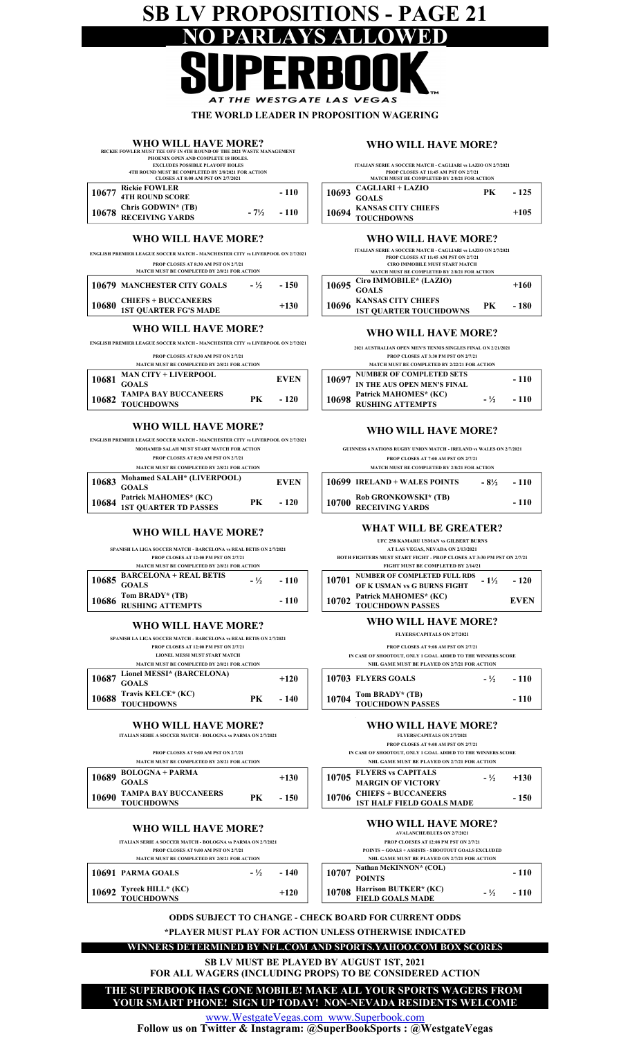## SB LV PROPOSITIONS - PAGE 21 PARLA

AT THE WESTGATE LAS VEGAS THE WORLD LEADER IN PROPOSITION WAGERING

|       | WHO WILL HAVE MORE?                                                           |              |       |  |
|-------|-------------------------------------------------------------------------------|--------------|-------|--|
|       | RICKIE FOWLER MUST TEE OFF IN 4TH ROUND OF THE 2021 WASTE MANAGEMENT          |              |       |  |
|       | PHOENIX OPEN AND COMPLETE 18 HOLES.<br><b>EXCLUDES POSSIBLE PLAYOFF HOLES</b> |              |       |  |
|       | 4TH ROUND MUST BE COMPLETED BY 2/8/2021 FOR ACTION                            |              |       |  |
|       | <b>CLOSES AT 8:00 AM PST ON 2/7/2021</b>                                      |              |       |  |
| 10677 | <b>Rickie FOWLER</b>                                                          |              | - 110 |  |
|       | <b>4TH ROUND SCORE</b>                                                        |              |       |  |
| 10678 | Chris GODWIN* (TB)                                                            | $-7\% - 110$ |       |  |
|       | <b>RECEIVING YARDS</b>                                                        |              |       |  |

#### WHO WILL HAVE MORE?

ENGLISH PREMIER LEAGUE SOCCER MATCH - MANCHESTER CITY vs LIVERPOOL ON 2/7/2021

| PROP CLOSES AT 8:30 AM PST ON 2/7/21<br><b>MATCH MUST BE COMPLETED BY 2/8/21 FOR ACTION</b> |                                                            |        |        |  |       |
|---------------------------------------------------------------------------------------------|------------------------------------------------------------|--------|--------|--|-------|
|                                                                                             | <b>10679 MANCHESTER CITY GOALS</b>                         | $-1/2$ | - 150  |  | 10695 |
| 10680                                                                                       | <b>CHIEFS + BUCCANEERS</b><br><b>1ST QUARTER FG'S MADE</b> |        | $+130$ |  | 10696 |

#### WHO WILL HAVE MORE? WHO WILL HAVE MORE?

ENGLISH PREMIER LEAGUE SOCCER MATCH - MANCHESTER CITY vs LIVERPOOL ON 2/7/2021

PROP CLOSES AT 8:30 AM PST ON 2/7/21

|  |  | MATCH MUST BE COMPLETED BY 2/8/21 FOR ACTION |  |
|--|--|----------------------------------------------|--|
|  |  |                                              |  |

| 10681 | <b>MAN CITY + LIVERPOOL</b> |    | <b>EVEN</b> |       | $\overline{a}$     10697 NUMBER OF COMPLETED SETS | $-110$ |
|-------|-----------------------------|----|-------------|-------|---------------------------------------------------|--------|
|       | <b>GOALS</b>                |    |             |       | IN THE AUS OPEN MEN'S FINAL                       |        |
|       | <b>TAMPA BAY BUCCANEERS</b> |    |             |       | Patrick MAHOMES* (KC)                             |        |
| 10682 | <b>TOUCHDOWNS</b>           | PК | $-120$      | 10698 | <b>RUSHING ATTEMPTS</b>                           | - 110  |

#### WHO WILL HAVE MORE?

ENGLISH PREMIER LEAGUE SOCCER MATCH - MANCHESTER CITY vs LIVERPOOL ON 2/7/2021

|       | MOHAMED SALAH MUST START MATCH FOR ACTION                                   |    |             |
|-------|-----------------------------------------------------------------------------|----|-------------|
|       | <b>PROP CLOSES AT 8:30 AM PST ON 2/7/21</b>                                 |    |             |
|       | <b>MATCH MUST BE COMPLETED BY 2/8/21 FOR ACTION</b>                         |    |             |
|       | Mohamed SALAH* (LIVERPOOL)<br>$10683$ $\frac{1000 \text{ m}}{\text{GOALS}}$ |    | <b>EVEN</b> |
| 10684 | Patrick MAHOMES* (KC)<br><b>1ST QUARTER TD PASSES</b>                       | PK | $-120$      |

#### WHO WILL HAVE MORE?

SPANISH LA LIGA SOCCER MATCH - BARCELONA vs REAL BETIS ON 2/7/2021<br>PROP CLOSES AT 12:00 PM PST ON 2/7/21

|                                                 | <b>MATCH MUST BE COMPLETED BY 2/8/21 FOR ACTION</b> |  |                      |
|-------------------------------------------------|-----------------------------------------------------|--|----------------------|
| $10685\begin{array}{l}\text{Branom}\end{array}$ | <b>BARCELONA + REAL BETIS</b>                       |  | $ \frac{1}{2}$ - 110 |
|                                                 |                                                     |  |                      |
| 10686                                           | Tom BRADY* (TB)                                     |  | $-110$               |
|                                                 | <b>RUSHING ATTEMPTS</b>                             |  |                      |

#### WHO WILL HAVE MORE?

SPANISH LA LIGA SOCCER MATCH - BARCELONA vs REAL BETIS ON 2/7/2021

LIONEL MESSI MUST START MATCH PROP CLOSES AT 12:00 PM PST ON 2/7/21

| <b>MATCH MUST BE COMPLETED BY 2/8/21 FOR ACTION</b> |
|-----------------------------------------------------|

| 10687 Lionel MESSI* (BARCELONA)<br>GOALS      |     | $+120$ |
|-----------------------------------------------|-----|--------|
| <b>10688 Travis KELCE* (KC)</b><br>TOUCHDOWNS | PK. | - 140  |
|                                               |     |        |

#### WHO WILL HAVE MORE?

ITALIAN SERIE A SOCCER MATCH - BOLOGNA vs PARMA ON 2/7/2021

PROP CLOSES AT 9:00 AM PST ON 2/7/21

| MATCH MUST BE COMPLETED BY 2/8/21 FOR ACTION |                   |                             |    |        | <b>NHL GAME MUST BE PLAYED ON 2/7/21 FOR</b> |                                  |                            |
|----------------------------------------------|-------------------|-----------------------------|----|--------|----------------------------------------------|----------------------------------|----------------------------|
|                                              | 10689             | <b>BOLOGNA + PARMA</b>      |    | $+130$ |                                              | 10705                            | <b>FLYERS vs CAPITALS</b>  |
|                                              | GOAL S            |                             |    |        | <b>MARGIN OF VICTORY</b>                     |                                  |                            |
|                                              | 10690             | <b>TAMPA BAY BUCCANEERS</b> | РK | - 150  |                                              | 10706                            | <b>CHIEFS + BUCCANEERS</b> |
|                                              | <b>TOUCHDOWNS</b> |                             |    |        |                                              | <b>1ST HALF FIELD GOALS MADE</b> |                            |

#### WHO WILL HAVE MORE?

| <b>ITALIAN SERIE A SOCCER MATCH - BOLOGNA vs PARMA ON 2/7/2021</b>                          |               |
|---------------------------------------------------------------------------------------------|---------------|
| PROP CLOSES AT 9:00 AM PST ON 2/7/21<br><b>MATCH MUST BE COMPLETED BY 2/8/21 FOR ACTION</b> |               |
| 10691 PARMA GOALS                                                                           | $-1/2$ $-140$ |
| 10692 Tyreek HILL* (KC)<br>TOUCHDOWNS                                                       | $+120$        |

#### WHO WILL HAVE MORE?

CAGLIARI + LAZIO GOALS 10694 KANSAS CITY CHIEFS TOUCHDOWNS 10693 ITALIAN SERIE A SOCCER MATCH - CAGLIARI vs LAZIO ON 2/7/2021 PK - 125 PROP CLOSES AT 11:45 AM PST ON 2/7/21<br>MATCH MUST BE COMPLETED BY 2/8/21 FOR ACTION +105

#### WHO WILL HAVE MORE?

|       | <b>ITALIAN SERIE A SOCCER MATCH - CAGLIARI vs LAZIO ON 2/7/2021</b> |     |        |
|-------|---------------------------------------------------------------------|-----|--------|
|       | <b>PROP CLOSES AT 11:45 AM PST ON 2/7/21</b>                        |     |        |
|       | <b>CIRO IMMOBILE MUST START MATCH</b>                               |     |        |
|       | <b>MATCH MUST BE COMPLETED BY 2/8/21 FOR ACTION</b>                 |     |        |
| 10695 | Ciro IMMOBILE* (LAZIO)                                              |     | $+160$ |
|       | <b>GOALS</b>                                                        |     |        |
| 10696 | <b>KANSAS CITY CHIEFS</b>                                           | PK. | - 180  |
|       | <b>1ST QUARTER TOUCHDOWNS</b>                                       |     |        |

2021 AUSTRALIAN OPEN MEN'S TENNIS SINGLES FINAL ON 2/21/2021

PROP CLOSES AT 3:30 PM PST ON 2/7/21

|       | <b>MATCH MUST BE COMPLETED BY 2/22/21 FOR ACTION</b> |  |                      |
|-------|------------------------------------------------------|--|----------------------|
| 10697 | <b>NUMBER OF COMPLETED SETS</b>                      |  | $-110$               |
|       | IN THE AUS OPEN MEN'S FINAL                          |  |                      |
| 10698 | Patrick MAHOMES* (KC)                                |  | $ \frac{1}{2}$ - 110 |
|       | <b>RUSHING ATTEMPTS</b>                              |  |                      |

#### WHO WILL HAVE MORE?

MATCH MUST BE COMPLETED BY 2/8/21 FOR ACTION GUINNESS 6 NATIONS RUGBY UNION MATCH - IRELAND vs WALES ON 2/7/2021 PROP CLOSES AT 7:00 AM PST ON 2/7/21

| <b>10699 IRELAND + WALES POINTS</b>                    | - 8½ | $-110$ |
|--------------------------------------------------------|------|--------|
| $10700$ Rob GRONKOWSKI* (TB)<br><b>RECEIVING YARDS</b> |      | $-110$ |
|                                                        |      |        |

#### WHAT WILL BE GREATER?

UFC 258 KAMARU USMAN vs GILBERT BURNS

AT LAS VEGAS, NEVADA ON 2/13/2021 BOTH FIGHTERS MUST START FIGHT - PROP CLOSES AT 3:30 PM PST ON 2/7/21 FIGHT MUST BE COMPLETED BY 2/14/21

| 10701 | NUMBER OF COMPLETED FULL RDS<br>$-1\%$          |  | $-120$      |
|-------|-------------------------------------------------|--|-------------|
|       | OF K USMAN vs G BURNS FIGHT                     |  |             |
|       | 10702 Patrick MAHOMES* (KC)<br>TOUCHDOWN PASSES |  | <b>EVEN</b> |
|       |                                                 |  |             |

#### WHO WILL HAVE MORE?

FLYERS/CAPITALS ON 2/7/2021

PROP CLOSES AT 9:08 AM PST ON 2/7/21

IN CASE OF SHOOTOUT, ONLY 1 GOAL ADDED TO THE WINNERS SCORE NHL GAME MUST BE PLAYED ON 2/7/21 FOR ACTION

| 10703 FLYERS GOALS                        | $-\frac{1}{2}$ - 110 |
|-------------------------------------------|----------------------|
| 10704 Tom BRADY* (TB)<br>TOUCHDOWN PASSES | $-110$               |

#### WHO WILL HAVE MORE?

FLYERS/CAPITALS ON 2/7/2021

IN CASE OF SHOOTOUT, ONLY 1 GOAL ADDED TO THE WINNERS SCORE NHL GAME MUST BE PLAYED ON 2/7/21 FOR PROP CLOSES AT 9:08 AM PST ON 2/7/21

| NHL GAME MUST BE PLAYED ON 2/7/21 FOR ACTION           |                |        |
|--------------------------------------------------------|----------------|--------|
| 10705 FLYERS vs CAPITALS<br>MARGIN OF VICTORY          | $-\frac{1}{2}$ | $+130$ |
|                                                        |                |        |
| 10706 CHIEFS + BUCCANEERS<br>18T HALF FIELD GOALS MADE |                | $-150$ |
|                                                        |                |        |

#### WHO WILL HAVE MORE?

 $10707 \frac{\text{Natalation}}{\text{POLNTS}}$  - 110 Tyreek HILL\* (KC) Harrison BUTKER\* (KC) 10708 - 110 FIELD GOALS MADE POINTS = GOALS + ASSISTS - SHOOTOUT GOALS EXCLUDED Nathan McKINNON\* (COL)  $- \frac{1}{2}$ NHL GAME MUST BE PLAYED ON 2/7/21 FOR ACTION AVALANCHE/BLUES ON 2/7/2021 PROP CLOESES AT 12:08 PM PST ON 2/7/21

ODDS SUBJECT TO CHANGE - CHECK BOARD FOR CURRENT ODDS

#### \*PLAYER MUST PLAY FOR ACTION UNLESS OTHERWISE INDICATED

#### WINNERS DETERMINED BY NFL.COM AND SPORTS.YAHOO.COM BOX SCORES

SB LV MUST BE PLAYED BY AUGUST 1ST, 2021 FOR ALL WAGERS (INCLUDING PROPS) TO BE CONSIDERED ACTION

#### THE SUPERBOOK HAS GONE MOBILE! MAKE ALL YOUR SPORTS WAGERS FROM YOUR SMART PHONE! SIGN UP TODAY! NON-NEVADA RESIDENTS WELCOME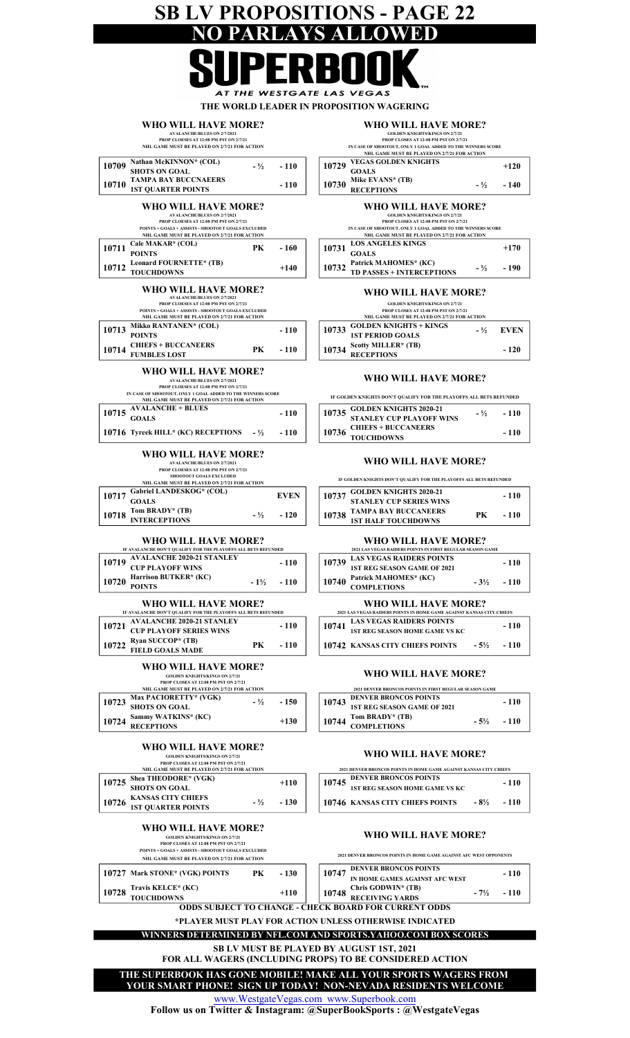## SB LV PROPOSITIONS - PAGE 22 NO PARLAYS ALLOWED

THE WESTGATE LAS VEGAS THE WORLD LEADER IN PROPOSITION WAGERING

| Z LEADER IN FROI OSHTIVN WANERING |  |  |
|-----------------------------------|--|--|
|                                   |  |  |
|                                   |  |  |

| WHO WILL HAVE MORE?                           |
|-----------------------------------------------|
| <b>AVALANCHE/BLIJES ON 2/7/2021</b>           |
| <b>PROP CLOESES AT 12:08 PM PST ON 2/7/21</b> |

#### PROP CLOESES AT 12:08 PM PST ON 2/7/21<br>NHL GAME MUST BE PLAYED ON 2/7/21 FOR ACTION

|       |                                                                                                                                                                                                                  |        | NHL GAME MUST BE PLAYED ON 2/7/21 FOR ACTION                                                                                                                                                                   |
|-------|------------------------------------------------------------------------------------------------------------------------------------------------------------------------------------------------------------------|--------|----------------------------------------------------------------------------------------------------------------------------------------------------------------------------------------------------------------|
| 10709 | Nathan McKINNON* (COL)<br>$-1/2$<br><b>SHOTS ON GOAL</b>                                                                                                                                                         | $-110$ | <b>VEGAS GOLDEN KNIGHTS</b><br>10729<br><b>GOALS</b>                                                                                                                                                           |
| 10710 | <b>TAMPA BAY BUCCNAEERS</b><br><b>1ST OUARTER POINTS</b>                                                                                                                                                         | $-110$ | Mike EVANS* (TB)<br>10730<br>$-1/2$<br><b>RECEPTIONS</b>                                                                                                                                                       |
|       | WHO WILL HAVE MORE?<br><b>AVALANCHE/BLUES ON 2/7/2021</b><br>PROP CLOESES AT 12:08 PM PST ON 2/7/21<br><b>POINTS = GOALS + ASSISTS - SHOOTOUT GOALS EXCLUDED</b><br>NHL GAME MUST BE PLAYED ON 2/7/21 FOR ACTION |        | WHO WILL HAVE MORE?<br><b>GOLDEN KNIGHTS/KINGS ON 2/7/21</b><br>PROP CLOSES AT 12:08 PM PST ON 2/7/21<br>IN CASE OF SHOOTOUT, ONLY 1 GOAL ADDED TO THE WINNERS<br>NHL GAME MUST BE PLAYED ON 2/7/21 FOR ACTION |
| 10711 | Cale MAKAR <sup>*</sup> (COL)<br>PК<br><b>POINTS</b>                                                                                                                                                             | - 160  | <b>LOS ANGELES KINGS</b><br>10731<br><b>GOALS</b>                                                                                                                                                              |
| 10712 | Leonard FOURNETTE* (TB)<br><b>TOUCHDOWNS</b>                                                                                                                                                                     | $+140$ | Patrick MAHOMES* (KC)<br>10732<br>$-1/2$<br><b>TD PASSES + INTERCEPTIONS</b>                                                                                                                                   |
|       | WHO WILL HAVE MORE?<br><b>AVALANCHE/BLUES ON 2/7/2021</b><br>PROP CLOESES AT 12:08 PM PST ON 2/7/21<br><b>POINTS = GOALS + ASSISTS - SHOOTOUT GOALS EXCLUDED</b><br>NHL GAME MUST BE PLAYED ON 2/7/21 FOR ACTION |        | WHO WILL HAVE MORE?<br><b>GOLDEN KNIGHTS/KINGS ON 2/7/21</b><br>PROP CLOSES AT 12:08 PM PST ON 2/7/21<br>NHL GAME MUST BE PLAYED ON 2/7/21 FOR ACTION                                                          |
| 10713 | Mikko RANTANEN* (COL)<br><b>POINTS</b>                                                                                                                                                                           | $-110$ | <b>GOLDEN KNIGHTS + KINGS</b><br>10733<br>$-1/2$<br><b>1ST PERIOD GOALS</b>                                                                                                                                    |
| 10714 | <b>CHIEFS + BUCCANEERS</b><br>PК<br><b>FUMBLES LOST</b>                                                                                                                                                          | - 110  | Scotty MILLER* (TB)<br>10734<br><b>RECEPTIONS</b>                                                                                                                                                              |

|       | WHO WILL HAVE MORE?                                         |               |
|-------|-------------------------------------------------------------|---------------|
|       | <b>GOLDEN KNIGHTS/KINGS ON 2/7/21</b>                       |               |
|       | <b>PROP CLOSES AT 12:08 PM PST ON 2/7/21</b>                |               |
|       | IN CASE OF SHOOTOUT, ONLY 1 GOAL ADDED TO THE WINNERS SCORE |               |
|       | NHL GAME MUST BE PLAYED ON 2/7/21 FOR ACTION                |               |
| 10729 | <b>VEGAS GOLDEN KNIGHTS</b>                                 | $+120$        |
|       | <b>GOALS</b>                                                |               |
| 10730 | Mike EVANS* (TB)                                            | $-1/2$ $-140$ |
|       | <b>RECEPTIONS</b>                                           |               |

#### WHO WILL HAVE MORE?

#### GOLDEN KNIGHTS/KINGS ON 2/7/21 PROP CLOSES AT 12:08 PM PST ON 2/7/21

|       | IN CASE OF SHOOTOUT, ONLY 1 GOAL ADDED TO THE WINNERS SCORE<br>NHL GAME MUST BE PLAYED ON 2/7/21 FOR ACTION |                      |
|-------|-------------------------------------------------------------------------------------------------------------|----------------------|
|       | <b>LOS ANGELES KINGS</b><br>$10731\begin{array}{l}\text{LOS AN} \\ \text{GOALS}\end{array}$                 | $+170$               |
| 10732 | Patrick MAHOMES* (KC)<br>TD PASSES + INTERCEPTIONS                                                          | $ \frac{1}{2}$ - 190 |

#### WHO WILL HAVE MORE?

#### PROP CLOSES AT 12:08 PM PST ON 2/7/21 GOLDEN KNIGHTS/KINGS ON 2/7/21

|       | <b>PRUP CLOSES AT LEDS PNLPST ON 20021</b><br>NHL GAME MUST BE PLAYED ON 2/7/21 FOR ACTION |  |                     |  |  |
|-------|--------------------------------------------------------------------------------------------|--|---------------------|--|--|
| 10733 | <b>GOLDEN KNIGHTS + KINGS</b>                                                              |  | $ \frac{1}{2}$ EVEN |  |  |
|       | <b>1ST PERIOD GOALS</b>                                                                    |  |                     |  |  |
| 10734 | Scotty MILLER* (TB)                                                                        |  | $-120$              |  |  |
|       | <b>RECEPTIONS</b>                                                                          |  |                     |  |  |

#### WHO WILL HAVE MORE?

IF GOLDEN KNIGHTS DON'T QUALIFY FOR THE PLAYOFFS ALL BETS REFUNDED

| $10715$ AVALANCHE + BLUES<br><b>GOALS</b>       | $-110$ | 10735 GOLDEN KNIGHTS 2020-21<br>STANLEY CUP PLAYOFF WINS | $-110$ |
|-------------------------------------------------|--------|----------------------------------------------------------|--------|
| 10716 Tyreek HILL* (KC) RECEPTIONS $-1/2 - 110$ |        | CHIEFS + BUCCANEERS<br>10736<br><b>TOUCHDOWNS</b>        | - 110  |

#### WHO WILL HAVE MORE?

IF GOLDEN KNIGHTS DON'T QUALIFY FOR THE PLAYOFFS ALL BETS REFUNDED

| <b>Gabriel LANDESKOG* (COL)</b> |        | <b>EVEN</b> |  | $\overline{z}$ =     10737 GOLDEN KNIGHTS 2020-21 |    | - 110 |
|---------------------------------|--------|-------------|--|---------------------------------------------------|----|-------|
| GOALS                           |        |             |  | <b>STANLEY CUP SERIES WINS</b>                    |    |       |
| Tom BRADY* (TB)                 | $-1/2$ | $-120$      |  |                                                   | PК | - 110 |
| <b>INTERCEPTIONS</b>            |        |             |  | <b>1ST HALF TOUCHDOWNS</b>                        |    |       |

#### WHO WILL HAVE MORE?

| VALANCHE DON'T OUALIFY FOR THE PLAYOFFS ALL BETS REFUNDED– |        |        |       | 2021 LAS VEGAS RAIDERS POINTS IN FIRST REGULAR SEASON GAME |                 |        |
|------------------------------------------------------------|--------|--------|-------|------------------------------------------------------------|-----------------|--------|
| AVALANCHE 2020-21 STANLEY                                  |        | $-110$ | 10739 | LAS VEGAS RAIDERS POINTS                                   |                 | $-110$ |
| CUP PLAYOFF WINS                                           |        |        |       | 1ST REG SEASON GAME OF 2021                                |                 |        |
| <b>Harrison BUTKER* (KC)</b>                               | $-1\%$ | $-110$ | 10740 | Patrick MAHOMES* (KC)                                      | $-3\frac{1}{2}$ | $-110$ |
| POINTS                                                     |        |        |       | <b>COMPLETIONS</b>                                         |                 |        |

#### WHO WILL HAVE MORE?

|       | IF AVALANCHE DON'T OUALIFY FOR THE PLAYOFFS ALL BETS REFUNDED |    |        |                                       | 2021 LAS VEGAS RAIDERS POINTS IN HOME GAME AGAINST KANSAS CITY CHIEFS |        |
|-------|---------------------------------------------------------------|----|--------|---------------------------------------|-----------------------------------------------------------------------|--------|
| 10721 | <b>AVALANCHE 2020-21 STANLEY</b>                              |    | $-110$ | <b>LAS VEGAS RAIDERS POINTS</b>       | - 110                                                                 |        |
|       | <b>CUP PLAYOFF SERIES WINS</b>                                |    |        | <b>1ST REG SEASON HOME GAME VS KC</b> |                                                                       |        |
|       | $10722$ Ryan SUCCOP* (TB)                                     | PК | $-110$ |                                       | <b>10742 KANSAS CITY CHIEFS POINTS</b><br>$-5\%$                      | $-110$ |
|       | <b>FIELD GOALS MADE</b>                                       |    |        |                                       |                                                                       |        |

#### WHO WILL HAVE MORE?

|                                                                                                                         | <b>PRUP CLUSES AT LETA PM PST UN 2002</b> |  |        |       |                                                         |      |        |
|-------------------------------------------------------------------------------------------------------------------------|-------------------------------------------|--|--------|-------|---------------------------------------------------------|------|--------|
| NHL GAME MUST BE PLAYED ON 2/7/21 FOR ACTION<br><b>Max PACIORETTY* (VGK)</b><br>10723<br>$-150$<br><b>SHOTS ON GOAL</b> |                                           |  |        |       | 2021 DENVER BRONCOS POINTS IN FIRST REGULAR SEASON GAME |      |        |
|                                                                                                                         |                                           |  |        | 10743 | <b>DENVER BRONCOS POINTS</b>                            |      | - 110  |
|                                                                                                                         |                                           |  |        |       | 1ST REG SEASON GAME OF 2021                             |      |        |
| 10724                                                                                                                   | Sammy WATKINS* (KC)                       |  | $+130$ |       | Tom BRADY* (TB)                                         | - 5½ | $-110$ |
|                                                                                                                         | <b>RECEPTIONS</b>                         |  |        |       | COMPLETIONS                                             |      |        |

#### WHO WILL HAVE MORE?

| 2021 DENVER BRONCOS POINTS IN HOME GAME AGAINST KANSAS CITY CHIEFS |                                        |      |        |  |  |  |  |
|--------------------------------------------------------------------|----------------------------------------|------|--------|--|--|--|--|
| 10745                                                              | <b>DENVER BRONCOS POINTS</b>           |      | $-110$ |  |  |  |  |
|                                                                    | <b>1ST REG SEASON HOME GAME VS KC</b>  |      |        |  |  |  |  |
|                                                                    | <b>10746 KANSAS CITY CHIEFS POINTS</b> | - 8½ | - 110  |  |  |  |  |

#### WHO WILL HAVE MORE?

2021 DENVER BRONCOS POINTS IN HOME GAME AGAINST AFC WEST OPPONENTS

|                                                              | мн чало мол не натин чли диа гокаснов    |    |        |  |       |                                                                |      |        |
|--------------------------------------------------------------|------------------------------------------|----|--------|--|-------|----------------------------------------------------------------|------|--------|
|                                                              | 10727 Mark STONE* (VGK) POINTS           | PK | $-130$ |  | 10747 | <b>DENVER BRONCOS POINTS</b><br>IN HOME GAMES AGAINST AFC WEST |      | $-110$ |
| 10728                                                        | <b>Travis KELCE* (KC)<br/>TOUCHDOWNS</b> |    | $+110$ |  |       | <b>Chris GODWIN* (TB)</b><br>RECEIVING YARDS                   | - 7½ | $-110$ |
| <b>ODDS SUBJECT TO CHANGE - CHECK BOARD FOR CURRENT ODDS</b> |                                          |    |        |  |       |                                                                |      |        |

\*PLAYER MUST PLAY FOR ACTION UNLESS OTHERWISE INDICATED

WINNERS DETERMINED BY NFL.COM AND SPORTS.YAHOO.COM BOX SCORES

FOR ALL WAGERS (INCLUDING PROPS) TO BE CONSIDERED ACTION SB LV MUST BE PLAYED BY AUGUST 1ST, 2021

THE SUPERBOOK HAS GONE MOBILE! MAKE ALL YOUR SPORTS WAGERS FROM

YOUR SMART PHONE! SIGN UP TODAY! NON-NEVADA RESIDENTS WELCOME

www.WestgateVegas.com www.Superbook.com

Follow us on Twitter & Instagram: @SuperBookSports : @WestgateVegas

#### WHO WILL HAVE MORE? GOLDEN KNIGHTS/KINGS ON 2/7/21 PROP CLOSES AT 12:08 PM PST ON 2/7/21

|       | NHL GAME MUST BE PLAYED ON 2/7/21 FOR ACTION           |        |       |  |       | <b>2021 DENVER BRONCOS POINTS IN HOME GAME AGAINST I</b> |
|-------|--------------------------------------------------------|--------|-------|--|-------|----------------------------------------------------------|
| 10725 | Shea THEODORE* (VGK)                                   | $+110$ |       |  | 10745 | <b>DENVER BRONCOS POINTS</b>                             |
|       | <b>SHOTS ON GOAL</b>                                   |        |       |  |       | <b>1ST REG SEASON HOME GAME VS KC</b>                    |
| 10726 | <b>KANSAS CITY CHIEFS</b><br><b>1ST OUARTER POINTS</b> | $-1/2$ | - 130 |  |       | 10746 KANSAS CITY CHIEFS POINTS                          |
|       |                                                        |        |       |  |       |                                                          |

10720 Harrison BUTKER\* (KC)  $-1\frac{1}{2}$ 

10719 AVALANCHE 2020-21 STANLEY

10717

 $10718$  Tom BRADY\* (TB)  $-$  <sup>1</sup>/<sub>2</sub>

WHO WILL HAVE MORE?

NHL GAME MUST BE PLAYED ON 2/7/21 FOR ACTION<br>Gabriel LANDESKOG\* (COL)

AVALANCHE/BLUES ON 2/7/2021 SHOOTOUT GOALS EXCLUDED PROP CLOESES AT 12:08 PM PST ON 2/7/21

WHO WILL HAVE MORE?

AVALANCHE/BLUES ON 2/7/2021<br>PROP CLOESES AT 12:08 PM PST ON 2/7/21

IN CASE OF SHOOTOUT, ONLY 1 GOAL ADDED TO THE WINNERS SCORE<br>NHL GAME MUST BE PLAYED ON 2/7/21 FOR ACTION

WHO WILL HAVE MORE?

WHO WILL HAVE MORE?

IF AVALANCHE DON'T QUALIFY FOR THE PLAYOFFS ALL BETS REFUNDED

WHO WILL HAVE MORE?

GOLDEN KNIGHTS/KINGS ON 2/7/21 PROP CLOSES AT 12:08 PM PST ON 2/7/21 NHL GAME MUST BE PLAYED ON 2/7/21 FOR ACTION

#### WHO WILL HAVE MORE?

PROP CLOSES AT 12:08 PM PST ON 2/7/21 GOLDEN KNIGHTS/KINGS ON 2/7/21 POINTS = GOALS + ASSISTS - SHOOTOUT GOALS EXCLUDED .<br>Inte must be blayed on 2/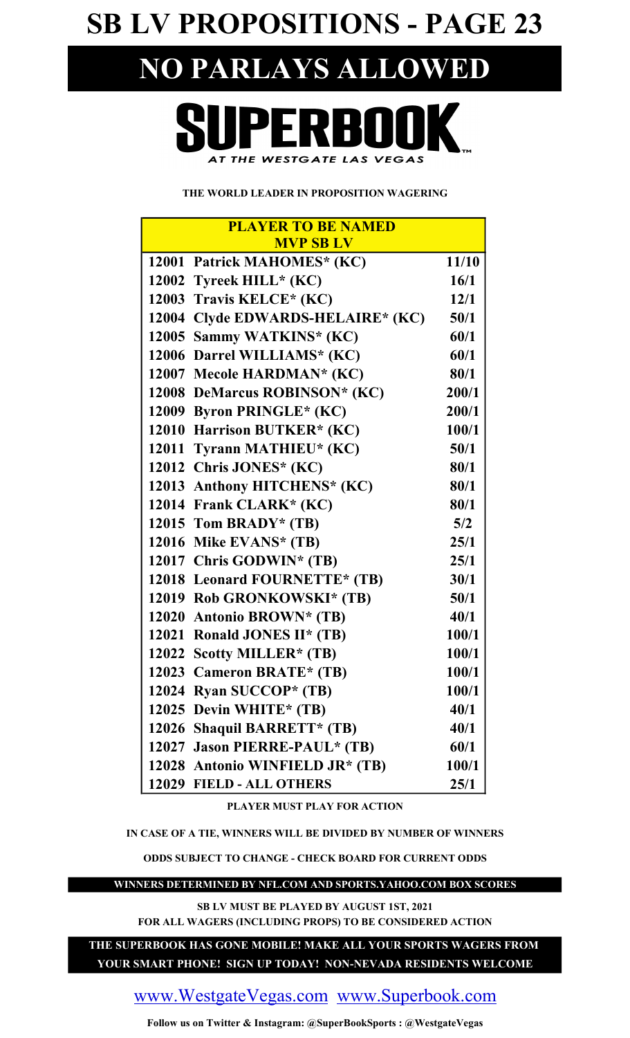## SB LV PROPOSITIONS - PAGE 23

## NO PARLAYS ALLOWED



#### THE WORLD LEADER IN PROPOSITION WAGERING

| <b>PLAYER TO BE NAMED</b> |                                   |       |  |  |  |
|---------------------------|-----------------------------------|-------|--|--|--|
|                           | <b>MVP SB LV</b>                  |       |  |  |  |
|                           | 12001 Patrick MAHOMES* (KC)       | 11/10 |  |  |  |
|                           | 12002 Tyreek HILL* (KC)           | 16/1  |  |  |  |
|                           | 12003 Travis KELCE* (KC)          | 12/1  |  |  |  |
|                           | 12004 Clyde EDWARDS-HELAIRE* (KC) | 50/1  |  |  |  |
|                           | 12005 Sammy WATKINS* (KC)         | 60/1  |  |  |  |
|                           | 12006 Darrel WILLIAMS* (KC)       | 60/1  |  |  |  |
|                           | 12007 Mecole HARDMAN* (KC)        | 80/1  |  |  |  |
|                           | 12008 DeMarcus ROBINSON* (KC)     | 200/1 |  |  |  |
|                           | 12009 Byron PRINGLE* (KC)         | 200/1 |  |  |  |
|                           | 12010 Harrison BUTKER* (KC)       | 100/1 |  |  |  |
|                           | 12011 Tyrann MATHIEU* (KC)        | 50/1  |  |  |  |
|                           | 12012 Chris JONES* (KC)           | 80/1  |  |  |  |
|                           | 12013 Anthony HITCHENS* (KC)      | 80/1  |  |  |  |
|                           | 12014 Frank CLARK* (KC)           | 80/1  |  |  |  |
|                           | 12015 Tom BRADY* (TB)             | 5/2   |  |  |  |
|                           | 12016 Mike EVANS* (TB)            | 25/1  |  |  |  |
|                           | 12017 Chris GODWIN* (TB)          | 25/1  |  |  |  |
|                           | 12018 Leonard FOURNETTE* (TB)     | 30/1  |  |  |  |
|                           | 12019 Rob GRONKOWSKI* (TB)        | 50/1  |  |  |  |
|                           | 12020 Antonio BROWN* (TB)         | 40/1  |  |  |  |
|                           | 12021 Ronald JONES II* (TB)       | 100/1 |  |  |  |
|                           | 12022 Scotty MILLER* (TB)         | 100/1 |  |  |  |
| 12023                     | <b>Cameron BRATE* (TB)</b>        | 100/1 |  |  |  |
| 12024                     | Ryan SUCCOP* (TB)                 | 100/1 |  |  |  |
|                           | 12025 Devin WHITE* (TB)           | 40/1  |  |  |  |
|                           | 12026 Shaquil BARRETT* (TB)       | 40/1  |  |  |  |
|                           | 12027 Jason PIERRE-PAUL* (TB)     | 60/1  |  |  |  |
|                           | 12028 Antonio WINFIELD JR* (TB)   | 100/1 |  |  |  |
|                           | 12029 FIELD - ALL OTHERS          | 25/1  |  |  |  |

PLAYER MUST PLAY FOR ACTION

#### IN CASE OF A TIE, WINNERS WILL BE DIVIDED BY NUMBER OF WINNERS

ODDS SUBJECT TO CHANGE - CHECK BOARD FOR CURRENT ODDS

WINNERS DETERMINED BY NFL.COM AND SPORTS.YAHOO.COM BOX SCORES

SB LV MUST BE PLAYED BY AUGUST 1ST, 2021 FOR ALL WAGERS (INCLUDING PROPS) TO BE CONSIDERED ACTION

YOUR SMART PHONE! SIGN UP TODAY! NON-NEVADA RESIDENTS WELCOME THE SUPERBOOK HAS GONE MOBILE! MAKE ALL YOUR SPORTS WAGERS FROM

www.WestgateVegas.com www.Superbook.com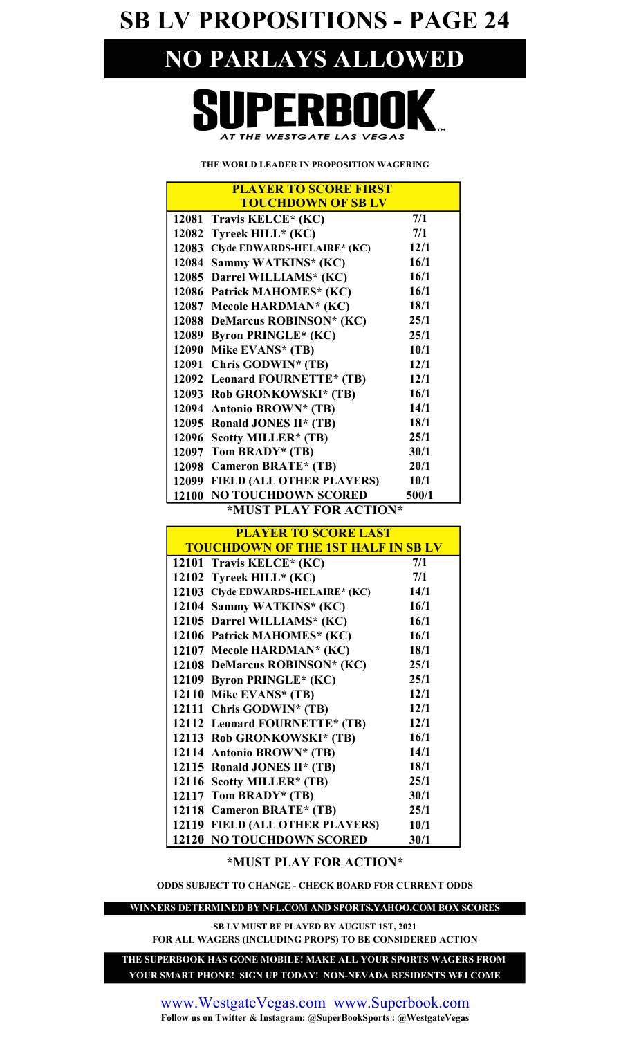SB LV PROPOSITIONS - PAGE 24

## NO PARLAYS ALLOWED

## REI AT THE WESTGATE LAS VEGAS

THE WORLD LEADER IN PROPOSITION WAGERING

| <b>PLAYER TO SCORE FIRST</b>              |       |  |  |  |  |  |
|-------------------------------------------|-------|--|--|--|--|--|
| <b>TOUCHDOWN OF SB LV</b>                 |       |  |  |  |  |  |
| 12081<br>Travis KELCE* (KC)               | 7/1   |  |  |  |  |  |
| Tyreek HILL* (KC)<br>12082                | 7/1   |  |  |  |  |  |
| Clyde EDWARDS-HELAIRE* (KC)<br>12083      | 12/1  |  |  |  |  |  |
| 12084<br>Sammy WATKINS* (KC)              | 16/1  |  |  |  |  |  |
| Darrel WILLIAMS* (KC)<br>12085            | 16/1  |  |  |  |  |  |
| Patrick MAHOMES* (KC)<br>12086            | 16/1  |  |  |  |  |  |
| 12087<br>Mecole HARDMAN* (KC)             | 18/1  |  |  |  |  |  |
| DeMarcus ROBINSON* (KC)<br>12088          | 25/1  |  |  |  |  |  |
| 12089<br><b>Byron PRINGLE* (KC)</b>       | 25/1  |  |  |  |  |  |
| 12090<br>Mike EVANS* (TB)                 | 10/1  |  |  |  |  |  |
| 12091<br>Chris GODWIN* (TB)               | 12/1  |  |  |  |  |  |
| 12092<br>Leonard FOURNETTE* (TB)          | 12/1  |  |  |  |  |  |
| 12093<br>Rob GRONKOWSKI* (TB)             | 16/1  |  |  |  |  |  |
| 12094<br><b>Antonio BROWN* (TB)</b>       | 14/1  |  |  |  |  |  |
| 12095<br>Ronald JONES II* (TB)            | 18/1  |  |  |  |  |  |
| 12096<br>Scotty MILLER* (TB)              | 25/1  |  |  |  |  |  |
| Tom BRADY* (TB)<br>12097                  | 30/1  |  |  |  |  |  |
| <b>Cameron BRATE* (TB)</b><br>12098       | 20/1  |  |  |  |  |  |
| <b>FIELD (ALL OTHER PLAYERS)</b><br>12099 | 10/1  |  |  |  |  |  |
| <b>NO TOUCHDOWN SCORED</b><br>12100       | 500/1 |  |  |  |  |  |
| $\star$ MIKT DI AV EAD ACTIANS            |       |  |  |  |  |  |

#### \*MUST PLAY FOR ACTION\*

| <b>PLAYER TO SCORE LAST</b>               |      |  |  |  |  |
|-------------------------------------------|------|--|--|--|--|
| <b>TOUCHDOWN OF THE 1ST HALF IN SB LV</b> |      |  |  |  |  |
| 12101 Travis KELCE* (KC)                  | 7/1  |  |  |  |  |
| 12102 Tyreek HILL* (KC)                   | 7/1  |  |  |  |  |
| 12103 Clyde EDWARDS-HELAIRE* (KC)         | 14/1 |  |  |  |  |
| 12104 Sammy WATKINS* (KC)                 | 16/1 |  |  |  |  |
| 12105 Darrel WILLIAMS* (KC)               | 16/1 |  |  |  |  |
| 12106 Patrick MAHOMES* (KC)               | 16/1 |  |  |  |  |
| 12107 Mecole HARDMAN* (KC)                | 18/1 |  |  |  |  |
| 12108 DeMarcus ROBINSON* (KC)             | 25/1 |  |  |  |  |
| 12109 Byron PRINGLE* (KC)                 | 25/1 |  |  |  |  |
| 12110 Mike EVANS* (TB)                    | 12/1 |  |  |  |  |
| 12111 Chris GODWIN* (TB)                  | 12/1 |  |  |  |  |
| 12112 Leonard FOURNETTE* (TB)             | 12/1 |  |  |  |  |
| 12113 Rob GRONKOWSKI* (TB)                | 16/1 |  |  |  |  |
| 12114 Antonio BROWN* (TB)                 | 14/1 |  |  |  |  |
| 12115 Ronald JONES II* (TB)               | 18/1 |  |  |  |  |
| 12116 Scotty MILLER* (TB)                 | 25/1 |  |  |  |  |
| 12117 Tom BRADY* (TB)                     | 30/1 |  |  |  |  |
| 12118 Cameron BRATE* (TB)                 | 25/1 |  |  |  |  |
| 12119 FIELD (ALL OTHER PLAYERS)           | 10/1 |  |  |  |  |
| <b>12120 NO TOUCHDOWN SCORED</b>          | 30/1 |  |  |  |  |

#### \*MUST PLAY FOR ACTION\*

ODDS SUBJECT TO CHANGE - CHECK BOARD FOR CURRENT ODDS

WINNERS DETERMINED BY NFL.COM AND SPORTS.YAHOO.COM BOX SCORES

FOR ALL WAGERS (INCLUDING PROPS) TO BE CONSIDERED ACTION SB LV MUST BE PLAYED BY AUGUST 1ST, 2021

YOUR SMART PHONE! SIGN UP TODAY! NON-NEVADA RESIDENTS WELCOME THE SUPERBOOK HAS GONE MOBILE! MAKE ALL YOUR SPORTS WAGERS FROM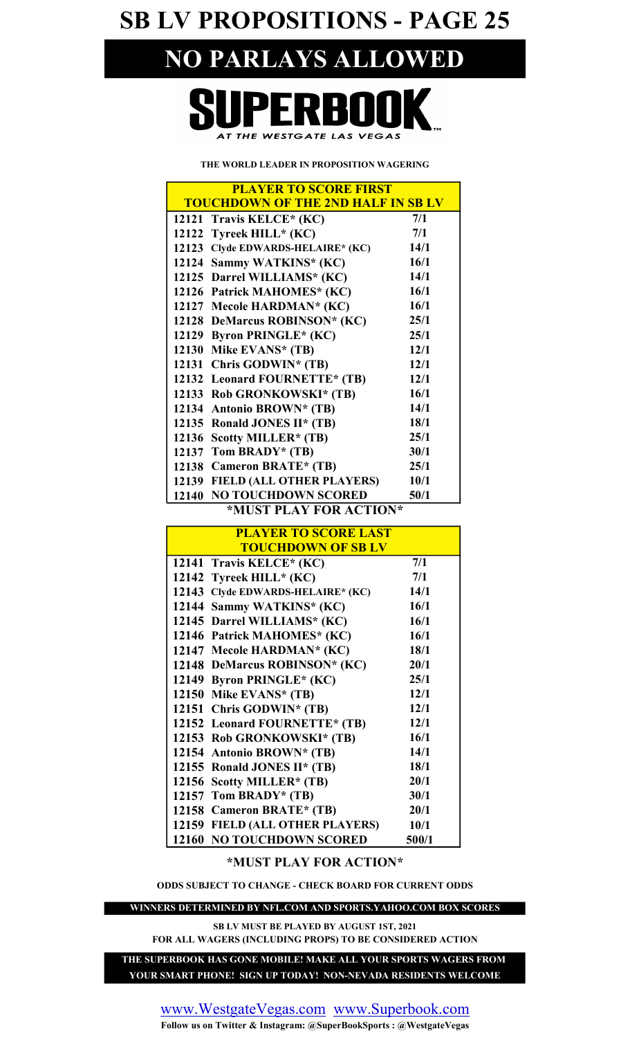SB LV PROPOSITIONS - PAGE 25

## NO PARLAYS ALLOWED

## PERBOI AT THE WESTGATE LAS VEGAS

#### THE WORLD LEADER IN PROPOSITION WAGERING

| <b>PLAYER TO SCORE FIRST</b>              |      |  |  |  |  |  |
|-------------------------------------------|------|--|--|--|--|--|
| <b>TOUCHDOWN OF THE 2ND HALF IN SB LV</b> |      |  |  |  |  |  |
| 12121 Travis KELCE* (KC)                  | 7/1  |  |  |  |  |  |
| Tyreek HILL* (KC)<br>12122                | 7/1  |  |  |  |  |  |
| Clyde EDWARDS-HELAIRE* (KC)<br>12123      | 14/1 |  |  |  |  |  |
| Sammy WATKINS* (KC)<br>12124              | 16/1 |  |  |  |  |  |
| 12125 Darrel WILLIAMS* (KC)               | 14/1 |  |  |  |  |  |
| 12126 Patrick MAHOMES* (KC)               | 16/1 |  |  |  |  |  |
| 12127 Mecole HARDMAN* (KC)                | 16/1 |  |  |  |  |  |
| 12128 DeMarcus ROBINSON* (KC)             | 25/1 |  |  |  |  |  |
| 12129<br><b>Byron PRINGLE*</b> (KC)       | 25/1 |  |  |  |  |  |
| Mike EVANS* (TB)<br>12130                 | 12/1 |  |  |  |  |  |
| Chris GODWIN* (TB)<br>12131               | 12/1 |  |  |  |  |  |
| 12132 Leonard FOURNETTE* (TB)             | 12/1 |  |  |  |  |  |
| 12133 Rob GRONKOWSKI* (TB)                | 16/1 |  |  |  |  |  |
| 12134<br><b>Antonio BROWN* (TB)</b>       | 14/1 |  |  |  |  |  |
| 12135<br>Ronald JONES II* (TB)            | 18/1 |  |  |  |  |  |
| 12136<br><b>Scotty MILLER* (TB)</b>       | 25/1 |  |  |  |  |  |
| Tom BRADY* (TB)<br>12137                  | 30/1 |  |  |  |  |  |
| 12138 Cameron BRATE* (TB)                 | 25/1 |  |  |  |  |  |
| <b>FIELD (ALL OTHER PLAYERS)</b><br>12139 | 10/1 |  |  |  |  |  |
| <b>NO TOUCHDOWN SCORED</b><br>12140       | 50/1 |  |  |  |  |  |
| $*$ Mitet di av ead a $C$ tion $*$        |      |  |  |  |  |  |

#### \*MUST PLAY FOR ACTION\*

| <b>PLAYER TO SCORE LAST</b>                 |       |  |  |  |  |  |
|---------------------------------------------|-------|--|--|--|--|--|
| <b>TOUCHDOWN OF SB LV</b>                   |       |  |  |  |  |  |
| 12141 Travis KELCE* (KC)                    | 7/1   |  |  |  |  |  |
| 12142 Tyreek HILL* $(KC)$                   | 7/1   |  |  |  |  |  |
| 12143<br><b>Clyde EDWARDS-HELAIRE* (KC)</b> | 14/1  |  |  |  |  |  |
| 12144<br>Sammy WATKINS* (KC)                | 16/1  |  |  |  |  |  |
| 12145 Darrel WILLIAMS* (KC)                 | 16/1  |  |  |  |  |  |
| 12146 Patrick MAHOMES* (KC)                 | 16/1  |  |  |  |  |  |
| 12147 Mecole HARDMAN* (KC)                  | 18/1  |  |  |  |  |  |
| 12148 DeMarcus ROBINSON* (KC)               | 20/1  |  |  |  |  |  |
| 12149 Byron PRINGLE* (KC)                   | 25/1  |  |  |  |  |  |
| 12150 Mike EVANS* (TB)                      | 12/1  |  |  |  |  |  |
| 12151 Chris GODWIN* (TB)                    | 12/1  |  |  |  |  |  |
| 12152 Leonard FOURNETTE* (TB)               | 12/1  |  |  |  |  |  |
| 12153 Rob GRONKOWSKI* (TB)                  | 16/1  |  |  |  |  |  |
| 12154 Antonio BROWN* (TB)                   | 14/1  |  |  |  |  |  |
| 12155 Ronald JONES II* (TB)                 | 18/1  |  |  |  |  |  |
| 12156 Scotty MILLER* (TB)                   | 20/1  |  |  |  |  |  |
| 12157 Tom BRADY* $(TB)$                     | 30/1  |  |  |  |  |  |
| 12158 Cameron BRATE* (TB)                   | 20/1  |  |  |  |  |  |
| 12159 FIELD (ALL OTHER PLAYERS)             | 10/1  |  |  |  |  |  |
| <b>12160 NO TOUCHDOWN SCORED</b>            | 500/1 |  |  |  |  |  |

#### \*MUST PLAY FOR ACTION\*

ODDS SUBJECT TO CHANGE - CHECK BOARD FOR CURRENT ODDS

WINNERS DETERMINED BY NFL.COM AND SPORTS.YAHOO.COM BOX SCORES

SB LV MUST BE PLAYED BY AUGUST 1ST, 2021 FOR ALL WAGERS (INCLUDING PROPS) TO BE CONSIDERED ACTION

THE SUPERBOOK HAS GONE MOBILE! MAKE ALL YOUR SPORTS WAGERS FROM YOUR SMART PHONE! SIGN UP TODAY! NON-NEVADA RESIDENTS WELCOME

www.WestgateVegas.com www.Superbook.com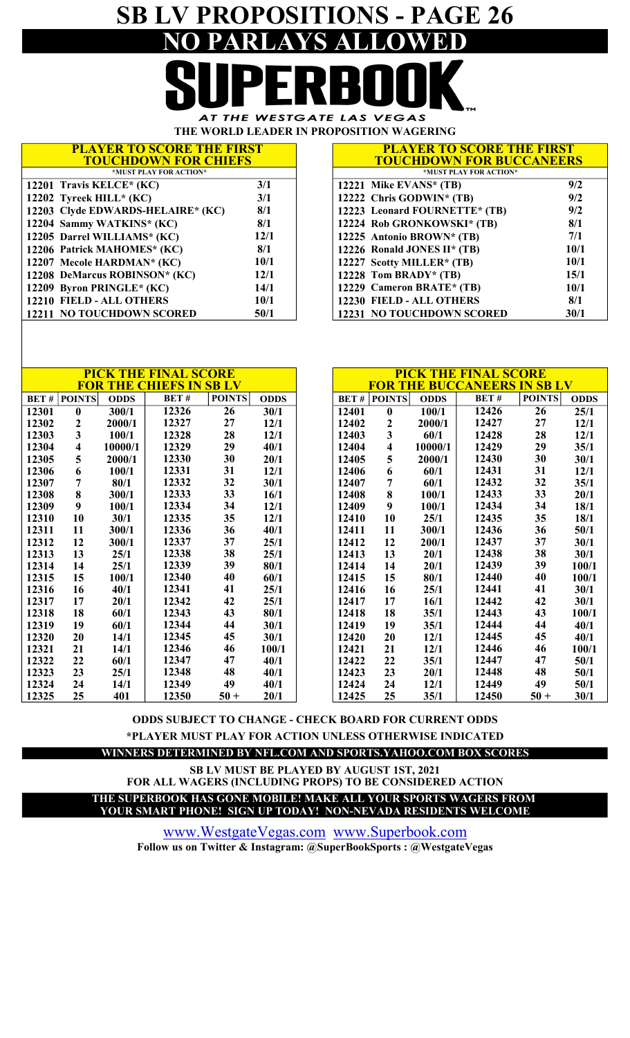## SB LV PROPOSITIONS - PAGE 26 NO PARLAYS ALLOWED

AT THE WESTGATE LAS VEGAS THE WORLD LEADER IN PROPOSITION WAGERING

 PLAYER TO SCORE THE FIRST \*MUST PLAY FOR ACTION\* TOUCHDOWN FOR CHIEFS

| <b>PLAYER TO SCORE THE FIRST</b> |
|----------------------------------|
| <b>TOUCHDOWN FOR BUCCANEERS</b>  |
| *MUST PLAY FOR ACTION*           |
|                                  |

| *MUST PLAY FOR ACTION*            |      | *MUST PLAY FOR ACTI              |
|-----------------------------------|------|----------------------------------|
| 12201 Travis KELCE* (KC)          | 3/1  | 12221 Mike EVANS* (TB)           |
| 12202 Tyreek HILL* $(KC)$         | 3/1  | 12222 Chris GODWIN* $(TB)$       |
| 12203 Clyde EDWARDS-HELAIRE* (KC) | 8/1  | 12223 Leonard FOURNETTE* (TB)    |
| 12204 Sammy WATKINS* (KC)         | 8/1  | 12224 Rob GRONKOWSKI* (TB)       |
| 12205 Darrel WILLIAMS* (KC)       | 12/1 | 12225 Antonio BROWN* (TB)        |
| 12206 Patrick MAHOMES* (KC)       | 8/1  | 12226 Ronald JONES II* (TB)      |
| 12207 Mecole HARDMAN* (KC)        | 10/1 | 12227 Scotty MILLER* (TB)        |
| 12208 DeMarcus ROBINSON* (KC)     | 12/1 | 12228 Tom BRADY* $(TB)$          |
| 12209 Byron PRINGLE* (KC)         | 14/1 | 12229 Cameron BRATE* (TB)        |
| 12210 FIELD - ALL OTHERS          | 10/1 | 12230 FIELD - ALL OTHERS         |
| 12211 NO TOUCHDOWN SCORED         | 50/1 | <b>12231 NO TOUCHDOWN SCORED</b> |

|      | $\mathbf{v}$ , $\mathbf{u}$ , $\mathbf{v}$ , $\mathbf{v}$ , $\mathbf{v}$ , $\mathbf{v}$ , $\mathbf{v}$ , $\mathbf{v}$ , $\mathbf{v}$ |             |
|------|--------------------------------------------------------------------------------------------------------------------------------------|-------------|
|      | *MUST PLAY FOR ACTION*                                                                                                               |             |
| 3/1  | 12221 Mike EVANS* (TB)                                                                                                               | 9/2         |
| 3/1  | 12222 Chris GODWIN* (TB)                                                                                                             | 9/2         |
| 8/1  | 12223 Leonard FOURNETTE* (TB)                                                                                                        | 9/2         |
| 8/1  | 12224 Rob GRONKOWSKI* (TB)                                                                                                           | 8/1         |
| 12/1 | 12225 Antonio BROWN* (TB)                                                                                                            | 7/1         |
| 8/1  | 12226 Ronald JONES II* (TB)                                                                                                          | <b>10/1</b> |
| 10/1 | 12227 Scotty MILLER* (TB)                                                                                                            | <b>10/1</b> |
| 12/1 | 12228 Tom BRADY* (TB)                                                                                                                | <b>15/1</b> |
| 14/1 | 12229 Cameron BRATE* (TB)                                                                                                            | 10/1        |
| 10/1 | 12230 FIELD - ALL OTHERS                                                                                                             | 8/1         |
| 50/1 | 12231 NO TOUCHDOWN SCORED                                                                                                            | 30/1        |

|             |                  |             | <b>PICK THE FINAL SCORE</b><br><b>FOR THE CHIEFS IN SB LV</b> |               |             |       |               |             | <b>PICK THE FINAL SCORE</b><br><b>FOR THE BUCCANEERS IN SB LV</b> |               |             |
|-------------|------------------|-------------|---------------------------------------------------------------|---------------|-------------|-------|---------------|-------------|-------------------------------------------------------------------|---------------|-------------|
| <b>BET#</b> | <b>POINTS</b>    | <b>ODDS</b> | BET#                                                          | <b>POINTS</b> | <b>ODDS</b> | BET#  | <b>POINTS</b> | <b>ODDS</b> | BET#                                                              | <b>POINTS</b> | <b>ODDS</b> |
| 12301       | $\boldsymbol{0}$ | 300/1       | 12326                                                         | 26            | 30/1        | 12401 | $\bf{0}$      | 100/1       | 12426                                                             | 26            | 25/1        |
| 12302       | $\mathbf{2}$     | 2000/1      | 12327                                                         | 27            | 12/1        | 12402 | 2             | 2000/1      | 12427                                                             | 27            | 12/1        |
| 12303       | 3                | 100/1       | 12328                                                         | 28            | 12/1        | 12403 | 3             | 60/1        | 12428                                                             | 28            | 12/1        |
| 12304       | 4                | 10000/1     | 12329                                                         | 29            | 40/1        | 12404 | 4             | 10000/1     | 12429                                                             | 29            | 35/1        |
| 12305       | 5                | 2000/1      | 12330                                                         | 30            | 20/1        | 12405 | 5             | 2000/1      | 12430                                                             | 30            | 30/1        |
| 12306       | 6                | 100/1       | 12331                                                         | 31            | 12/1        | 12406 | 6             | 60/1        | 12431                                                             | 31            | 12/1        |
| 12307       | $\overline{7}$   | 80/1        | 12332                                                         | 32            | 30/1        | 12407 | 7             | 60/1        | 12432                                                             | 32            | 35/1        |
| 12308       | 8                | 300/1       | 12333                                                         | 33            | 16/1        | 12408 | 8             | 100/1       | 12433                                                             | 33            | 20/1        |
| 12309       | 9                | 100/1       | 12334                                                         | 34            | 12/1        | 12409 | 9             | 100/1       | 12434                                                             | 34            | 18/1        |
| 12310       | 10               | 30/1        | 12335                                                         | 35            | 12/1        | 12410 | 10            | 25/1        | 12435                                                             | 35            | 18/1        |
| 12311       | 11               | 300/1       | 12336                                                         | 36            | 40/1        | 12411 | 11            | 300/1       | 12436                                                             | 36            | 50/1        |
| 12312       | 12               | 300/1       | 12337                                                         | 37            | 25/1        | 12412 | 12            | 200/1       | 12437                                                             | 37            | 30/1        |
| 12313       | 13               | 25/1        | 12338                                                         | 38            | 25/1        | 12413 | 13            | 20/1        | 12438                                                             | 38            | 30/1        |
| 12314       | 14               | 25/1        | 12339                                                         | 39            | 80/1        | 12414 | 14            | 20/1        | 12439                                                             | 39            | 100/1       |
| 12315       | 15               | 100/1       | 12340                                                         | 40            | 60/1        | 12415 | 15            | 80/1        | 12440                                                             | 40            | 100/1       |
| 12316       | 16               | 40/1        | 12341                                                         | 41            | 25/1        | 12416 | 16            | 25/1        | 12441                                                             | 41            | 30/1        |
| 12317       | 17               | 20/1        | 12342                                                         | 42            | 25/1        | 12417 | 17            | 16/1        | 12442                                                             | 42            | 30/1        |
| 12318       | 18               | 60/1        | 12343                                                         | 43            | 80/1        | 12418 | 18            | 35/1        | 12443                                                             | 43            | 100/1       |
| 12319       | 19               | 60/1        | 12344                                                         | 44            | 30/1        | 12419 | 19            | 35/1        | 12444                                                             | 44            | 40/1        |
| 12320       | 20               | 14/1        | 12345                                                         | 45            | 30/1        | 12420 | 20            | 12/1        | 12445                                                             | 45            | 40/1        |
| 12321       | 21               | 14/1        | 12346                                                         | 46            | 100/1       | 12421 | 21            | 12/1        | 12446                                                             | 46            | 100/1       |
| 12322       | 22               | 60/1        | 12347                                                         | 47            | 40/1        | 12422 | 22            | 35/1        | 12447                                                             | 47            | 50/1        |
| 12323       | 23               | 25/1        | 12348                                                         | 48            | 40/1        | 12423 | 23            | 20/1        | 12448                                                             | 48            | 50/1        |
| 12324       | 24               | 14/1        | 12349                                                         | 49            | 40/1        | 12424 | 24            | 12/1        | 12449                                                             | 49            | 50/1        |
| 12325       | 25               | 401         | 12350                                                         | $50 +$        | 20/1        | 12425 | 25            | 35/1        | 12450                                                             | $50 +$        | 30/1        |

\*PLAYER MUST PLAY FOR ACTION UNLESS OTHERWISE INDICATED ODDS SUBJECT TO CHANGE - CHECK BOARD FOR CURRENT ODDS

WINNERS DETERMINED BY NFL.COM AND SPORTS.YAHOO.COM BOX SCORES

YOUR SMART PHONE! SIGN UP TODAY! NON-NEVADA RESIDENTS WELCOME THE SUPERBOOK HAS GONE MOBILE! MAKE ALL YOUR SPORTS WAGERS FROM FOR ALL WAGERS (INCLUDING PROPS) TO BE CONSIDERED ACTION SB LV MUST BE PLAYED BY AUGUST 1ST, 2021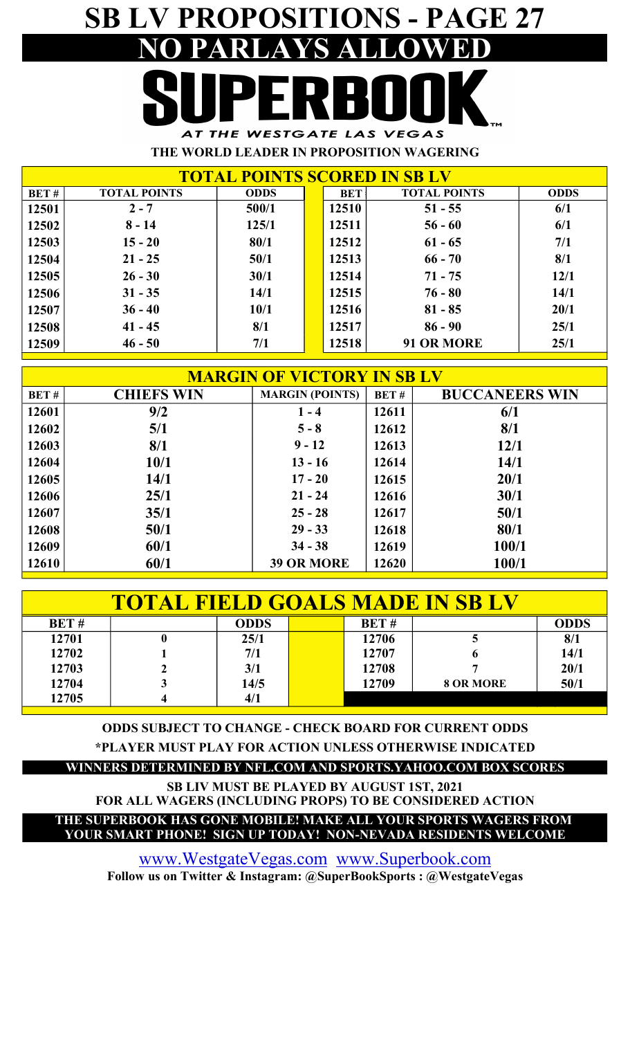## SB LV PROPOSITIONS - PAGE 27 NO PARLAYS A AT THE WESTGATE LAS VEGAS

THE WORLD LEADER IN PROPOSITION WAGERING

| <b>TOTAL POINTS SCORED IN SB LV</b> |                     |             |  |            |                     |             |  |  |
|-------------------------------------|---------------------|-------------|--|------------|---------------------|-------------|--|--|
| BET#                                | <b>TOTAL POINTS</b> | <b>ODDS</b> |  | <b>BET</b> | <b>TOTAL POINTS</b> | <b>ODDS</b> |  |  |
| 12501                               | $2 - 7$             | 500/1       |  | 12510      | $51 - 55$           | 6/1         |  |  |
| 12502                               | $8 - 14$            | 125/1       |  | 12511      | $56 - 60$           | 6/1         |  |  |
| 12503                               | $15 - 20$           | 80/1        |  | 12512      | $61 - 65$           | 7/1         |  |  |
| 12504                               | $21 - 25$           | 50/1        |  | 12513      | $66 - 70$           | 8/1         |  |  |
| 12505                               | $26 - 30$           | 30/1        |  | 12514      | $71 - 75$           | 12/1        |  |  |
| 12506                               | $31 - 35$           | 14/1        |  | 12515      | $76 - 80$           | 14/1        |  |  |
| 12507                               | $36 - 40$           | 10/1        |  | 12516      | $81 - 85$           | 20/1        |  |  |
| 12508                               | $41 - 45$           | 8/1         |  | 12517      | $86 - 90$           | 25/1        |  |  |
| 12509                               | $46 - 50$           | 7/1         |  | 12518      | 91 OR MORE          | 25/1        |  |  |

| <b>MARGIN OF VICTORY IN SB LV</b> |                   |                        |       |                       |  |  |  |  |
|-----------------------------------|-------------------|------------------------|-------|-----------------------|--|--|--|--|
| BET#                              | <b>CHIEFS WIN</b> | <b>MARGIN (POINTS)</b> | BET#  | <b>BUCCANEERS WIN</b> |  |  |  |  |
| 12601                             | 9/2               | $1 - 4$                | 12611 | 6/1                   |  |  |  |  |
| 12602                             | 5/1               | $5 - 8$                | 12612 | 8/1                   |  |  |  |  |
| 12603                             | 8/1               | $9 - 12$               | 12613 | 12/1                  |  |  |  |  |
| 12604                             | <b>10/1</b>       | $13 - 16$              | 12614 | 14/1                  |  |  |  |  |
| 12605                             | 14/1              | $17 - 20$              | 12615 | 20/1                  |  |  |  |  |
| 12606                             | 25/1              | $21 - 24$              | 12616 | 30/1                  |  |  |  |  |
| 12607                             | 35/1              | $25 - 28$              | 12617 | 50/1                  |  |  |  |  |
| 12608                             | 50/1              | $29 - 33$              | 12618 | 80/1                  |  |  |  |  |
| 12609                             | 60/1              | $34 - 38$              | 12619 | 100/1                 |  |  |  |  |
| 12610                             | 60/1              | <b>39 OR MORE</b>      | 12620 | 100/1                 |  |  |  |  |

| <b>TOTAL FIELD GOALS MADE IN SB L'</b> |  |             |  |             |                  |             |  |  |  |  |
|----------------------------------------|--|-------------|--|-------------|------------------|-------------|--|--|--|--|
| BET#                                   |  | <b>ODDS</b> |  | <b>BET#</b> |                  | <b>ODDS</b> |  |  |  |  |
| 12701                                  |  | 25/1        |  | 12706       |                  | 8/1         |  |  |  |  |
| 12702                                  |  | 7/1         |  | 12707       |                  | 14/1        |  |  |  |  |
| 12703                                  |  | 3/1         |  | 12708       |                  | 20/1        |  |  |  |  |
| 12704                                  |  | 14/5        |  | 12709       | <b>8 OR MORE</b> | 50/1        |  |  |  |  |
| 12705                                  |  | 4/1         |  |             |                  |             |  |  |  |  |

ODDS SUBJECT TO CHANGE - CHECK BOARD FOR CURRENT ODDS

\*PLAYER MUST PLAY FOR ACTION UNLESS OTHERWISE INDICATED

#### WINNERS DETERMINED BY NFL.COM AND SPORTS.YAHOO.COM BOX SCORES

SB LIV MUST BE PLAYED BY AUGUST 1ST, 2021 FOR ALL WAGERS (INCLUDING PROPS) TO BE CONSIDERED ACTION

#### YOUR SMART PHONE! SIGN UP TODAY! NON-NEVADA RESIDENTS WELCOME THE SUPERBOOK HAS GONE MOBILE! MAKE ALL YOUR SPORTS WAGERS FROM

www.WestgateVegas.com www.Superbook.com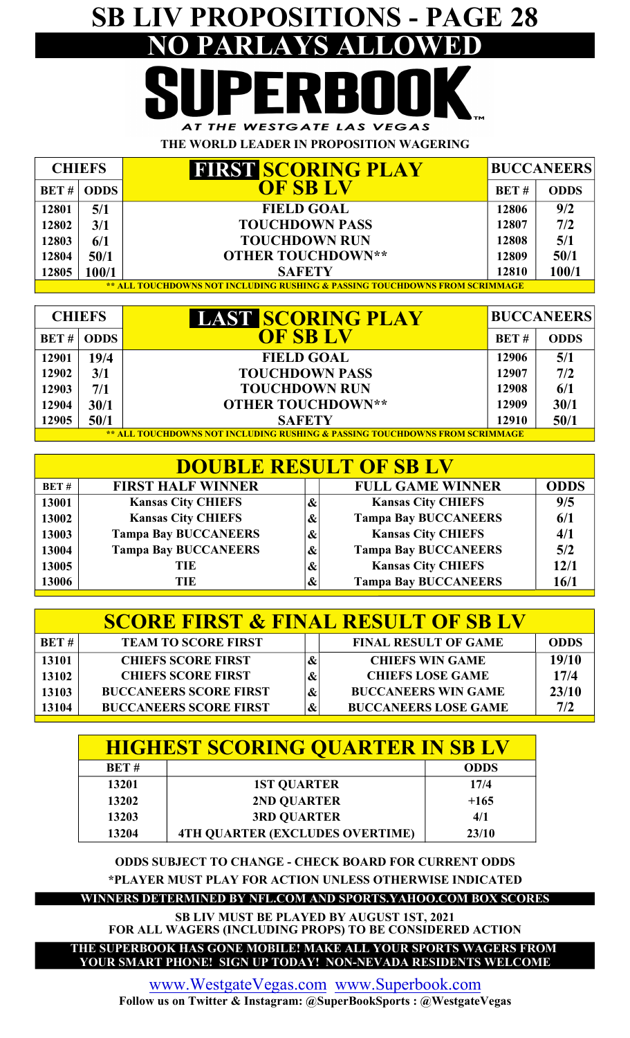## SB LIV PROPOSITIONS - PAGE 28 PARLAYS ALLOWED AT THE WESTGATE LAS VEGAS

THE WORLD LEADER IN PROPOSITION WAGERING

| <b>CHIEFS</b> |                                                                             | <b>FIRST SCORING PLAY</b> | <b>BUCCANEERS</b> |             |  |  |  |  |  |
|---------------|-----------------------------------------------------------------------------|---------------------------|-------------------|-------------|--|--|--|--|--|
|               | <b>BET# ODDS</b>                                                            | OF SB LV                  | BET#              | <b>ODDS</b> |  |  |  |  |  |
| 12801         | 5/1                                                                         | <b>FIELD GOAL</b>         | 12806             | 9/2         |  |  |  |  |  |
| 12802         | 3/1                                                                         | <b>TOUCHDOWN PASS</b>     | 12807             | 7/2         |  |  |  |  |  |
| 12803         | 6/1                                                                         | <b>TOUCHDOWN RUN</b>      | 12808             | 5/1         |  |  |  |  |  |
| 12804         | 50/1                                                                        | <b>OTHER TOUCHDOWN**</b>  | 12809             | 50/1        |  |  |  |  |  |
| 12805         | 100/1                                                                       | <b>SAFETY</b>             | 12810             | 100/1       |  |  |  |  |  |
|               | ** ALL TOUCHDOWNS NOT INCLUDING RUSHING & PASSING TOUCHDOWNS FROM SCRIMMAGE |                           |                   |             |  |  |  |  |  |

| <b>CHIEFS</b> |                                                                             | <b>LAST SCORING PLAY</b> | <b>BUCCANEERS</b> |             |  |  |  |  |  |
|---------------|-----------------------------------------------------------------------------|--------------------------|-------------------|-------------|--|--|--|--|--|
|               | BET #   ODDS                                                                | <b>OF SB LV</b>          | <b>BET#</b>       | <b>ODDS</b> |  |  |  |  |  |
| 12901         | 19/4                                                                        | <b>FIELD GOAL</b>        | 12906             | 5/1         |  |  |  |  |  |
| 12902         | 3/1                                                                         | <b>TOUCHDOWN PASS</b>    | 12907             | 7/2         |  |  |  |  |  |
| 12903         | 7/1                                                                         | <b>TOUCHDOWN RUN</b>     | 12908             | 6/1         |  |  |  |  |  |
| 12904         | 30/1                                                                        | <b>OTHER TOUCHDOWN**</b> | 12909             | 30/1        |  |  |  |  |  |
| 12905         | 50/1                                                                        | <b>SAFETY</b>            | 12910             | 50/1        |  |  |  |  |  |
|               | ** ALL TOUCHDOWNS NOT INCLUDING RUSHING & PASSING TOUCHDOWNS FROM SCRIMMAGE |                          |                   |             |  |  |  |  |  |

| <b>DOUBLE RESULT OF SB LV</b> |                             |                   |                             |             |  |  |  |
|-------------------------------|-----------------------------|-------------------|-----------------------------|-------------|--|--|--|
| BET#                          | <b>FIRST HALF WINNER</b>    |                   | <b>FULL GAME WINNER</b>     | <b>ODDS</b> |  |  |  |
| 13001                         | <b>Kansas City CHIEFS</b>   | $\boldsymbol{\&}$ | <b>Kansas City CHIEFS</b>   | 9/5         |  |  |  |
| 13002                         | <b>Kansas City CHIEFS</b>   | &                 | <b>Tampa Bay BUCCANEERS</b> | 6/1         |  |  |  |
| 13003                         | <b>Tampa Bay BUCCANEERS</b> | $\boldsymbol{\&}$ | <b>Kansas City CHIEFS</b>   | 4/1         |  |  |  |
| 13004                         | <b>Tampa Bay BUCCANEERS</b> | &                 | <b>Tampa Bay BUCCANEERS</b> | 5/2         |  |  |  |
| 13005                         | TIE                         | $\boldsymbol{\&}$ | <b>Kansas City CHIEFS</b>   | 12/1        |  |  |  |
| 13006                         | TIE                         | &                 | <b>Tampa Bay BUCCANEERS</b> | 16/1        |  |  |  |

| <b>SCORE FIRST &amp; FINAL RESULT OF SB LV</b> |                               |   |                             |             |  |  |  |
|------------------------------------------------|-------------------------------|---|-----------------------------|-------------|--|--|--|
| BET#                                           | <b>TEAM TO SCORE FIRST</b>    |   | <b>FINAL RESULT OF GAME</b> | <b>ODDS</b> |  |  |  |
| 13101                                          | <b>CHIEFS SCORE FIRST</b>     |   | <b>CHIEFS WIN GAME</b>      | 19/10       |  |  |  |
| 13102                                          | <b>CHIEFS SCORE FIRST</b>     |   | <b>CHIEFS LOSE GAME</b>     | 17/4        |  |  |  |
| 13103                                          | <b>BUCCANEERS SCORE FIRST</b> |   | <b>BUCCANEERS WIN GAME</b>  | 23/10       |  |  |  |
| 13104                                          | <b>BUCCANEERS SCORE FIRST</b> | & | <b>BUCCANEERS LOSE GAME</b> | 7/2         |  |  |  |

| <b>HIGHEST SCORING QUARTER IN SB LV</b> |                                        |             |  |  |  |  |  |  |
|-----------------------------------------|----------------------------------------|-------------|--|--|--|--|--|--|
| BET#                                    |                                        | <b>ODDS</b> |  |  |  |  |  |  |
| 13201                                   | <b>1ST QUARTER</b>                     | 17/4        |  |  |  |  |  |  |
| 13202                                   | 2ND QUARTER                            | $+165$      |  |  |  |  |  |  |
| 13203                                   | <b>3RD QUARTER</b>                     | 4/1         |  |  |  |  |  |  |
| 13204                                   | <b>4TH QUARTER (EXCLUDES OVERTIME)</b> | 23/10       |  |  |  |  |  |  |

ODDS SUBJECT TO CHANGE - CHECK BOARD FOR CURRENT ODDS

\*PLAYER MUST PLAY FOR ACTION UNLESS OTHERWISE INDICATED

WINNERS DETERMINED BY NFL.COM AND SPORTS.YAHOO.COM BOX SCORES

FOR ALL WAGERS (INCLUDING PROPS) TO BE CONSIDERED ACTION SB LIV MUST BE PLAYED BY AUGUST 1ST, 2021

YOUR SMART PHONE! SIGN UP TODAY! NON-NEVADA RESIDENTS WELCOME THE SUPERBOOK HAS GONE MOBILE! MAKE ALL YOUR SPORTS WAGERS FROM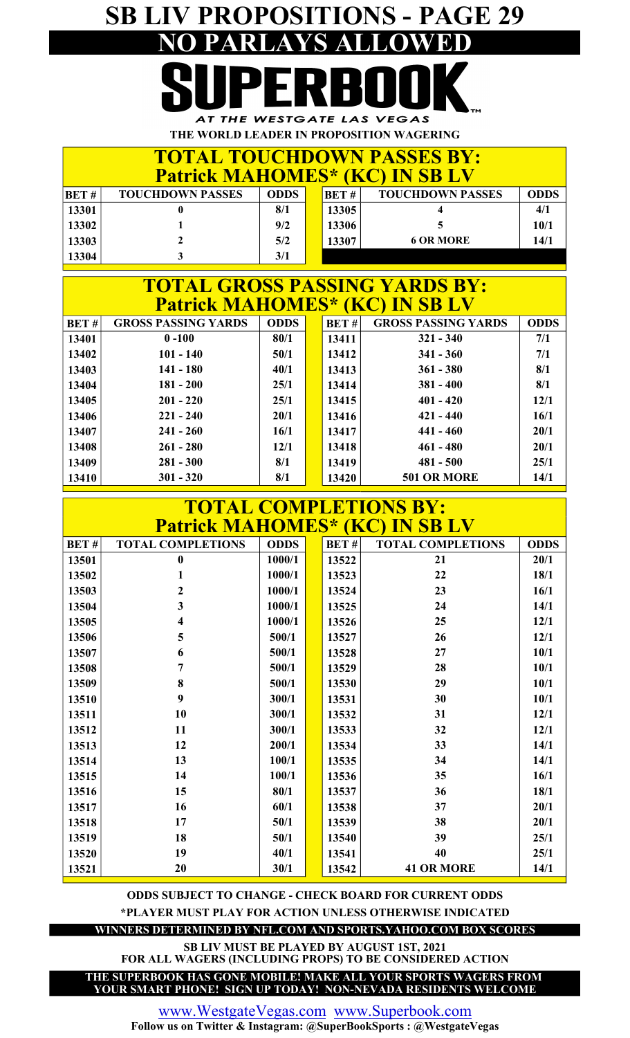## SB LIV PROPOSITIONS - PAGE 29 NO PARLAYS ALLOWED

AT THE WESTGATE LAS VEGAS THE WORLD LEADER IN PROPOSITION WAGERING

| <b>TOTAL TOUCHDOWN PASSES BY:</b><br><b>Patrick MAHOMES* (KC) IN SB LV</b> |                         |             |  |       |                         |             |  |  |
|----------------------------------------------------------------------------|-------------------------|-------------|--|-------|-------------------------|-------------|--|--|
| BET#                                                                       | <b>TOUCHDOWN PASSES</b> | <b>ODDS</b> |  | BET#  | <b>TOUCHDOWN PASSES</b> | <b>ODDS</b> |  |  |
| 13301                                                                      |                         | 8/1         |  | 13305 |                         | 4/1         |  |  |
| 13302                                                                      |                         | 9/2         |  | 13306 |                         | 10/1        |  |  |
| 13303                                                                      |                         | 5/2         |  | 13307 | <b>6 OR MORE</b>        | 14/1        |  |  |
| 13304                                                                      |                         | 3/1         |  |       |                         |             |  |  |

#### BET # | GROSS PASSING YARDS | ODDS | BET #  $13401$  0 -100 80/1 13411 13402 101 - 140 50/1 13412 13403 141 - 180 40/1 13413 13404 181 - 200 25/1 13414 381 - 400 13405 201 - 220 25/1 3415 **Patrick MAHOMES\* (KC) IN SB LV**<br>PASSING YARDS | ODDS | BET# | GROSS PASSING Y TOTAL GROSS PASSING YARDS BY: GROSS PASSING YARDS 401 - 420 7/1 12/1 8/1 ODDS 221 - 240  $0 -100$  80/1 25/1 8/1 7/1 321 - 340 50/1 20/1 341 - 360 421 - 440  $40/1$  13413 361 - 380 25/1

| 13410   | $301 - 320$ | 8/1  | 13420    | <b>501 OR MORE</b> | 14/1        |
|---------|-------------|------|----------|--------------------|-------------|
| 13409   | $281 - 300$ | 8/1  | 13419    | $481 - 500$        | 25/1        |
| 13408   | $261 - 280$ | 12/1 | 13418    | $461 - 480$        | 20/1        |
| 13407   | $241 - 260$ | 16/1 | 13417    | 441 - 460          | 20/1        |
| 13406   | $221 - 240$ | 20/1 | 13416    | $421 - 440$        | <b>16/1</b> |
| 10 TV J | - - - - - - | ---  | 10 T L V |                    | ---         |

| <b>TOTAL COMPLETIONS BY:</b>          |                          |             |  |       |                          |             |  |  |  |
|---------------------------------------|--------------------------|-------------|--|-------|--------------------------|-------------|--|--|--|
| <b>Patrick MAHOMES* (KC) IN SB LV</b> |                          |             |  |       |                          |             |  |  |  |
| <b>BET#</b>                           | <b>TOTAL COMPLETIONS</b> | <b>ODDS</b> |  | BET#  | <b>TOTAL COMPLETIONS</b> | <b>ODDS</b> |  |  |  |
| 13501                                 | $\bf{0}$                 | 1000/1      |  | 13522 | 21                       | 20/1        |  |  |  |
| 13502                                 | 1                        | 1000/1      |  | 13523 | 22                       | 18/1        |  |  |  |
| 13503                                 | 2                        | 1000/1      |  | 13524 | 23                       | 16/1        |  |  |  |
| 13504                                 | 3                        | 1000/1      |  | 13525 | 24                       | 14/1        |  |  |  |
| 13505                                 | 4                        | 1000/1      |  | 13526 | 25                       | 12/1        |  |  |  |
| 13506                                 | 5                        | 500/1       |  | 13527 | 26                       | 12/1        |  |  |  |
| 13507                                 | 6                        | 500/1       |  | 13528 | 27                       | 10/1        |  |  |  |
| 13508                                 | 7                        | 500/1       |  | 13529 | 28                       | 10/1        |  |  |  |
| 13509                                 | 8                        | 500/1       |  | 13530 | 29                       | 10/1        |  |  |  |
| 13510                                 | 9                        | 300/1       |  | 13531 | 30                       | 10/1        |  |  |  |
| 13511                                 | 10                       | 300/1       |  | 13532 | 31                       | 12/1        |  |  |  |
| 13512                                 | 11                       | 300/1       |  | 13533 | 32                       | 12/1        |  |  |  |
| 13513                                 | 12                       | 200/1       |  | 13534 | 33                       | 14/1        |  |  |  |
| 13514                                 | 13                       | 100/1       |  | 13535 | 34                       | 14/1        |  |  |  |
| 13515                                 | 14                       | 100/1       |  | 13536 | 35                       | 16/1        |  |  |  |
| 13516                                 | 15                       | 80/1        |  | 13537 | 36                       | 18/1        |  |  |  |
| 13517                                 | 16                       | 60/1        |  | 13538 | 37                       | 20/1        |  |  |  |
| 13518                                 | 17                       | 50/1        |  | 13539 | 38                       | 20/1        |  |  |  |
| 13519                                 | 18                       | 50/1        |  | 13540 | 39                       | 25/1        |  |  |  |
| 13520                                 | 19                       | 40/1        |  | 13541 | 40                       | 25/1        |  |  |  |
| 13521                                 | 20                       | 30/1        |  | 13542 | <b>41 OR MORE</b>        | 14/1        |  |  |  |

\*PLAYER MUST PLAY FOR ACTION UNLESS OTHERWISE INDICATED ODDS SUBJECT TO CHANGE - CHECK BOARD FOR CURRENT ODDS

WINNERS DETERMINED BY NFL.COM AND SPORTS.YAHOO.COM BOX SCORES

FOR ALL WAGERS (INCLUDING PROPS) TO BE CONSIDERED ACTION SB LIV MUST BE PLAYED BY AUGUST 1ST, 2021

YOUR SMART PHONE! SIGN UP TODAY! NON-NEVADA RESIDENTS WELCOME THE SUPERBOOK HAS GONE MOBILE! MAKE ALL YOUR SPORTS WAGERS FROM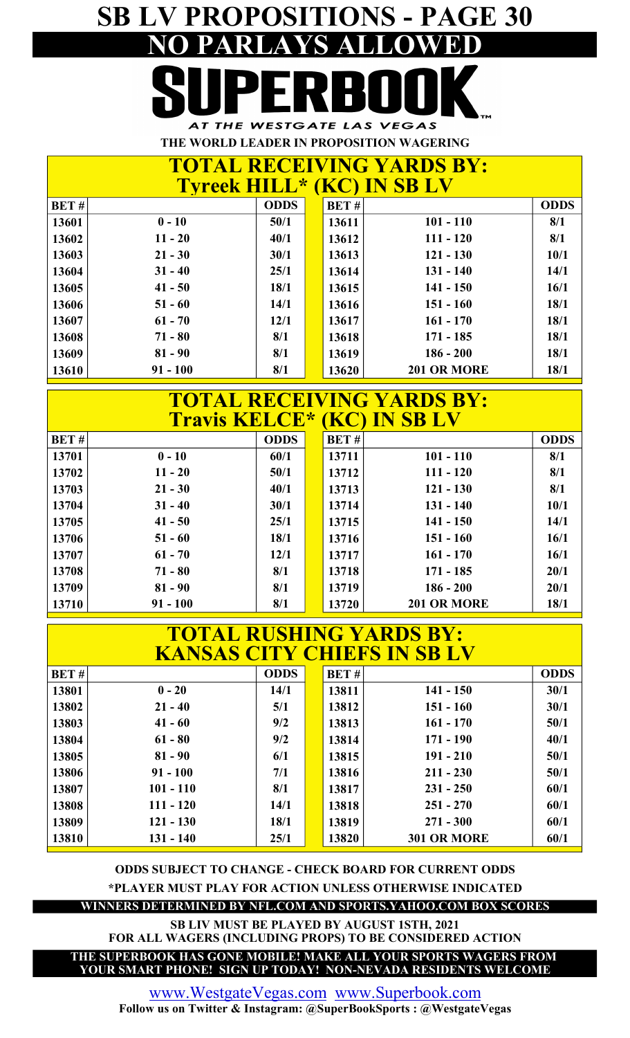## SB LV PROPOSITIONS - PAGE 30 PARLAYS AT THE WESTGATE LAS VEGAS

THE WORLD LEADER IN PROPOSITION WAGERING

|                                   | <b>TOTAL RECEIVING YARDS BY:</b> |
|-----------------------------------|----------------------------------|
| <b>Tyreek HILL* (KC) IN SB LV</b> |                                  |
|                                   |                                  |

| BET#  |            | <b>ODDS</b> | <b>BET#</b> |                    | <b>ODDS</b> |
|-------|------------|-------------|-------------|--------------------|-------------|
| 13601 | $0 - 10$   | 50/1        | 13611       | $101 - 110$        | 8/1         |
| 13602 | $11 - 20$  | 40/1        | 13612       | $111 - 120$        | 8/1         |
| 13603 | $21 - 30$  | 30/1        | 13613       | $121 - 130$        | 10/1        |
| 13604 | $31 - 40$  | 25/1        | 13614       | $131 - 140$        | 14/1        |
| 13605 | $41 - 50$  | 18/1        | 13615       | $141 - 150$        | 16/1        |
| 13606 | $51 - 60$  | 14/1        | 13616       | $151 - 160$        | 18/1        |
| 13607 | $61 - 70$  | 12/1        | 13617       | $161 - 170$        | 18/1        |
| 13608 | $71 - 80$  | 8/1         | 13618       | $171 - 185$        | 18/1        |
| 13609 | $81 - 90$  | 8/1         | 13619       | $186 - 200$        | 18/1        |
| 13610 | $91 - 100$ | 8/1         | 13620       | <b>201 OR MORE</b> | 18/1        |

### Travis KELCE\* (KC) IN SB LV TOTAL RECEIVING YARDS BY:

| BET#  |            | <b>ODDS</b> | <b>BET#</b> | ,                  | <b>ODDS</b> |
|-------|------------|-------------|-------------|--------------------|-------------|
| 13701 | $0 - 10$   | 60/1        | 13711       | $101 - 110$        | 8/1         |
| 13702 | $11 - 20$  | 50/1        | 13712       | $111 - 120$        | 8/1         |
| 13703 | $21 - 30$  | 40/1        | 13713       | $121 - 130$        | 8/1         |
| 13704 | $31 - 40$  | 30/1        | 13714       | $131 - 140$        | 10/1        |
| 13705 | $41 - 50$  | 25/1        | 13715       | $141 - 150$        | 14/1        |
| 13706 | $51 - 60$  | 18/1        | 13716       | $151 - 160$        | 16/1        |
| 13707 | $61 - 70$  | 12/1        | 13717       | $161 - 170$        | 16/1        |
| 13708 | $71 - 80$  | 8/1         | 13718       | $171 - 185$        | 20/1        |
| 13709 | $81 - 90$  | 8/1         | 13719       | $186 - 200$        | 20/1        |
| 13710 | $91 - 100$ | 8/1         | 13720       | <b>201 OR MORE</b> | 18/1        |

|             |             |             |       | <b>TOTAL RUSHING YARDS BY:</b><br><b>KANSAS CITY CHIEFS IN SB LV</b> |             |
|-------------|-------------|-------------|-------|----------------------------------------------------------------------|-------------|
| <b>BET#</b> |             | <b>ODDS</b> | BET#  |                                                                      | <b>ODDS</b> |
| 13801       | $0 - 20$    | 14/1        | 13811 | $141 - 150$                                                          | 30/1        |
| 13802       | $21 - 40$   | 5/1         | 13812 | $151 - 160$                                                          | 30/1        |
| 13803       | $41 - 60$   | 9/2         | 13813 | $161 - 170$                                                          | 50/1        |
| 13804       | $61 - 80$   | 9/2         | 13814 | $171 - 190$                                                          | 40/1        |
| 13805       | $81 - 90$   | 6/1         | 13815 | $191 - 210$                                                          | 50/1        |
| 13806       | $91 - 100$  | 7/1         | 13816 | $211 - 230$                                                          | 50/1        |
| 13807       | $101 - 110$ | 8/1         | 13817 | $231 - 250$                                                          | 60/1        |
| 13808       | $111 - 120$ | 14/1        | 13818 | $251 - 270$                                                          | 60/1        |
| 13809       | $121 - 130$ | 18/1        | 13819 | $271 - 300$                                                          | 60/1        |
| 13810       | $131 - 140$ | 25/1        | 13820 | 301 OR MORE                                                          | 60/1        |

ODDS SUBJECT TO CHANGE - CHECK BOARD FOR CURRENT ODDS \*PLAYER MUST PLAY FOR ACTION UNLESS OTHERWISE INDICATED

WINNERS DETERMINED BY NFL.COM AND SPORTS.YAHOO.COM BOX SCORES

SB LIV MUST BE PLAYED BY AUGUST 1STH, 2021 FOR ALL WAGERS (INCLUDING PROPS) TO BE CONSIDERED ACTION

THE SUPERBOOK HAS GONE MOBILE! MAKE ALL YOUR SPORTS WAGERS FROM YOUR SMART PHONE! SIGN UP TODAY! NON-NEVADA RESIDENTS WELCOME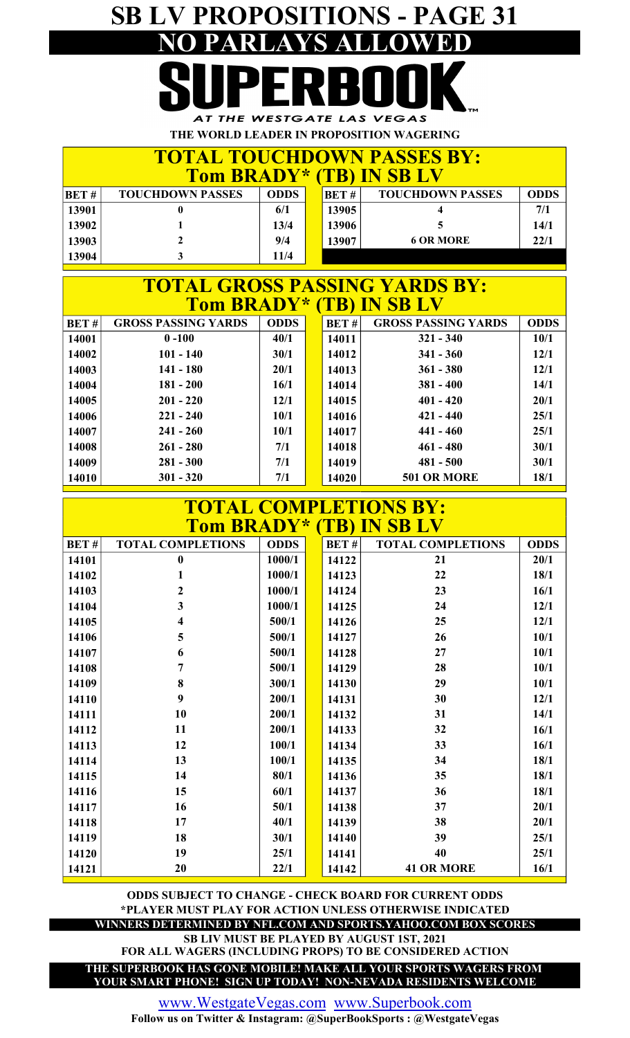## SB LV PROPOSITIONS - PAGE 31 PARLAY

AT THE WESTGATE LAS VEGAS THE WORLD LEADER IN PROPOSITION WAGERING

|                                 |                         |             |  |       | <b>TOTAL TOUCHDOWN PASSES BY:</b> |             |
|---------------------------------|-------------------------|-------------|--|-------|-----------------------------------|-------------|
| <b>Tom BRADY* (TB) IN SB LV</b> |                         |             |  |       |                                   |             |
| BET#                            | <b>TOUCHDOWN PASSES</b> | <b>ODDS</b> |  | BET#  | <b>TOUCHDOWN PASSES</b>           | <b>ODDS</b> |
| 13901                           |                         | 6/1         |  | 13905 |                                   | 7/1         |
| 13902                           |                         | 13/4        |  | 13906 |                                   | 14/1        |
| 13903                           |                         | 9/4         |  | 13907 | <b>6 OR MORE</b>                  | 22/1        |
| 13904                           |                         | <b>11/4</b> |  |       |                                   |             |

| <b>TOTAL GROSS PASSING YARDS BY:</b>      |             |  |       |                            |             |  |  |  |  |  |  |  |
|-------------------------------------------|-------------|--|-------|----------------------------|-------------|--|--|--|--|--|--|--|
| Tom BRADY* (TB) IN SB LV                  |             |  |       |                            |             |  |  |  |  |  |  |  |
| <b>GROSS PASSING YARDS</b><br><b>BET#</b> | <b>ODDS</b> |  | BET#  | <b>GROSS PASSING YARDS</b> | <b>ODDS</b> |  |  |  |  |  |  |  |
| $0 - 100$<br>14001                        | 40/1        |  | 14011 | $321 - 340$                | 10/1        |  |  |  |  |  |  |  |
| $101 - 140$<br>14002                      | 30/1        |  | 14012 | $341 - 360$                | 12/1        |  |  |  |  |  |  |  |
| $141 - 180$<br>14003                      | 20/1        |  | 14013 | $361 - 380$                | 12/1        |  |  |  |  |  |  |  |
| $181 - 200$<br>14004                      | 16/1        |  | 14014 | $381 - 400$                | 14/1        |  |  |  |  |  |  |  |
| 14005<br>$201 - 220$                      | 12/1        |  | 14015 | $401 - 420$                | 20/1        |  |  |  |  |  |  |  |
| $221 - 240$<br>14006                      | 10/1        |  | 14016 | $421 - 440$                | 25/1        |  |  |  |  |  |  |  |
| 14007<br>$241 - 260$                      | 10/1        |  | 14017 | $441 - 460$                | 25/1        |  |  |  |  |  |  |  |
| 14008<br>$261 - 280$                      | 7/1         |  | 14018 | $461 - 480$                | 30/1        |  |  |  |  |  |  |  |
| $281 - 300$<br>14009                      | 7/1         |  | 14019 | $481 - 500$                | 30/1        |  |  |  |  |  |  |  |
| $301 - 320$<br>14010                      | 7/1         |  | 14020 | <b>501 OR MORE</b>         | 18/1        |  |  |  |  |  |  |  |

|             | <b>TOTAL COMPLETIONS BY:</b><br>Tom BRADY* (TB) IN SB LV<br><b>ODDS</b><br><b>TOTAL COMPLETIONS</b><br>BET#<br><b>TOTAL COMPLETIONS</b><br><b>ODDS</b><br>1000/1<br>$\bf{0}$<br>14122<br>20/1<br>21<br>1000/1<br>22<br>18/1<br>14123<br>1<br>$\overline{2}$<br>1000/1<br>14124<br>23<br>16/1<br>3<br>1000/1<br>24<br>12/1<br>14125<br>25<br>500/1<br>14126<br>12/1<br>4<br>26<br>10/1<br>5<br>500/1<br>14127<br>6<br>27<br>10/1<br>500/1<br>14128<br>500/1<br>28<br>10/1<br>7<br>14129<br>8<br>29<br>300/1<br>10/1<br>14130<br>9<br>30<br>200/1<br>12/1<br>14131<br>10<br>200/1<br>31<br>14/1<br>14132<br>11<br>200/1<br>32<br>16/1<br>14133<br>12<br>33<br>100/1<br>16/1<br>14134<br>13<br>100/1<br>34<br>18/1<br>14135<br>14<br>35<br>80/1<br>18/1<br>14136<br>15<br>18/1<br>60/1<br>36<br>14137<br>16<br>37<br>20/1<br>50/1<br>14138<br>17<br>38<br>20/1<br>40/1<br>14139 |      |  |       |                   |      |  |  |  |  |
|-------------|------------------------------------------------------------------------------------------------------------------------------------------------------------------------------------------------------------------------------------------------------------------------------------------------------------------------------------------------------------------------------------------------------------------------------------------------------------------------------------------------------------------------------------------------------------------------------------------------------------------------------------------------------------------------------------------------------------------------------------------------------------------------------------------------------------------------------------------------------------------------------|------|--|-------|-------------------|------|--|--|--|--|
| <b>BET#</b> |                                                                                                                                                                                                                                                                                                                                                                                                                                                                                                                                                                                                                                                                                                                                                                                                                                                                              |      |  |       |                   |      |  |  |  |  |
| 14101       |                                                                                                                                                                                                                                                                                                                                                                                                                                                                                                                                                                                                                                                                                                                                                                                                                                                                              |      |  |       |                   |      |  |  |  |  |
| 14102       |                                                                                                                                                                                                                                                                                                                                                                                                                                                                                                                                                                                                                                                                                                                                                                                                                                                                              |      |  |       |                   |      |  |  |  |  |
| 14103       |                                                                                                                                                                                                                                                                                                                                                                                                                                                                                                                                                                                                                                                                                                                                                                                                                                                                              |      |  |       |                   |      |  |  |  |  |
| 14104       |                                                                                                                                                                                                                                                                                                                                                                                                                                                                                                                                                                                                                                                                                                                                                                                                                                                                              |      |  |       |                   |      |  |  |  |  |
| 14105       |                                                                                                                                                                                                                                                                                                                                                                                                                                                                                                                                                                                                                                                                                                                                                                                                                                                                              |      |  |       |                   |      |  |  |  |  |
| 14106       |                                                                                                                                                                                                                                                                                                                                                                                                                                                                                                                                                                                                                                                                                                                                                                                                                                                                              |      |  |       |                   |      |  |  |  |  |
| 14107       |                                                                                                                                                                                                                                                                                                                                                                                                                                                                                                                                                                                                                                                                                                                                                                                                                                                                              |      |  |       |                   |      |  |  |  |  |
| 14108       |                                                                                                                                                                                                                                                                                                                                                                                                                                                                                                                                                                                                                                                                                                                                                                                                                                                                              |      |  |       |                   |      |  |  |  |  |
| 14109       |                                                                                                                                                                                                                                                                                                                                                                                                                                                                                                                                                                                                                                                                                                                                                                                                                                                                              |      |  |       |                   |      |  |  |  |  |
| 14110       |                                                                                                                                                                                                                                                                                                                                                                                                                                                                                                                                                                                                                                                                                                                                                                                                                                                                              |      |  |       |                   |      |  |  |  |  |
| 14111       |                                                                                                                                                                                                                                                                                                                                                                                                                                                                                                                                                                                                                                                                                                                                                                                                                                                                              |      |  |       |                   |      |  |  |  |  |
| 14112       |                                                                                                                                                                                                                                                                                                                                                                                                                                                                                                                                                                                                                                                                                                                                                                                                                                                                              |      |  |       |                   |      |  |  |  |  |
| 14113       |                                                                                                                                                                                                                                                                                                                                                                                                                                                                                                                                                                                                                                                                                                                                                                                                                                                                              |      |  |       |                   |      |  |  |  |  |
| 14114       |                                                                                                                                                                                                                                                                                                                                                                                                                                                                                                                                                                                                                                                                                                                                                                                                                                                                              |      |  |       |                   |      |  |  |  |  |
| 14115       |                                                                                                                                                                                                                                                                                                                                                                                                                                                                                                                                                                                                                                                                                                                                                                                                                                                                              |      |  |       |                   |      |  |  |  |  |
| 14116       |                                                                                                                                                                                                                                                                                                                                                                                                                                                                                                                                                                                                                                                                                                                                                                                                                                                                              |      |  |       |                   |      |  |  |  |  |
| 14117       |                                                                                                                                                                                                                                                                                                                                                                                                                                                                                                                                                                                                                                                                                                                                                                                                                                                                              |      |  |       |                   |      |  |  |  |  |
| 14118       |                                                                                                                                                                                                                                                                                                                                                                                                                                                                                                                                                                                                                                                                                                                                                                                                                                                                              |      |  |       |                   |      |  |  |  |  |
| 14119       | 18                                                                                                                                                                                                                                                                                                                                                                                                                                                                                                                                                                                                                                                                                                                                                                                                                                                                           | 30/1 |  | 14140 | 39                | 25/1 |  |  |  |  |
| 14120       | 19                                                                                                                                                                                                                                                                                                                                                                                                                                                                                                                                                                                                                                                                                                                                                                                                                                                                           | 25/1 |  | 14141 | 40                | 25/1 |  |  |  |  |
| 14121       | 20                                                                                                                                                                                                                                                                                                                                                                                                                                                                                                                                                                                                                                                                                                                                                                                                                                                                           | 22/1 |  | 14142 | <b>41 OR MORE</b> | 16/1 |  |  |  |  |

\*PLAYER MUST PLAY FOR ACTION UNLESS OTHERWISE INDICATED ODDS SUBJECT TO CHANGE - CHECK BOARD FOR CURRENT ODDS

WINNERS DETERMINED BY NFL.COM AND SPORTS.YAHOO.COM BOX SCORES

SB LIV MUST BE PLAYED BY AUGUST 1ST, 2021 FOR ALL WAGERS (INCLUDING PROPS) TO BE CONSIDERED ACTION

THE SUPERBOOK HAS GONE MOBILE! MAKE ALL YOUR SPORTS WAGERS FROM YOUR SMART PHONE! SIGN UP TODAY! NON-NEVADA RESIDENTS WELCOME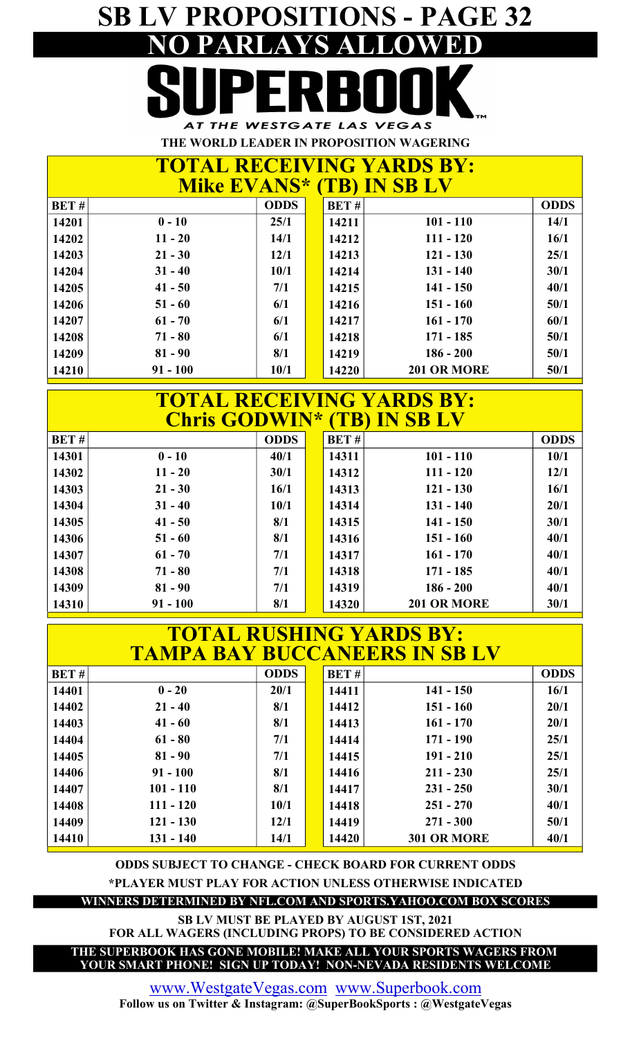## SB LV PROPOSITIONS - PAGE 32 NO PARLAYS ALLOWED AT THE WESTGATE LAS VEGAS

THE WORLD LEADER IN PROPOSITION WAGERING

| <b>TOTAL RECEIVING YARDS BY:</b><br><b>Mike EVANS* (TB) IN SB LV</b><br><b>ODDS</b><br>BET#<br>BET#<br>$0 - 10$<br>$101 - 110$<br>14/1<br>25/1<br>14201<br>14211<br>$11 - 20$<br>16/1<br>14202<br>14/1<br>$111 - 120$<br>14212<br>25/1<br>$21 - 30$<br>$121 - 130$<br>12/1<br>14203<br>14213<br>$31 - 40$<br>$131 - 140$<br>30/1<br>14204<br>10/1<br>14214<br>40/1<br>14205<br>$41 - 50$<br>7/1<br>$141 - 150$<br>14215<br>50/1<br>14206<br>6/1<br>$151 - 160$<br>$51 - 60$<br>14216<br>60/1<br>$161 - 170$<br>14207<br>$61 - 70$<br>6/1<br>14217<br>$71 - 80$<br>$171 - 185$<br>6/1<br>50/1<br>14208<br>14218 |            |      |  |       |                    |             |  |  |
|----------------------------------------------------------------------------------------------------------------------------------------------------------------------------------------------------------------------------------------------------------------------------------------------------------------------------------------------------------------------------------------------------------------------------------------------------------------------------------------------------------------------------------------------------------------------------------------------------------------|------------|------|--|-------|--------------------|-------------|--|--|
|                                                                                                                                                                                                                                                                                                                                                                                                                                                                                                                                                                                                                |            |      |  |       |                    | <b>ODDS</b> |  |  |
|                                                                                                                                                                                                                                                                                                                                                                                                                                                                                                                                                                                                                |            |      |  |       |                    |             |  |  |
|                                                                                                                                                                                                                                                                                                                                                                                                                                                                                                                                                                                                                |            |      |  |       |                    |             |  |  |
|                                                                                                                                                                                                                                                                                                                                                                                                                                                                                                                                                                                                                |            |      |  |       |                    |             |  |  |
|                                                                                                                                                                                                                                                                                                                                                                                                                                                                                                                                                                                                                |            |      |  |       |                    |             |  |  |
|                                                                                                                                                                                                                                                                                                                                                                                                                                                                                                                                                                                                                |            |      |  |       |                    |             |  |  |
|                                                                                                                                                                                                                                                                                                                                                                                                                                                                                                                                                                                                                |            |      |  |       |                    |             |  |  |
|                                                                                                                                                                                                                                                                                                                                                                                                                                                                                                                                                                                                                |            |      |  |       |                    |             |  |  |
|                                                                                                                                                                                                                                                                                                                                                                                                                                                                                                                                                                                                                |            |      |  |       |                    |             |  |  |
| 14209                                                                                                                                                                                                                                                                                                                                                                                                                                                                                                                                                                                                          | $81 - 90$  | 8/1  |  | 14219 | $186 - 200$        | 50/1        |  |  |
| 14210                                                                                                                                                                                                                                                                                                                                                                                                                                                                                                                                                                                                          | $91 - 100$ | 10/1 |  | 14220 | <b>201 OR MORE</b> | 50/1        |  |  |

| <b>TOTAL RECEIVING YARDS BY:</b><br><b>Chris GODWIN* (TB) IN SB LV</b> |            |             |  |             |                    |             |  |  |  |
|------------------------------------------------------------------------|------------|-------------|--|-------------|--------------------|-------------|--|--|--|
| BET#                                                                   |            | <b>ODDS</b> |  | <b>BET#</b> |                    | <b>ODDS</b> |  |  |  |
| 14301                                                                  | $0 - 10$   | 40/1        |  | 14311       | $101 - 110$        | 10/1        |  |  |  |
| 14302                                                                  | $11 - 20$  | 30/1        |  | 14312       | $111 - 120$        | 12/1        |  |  |  |
| 14303                                                                  | $21 - 30$  | 16/1        |  | 14313       | $121 - 130$        | 16/1        |  |  |  |
| 14304                                                                  | $31 - 40$  | 10/1        |  | 14314       | $131 - 140$        | 20/1        |  |  |  |
| 14305                                                                  | $41 - 50$  | 8/1         |  | 14315       | $141 - 150$        | 30/1        |  |  |  |
| 14306                                                                  | $51 - 60$  | 8/1         |  | 14316       | $151 - 160$        | 40/1        |  |  |  |
| 14307                                                                  | $61 - 70$  | 7/1         |  | 14317       | $161 - 170$        | 40/1        |  |  |  |
| 14308                                                                  | $71 - 80$  | 7/1         |  | 14318       | $171 - 185$        | 40/1        |  |  |  |
| 14309                                                                  | $81 - 90$  | 7/1         |  | 14319       | $186 - 200$        | 40/1        |  |  |  |
| 14310                                                                  | $91 - 100$ | 8/1         |  | 14320       | <b>201 OR MORE</b> | 30/1        |  |  |  |

|       |             |             |       | <b>TOTAL RUSHING YARDS BY:</b><br><b>TAMPA BAY BUCCANEERS IN SB LV</b> |             |
|-------|-------------|-------------|-------|------------------------------------------------------------------------|-------------|
| BET#  |             | <b>ODDS</b> | BET#  |                                                                        | <b>ODDS</b> |
| 14401 | $0 - 20$    | 20/1        | 14411 | $141 - 150$                                                            | 16/1        |
| 14402 | $21 - 40$   | 8/1         | 14412 | $151 - 160$                                                            | 20/1        |
| 14403 | $41 - 60$   | 8/1         | 14413 | $161 - 170$                                                            | 20/1        |
| 14404 | $61 - 80$   | 7/1         | 14414 | $171 - 190$                                                            | 25/1        |
| 14405 | $81 - 90$   | 7/1         | 14415 | $191 - 210$                                                            | 25/1        |
| 14406 | $91 - 100$  | 8/1         | 14416 | $211 - 230$                                                            | 25/1        |
| 14407 | $101 - 110$ | 8/1         | 14417 | $231 - 250$                                                            | 30/1        |
| 14408 | $111 - 120$ | 10/1        | 14418 | $251 - 270$                                                            | 40/1        |
| 14409 | $121 - 130$ | 12/1        | 14419 | $271 - 300$                                                            | 50/1        |
| 14410 | $131 - 140$ | 14/1        | 14420 | 301 OR MORE                                                            | 40/1        |

ODDS SUBJECT TO CHANGE - CHECK BOARD FOR CURRENT ODDS

\*PLAYER MUST PLAY FOR ACTION UNLESS OTHERWISE INDICATED

WINNERS DETERMINED BY NFL.COM AND SPORTS.YAHOO.COM BOX SCORES

SB LV MUST BE PLAYED BY AUGUST 1ST, 2021

FOR ALL WAGERS (INCLUDING PROPS) TO BE CONSIDERED ACTION

THE SUPERBOOK HAS GONE MOBILE! MAKE ALL YOUR SPORTS WAGERS FROM YOUR SMART PHONE! SIGN UP TODAY! NON-NEVADA RESIDENTS WELCOME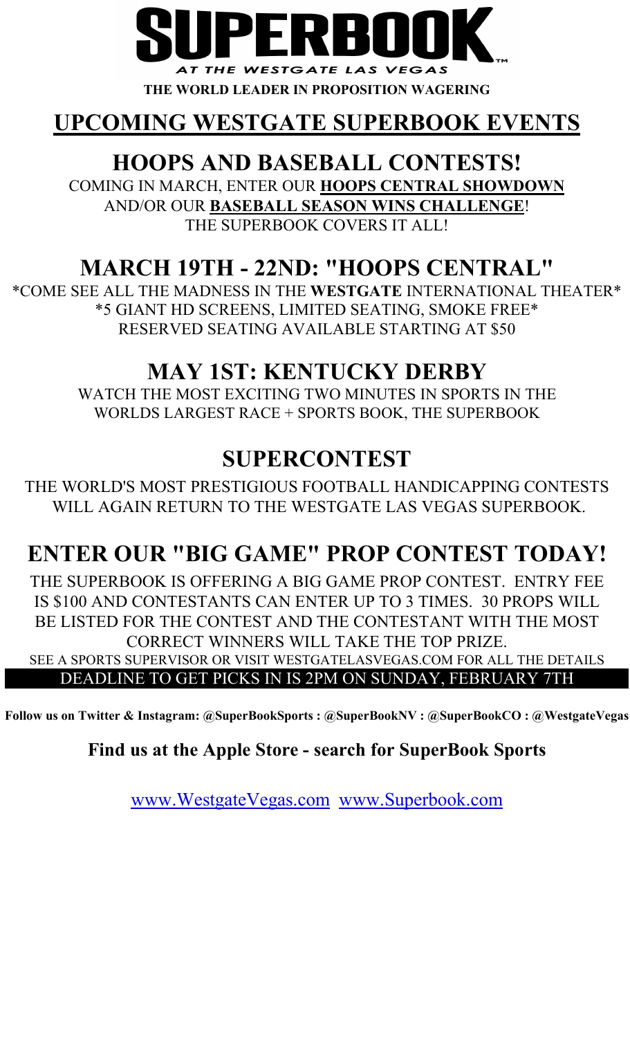

THE WORLD LEADER IN PROPOSITION WAGERING

## UPCOMING WESTGATE SUPERBOOK EVENTS

## HOOPS AND BASEBALL CONTESTS!

COMING IN MARCH, ENTER OUR HOOPS CENTRAL SHOWDOWN AND/OR OUR BASEBALL SEASON WINS CHALLENGE! THE SUPERBOOK COVERS IT ALL!

## MARCH 19TH - 22ND: "HOOPS CENTRAL"

RESERVED SEATING AVAILABLE STARTING AT \$50 \*COME SEE ALL THE MADNESS IN THE WESTGATE INTERNATIONAL THEATER\* \*5 GIANT HD SCREENS, LIMITED SEATING, SMOKE FREE\*

## MAY 1ST: KENTUCKY DERBY

WATCH THE MOST EXCITING TWO MINUTES IN SPORTS IN THE WORLDS LARGEST RACE + SPORTS BOOK, THE SUPERBOOK

## SUPERCONTEST

THE WORLD'S MOST PRESTIGIOUS FOOTBALL HANDICAPPING CONTESTS WILL AGAIN RETURN TO THE WESTGATE LAS VEGAS SUPERBOOK.

## ENTER OUR "BIG GAME" PROP CONTEST TODAY!

SEE A SPORTS SUPERVISOR OR VISIT WESTGATELASVEGAS.COM FOR ALL THE DETAILS THE SUPERBOOK IS OFFERING A BIG GAME PROP CONTEST. ENTRY FEE BE LISTED FOR THE CONTEST AND THE CONTESTANT WITH THE MOST CORRECT WINNERS WILL TAKE THE TOP PRIZE. IS \$100 AND CONTESTANTS CAN ENTER UP TO 3 TIMES. 30 PROPS WILL

### DEADLINE TO GET PICKS IN IS 2PM ON SUNDAY, FEBRUARY 7TH

Follow us on Twitter & Instagram: @SuperBookSports : @SuperBookNV : @SuperBookCO : @WestgateVegas

### Find us at the Apple Store - search for SuperBook Sports

www.WestgateVegas.com www.Superbook.com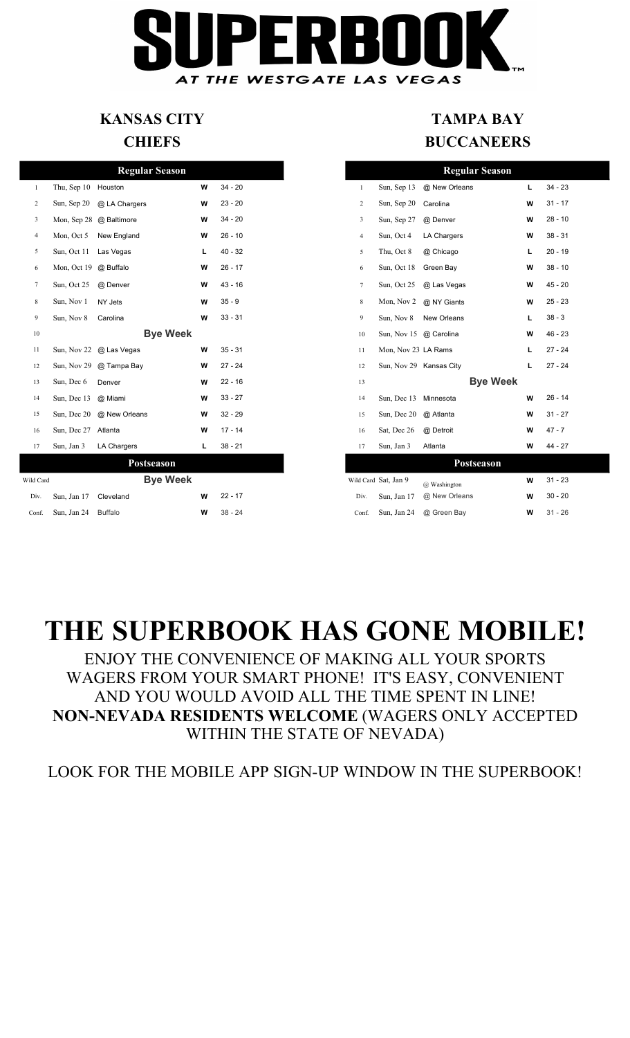# AT THE WESTGATE LAS VEGAS

## KANSAS CITY

#### **CHIEFS**

|                |                             | <b>Regular Season</b>     |   |           |                |                        | <b>Regular Season</b>    |    |
|----------------|-----------------------------|---------------------------|---|-----------|----------------|------------------------|--------------------------|----|
| $\mathbf{1}$   | Thu, Sep 10 Houston         |                           | W | $34 - 20$ | $\mathbf{1}$   | Sun, Sep 13            | @ New Orleans            | L. |
| 2              |                             | Sun, Sep 20 @ LA Chargers | W | $23 - 20$ | $\overline{2}$ | Sun, Sep 20            | Carolina                 | W  |
| 3              |                             | Mon, Sep 28 @ Baltimore   | W | $34 - 20$ | 3              | Sun, Sep 27            | @ Denver                 | W  |
| $\overline{4}$ |                             | Mon, Oct 5 New England    | W | $26 - 10$ | $\overline{4}$ | Sun, Oct 4             | <b>LA Chargers</b>       | W  |
| 5              | Sun, Oct 11 Las Vegas       |                           | L | $40 - 32$ | 5              | Thu, Oct 8             | @ Chicago                | L  |
| 6              | Mon, Oct 19 @ Buffalo       |                           | W | $26 - 17$ | 6              | Sun, Oct 18            | Green Bay                | W  |
| 7              | Sun, Oct 25                 | @ Denver                  | W | $43 - 16$ | $\tau$         | Sun, Oct 25            | @ Las Vegas              | W  |
| 8              | Sun, Nov 1                  | NY Jets                   | W | $35 - 9$  | 8              | Mon, Nov 2             | @ NY Giants              | W  |
| 9              | Sun, Nov 8                  | Carolina                  | W | $33 - 31$ | 9              | Sun, Nov 8             | New Orleans              | L  |
| 10             |                             | <b>Bye Week</b>           |   |           | $10\,$         | Sun, Nov 15 @ Carolina |                          | W  |
| 11             |                             | Sun, Nov 22 @ Las Vegas   | W | $35 - 31$ | 11             | Mon, Nov 23 LA Rams    |                          | L  |
| 12             |                             | Sun, Nov 29 @ Tampa Bay   | W | $27 - 24$ | 12             |                        | Sun, Nov 29 Kansas City  | L  |
| 13             | Sun, Dec 6                  | Denver                    | w | $22 - 16$ | 13             |                        | <b>Bye Week</b>          |    |
| 14             | Sun, Dec 13 @ Miami         |                           | W | $33 - 27$ | 14             | Sun, Dec 13            | Minnesota                | W  |
| 15             |                             | Sun, Dec 20 @ New Orleans | W | $32 - 29$ | 15             | Sun, Dec 20            | @ Atlanta                | W  |
| 16             | Sun, Dec 27 Atlanta         |                           | W | $17 - 14$ | 16             | Sat, Dec 26            | @ Detroit                | W  |
| 17             | Sun, Jan 3                  | LA Chargers               | L | $38 - 21$ | 17             | Sun, Jan 3             | Atlanta                  | W  |
|                |                             | Postseason                |   |           |                |                        | Postseason               |    |
| Wild Card      |                             | <b>Bye Week</b>           |   |           |                | Wild Card Sat, Jan 9   | @ Washington             | w  |
| Div.           | Sun, Jan 17 Cleveland       |                           | W | $22 - 17$ | Div.           | Sun, Jan 17            | @ New Orleans            | W  |
|                | $Conf$ Sun Jan $24$ Buffalo |                           | w | $38 - 24$ | Conf           |                        | Sun Ian $24$ @ Green Bay | w  |

### TAMPA BAY **BUCCANEERS**

|                |                       | <b>Regular Season</b>   |   |           |  |                |                      | <b>Regular Season</b>   |    |           |  |
|----------------|-----------------------|-------------------------|---|-----------|--|----------------|----------------------|-------------------------|----|-----------|--|
| -1             | Thu, Sep 10 Houston   |                         | W | $34 - 20$ |  | 1              | Sun, Sep 13          | @ New Orleans           | L. | $34 - 23$ |  |
| 2              | Sun, Sep 20           | @ LA Chargers           | W | $23 - 20$ |  | 2              | Sun, Sep 20          | Carolina                | W  | $31 - 17$ |  |
| 3              |                       | Mon, Sep 28 @ Baltimore | W | $34 - 20$ |  | 3              | Sun, Sep 27          | @ Denver                | W  | $28 - 10$ |  |
| $\overline{4}$ | Mon, Oct 5            | New England             | W | $26 - 10$ |  | $\overline{4}$ | Sun, Oct 4           | <b>LA Chargers</b>      | W  | $38 - 31$ |  |
| 5              | Sun, Oct 11 Las Vegas |                         | L | $40 - 32$ |  | 5              | Thu, Oct 8           | @ Chicago               | L  | $20 - 19$ |  |
| 6              | Mon, Oct 19 @ Buffalo |                         | W | $26 - 17$ |  | 6              | Sun, Oct 18          | Green Bay               | W  | $38 - 10$ |  |
| $\tau$         | Sun, Oct 25           | @ Denver                | W | $43 - 16$ |  | $\tau$         | Sun, Oct 25          | @ Las Vegas             | W  | $45 - 20$ |  |
| 8              | Sun, Nov 1            | NY Jets                 | W | $35 - 9$  |  | 8              | Mon, Nov 2           | @ NY Giants             | W  | $25 - 23$ |  |
| 9              | Sun, Nov 8            | Carolina                | W | $33 - 31$ |  | 9              | Sun, Nov 8           | New Orleans             | L  | $38 - 3$  |  |
| 10             |                       | <b>Bye Week</b>         |   |           |  | 10             |                      | Sun, Nov 15 @ Carolina  | W  | $46 - 23$ |  |
| 11             |                       | Sun, Nov 22 @ Las Vegas | W | $35 - 31$ |  | 11             |                      | Mon, Nov 23 LA Rams     | г  | $27 - 24$ |  |
| 12             |                       | Sun, Nov 29 @ Tampa Bay | W | $27 - 24$ |  | 12             |                      | Sun, Nov 29 Kansas City | L  | $27 - 24$ |  |
| 13             | Sun, Dec 6            | Denver                  | W | $22 - 16$ |  | 13             |                      | <b>Bye Week</b>         |    |           |  |
| 14             | Sun, Dec 13           | @ Miami                 | W | $33 - 27$ |  | 14             |                      | Sun, Dec 13 Minnesota   | W  | $26 - 14$ |  |
| 15             | Sun, Dec 20           | @ New Orleans           | W | $32 - 29$ |  | 15             | Sun, Dec 20          | @ Atlanta               | W  | $31 - 27$ |  |
| 16             | Sun, Dec 27 Atlanta   |                         | W | $17 - 14$ |  | 16             | Sat, Dec 26          | @ Detroit               | W  | $47 - 7$  |  |
| 17             | Sun, Jan 3            | LA Chargers             | L | $38 - 21$ |  | 17             | Sun, Jan 3           | Atlanta                 | W  | $44 - 27$ |  |
|                |                       | Postseason              |   |           |  |                |                      | Postseason              |    |           |  |
| ild Card       |                       | <b>Bye Week</b>         |   |           |  |                | Wild Card Sat, Jan 9 | @ Washington            | W  | $31 - 23$ |  |
| Div.           | Sun, Jan 17           | Cleveland               | W | $22 - 17$ |  | Div.           | Sun, Jan 17          | @ New Orleans           | W  | $30 - 20$ |  |
| Conf.          | Sun, Jan 24           | <b>Buffalo</b>          | W | $38 - 24$ |  | Conf.          | Sun, Jan 24          | @ Green Bay             | W  | $31 - 26$ |  |

## THE SUPERBOOK HAS GONE MOBILE!

NON-NEVADA RESIDENTS WELCOME (WAGERS ONLY ACCEPTED AND YOU WOULD AVOID ALL THE TIME SPENT IN LINE! WAGERS FROM YOUR SMART PHONE! IT'S EASY, CONVENIENT ENJOY THE CONVENIENCE OF MAKING ALL YOUR SPORTS WITHIN THE STATE OF NEVADA)

LOOK FOR THE MOBILE APP SIGN-UP WINDOW IN THE SUPERBOOK!